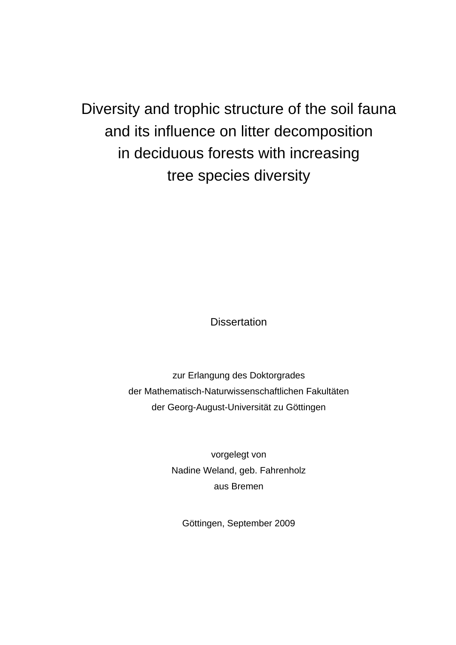Diversity and trophic structure of the soil fauna and its influence on litter decomposition in deciduous forests with increasing tree species diversity

**Dissertation** 

zur Erlangung des Doktorgrades der Mathematisch-Naturwissenschaftlichen Fakultäten der Georg-August-Universität zu Göttingen

> vorgelegt von Nadine Weland, geb. Fahrenholz aus Bremen

Göttingen, September 2009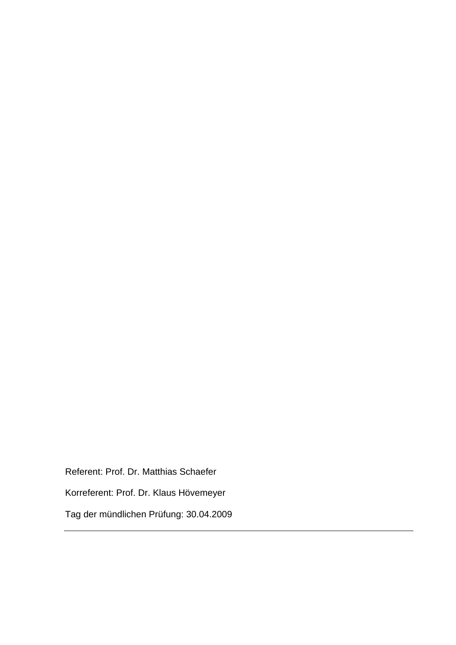Referent: Prof. Dr. Matthias Schaefer Korreferent: Prof. Dr. Klaus Hövemeyer Tag der mündlichen Prüfung: 30.04.2009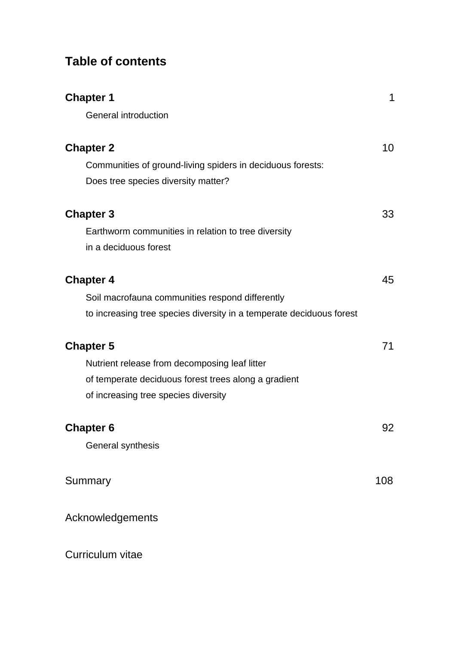# **Table of contents**

| <b>Chapter 1</b>                                                     | 1   |
|----------------------------------------------------------------------|-----|
| <b>General introduction</b>                                          |     |
| <b>Chapter 2</b>                                                     | 10  |
| Communities of ground-living spiders in deciduous forests:           |     |
| Does tree species diversity matter?                                  |     |
| <b>Chapter 3</b>                                                     | 33  |
| Earthworm communities in relation to tree diversity                  |     |
| in a deciduous forest                                                |     |
| <b>Chapter 4</b>                                                     | 45  |
| Soil macrofauna communities respond differently                      |     |
| to increasing tree species diversity in a temperate deciduous forest |     |
| <b>Chapter 5</b>                                                     | 71  |
| Nutrient release from decomposing leaf litter                        |     |
| of temperate deciduous forest trees along a gradient                 |     |
| of increasing tree species diversity                                 |     |
| <b>Chapter 6</b>                                                     | 92  |
| General synthesis                                                    |     |
| Summary                                                              | 108 |
| Acknowledgements                                                     |     |
| Curriculum vitae                                                     |     |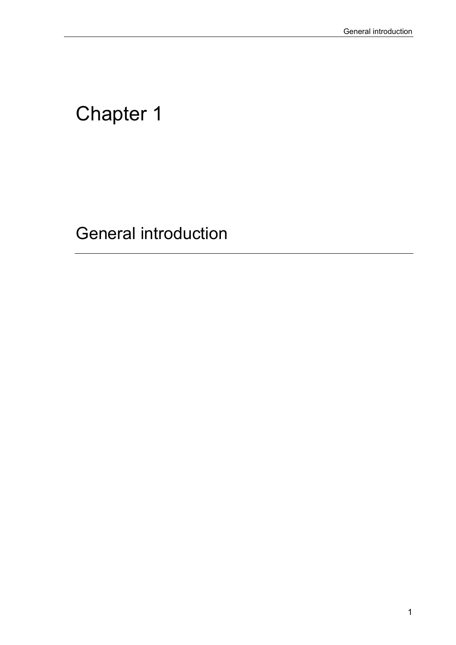# Chapter 1

General introduction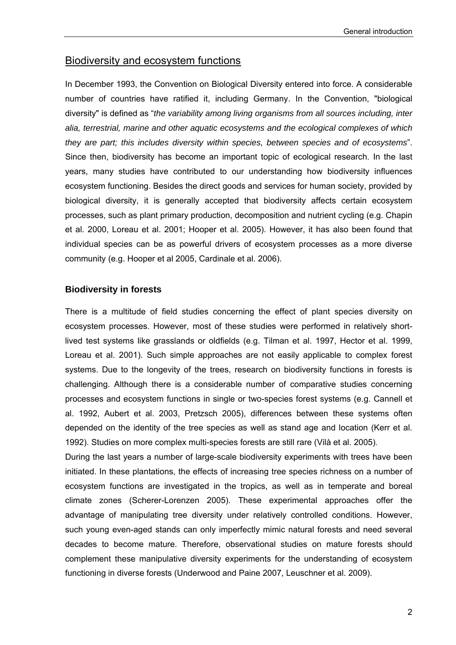# Biodiversity and ecosystem functions

In December 1993, the Convention on Biological Diversity entered into force. A considerable number of countries have ratified it, including Germany. In the Convention, "biological diversity" is defined as "*the variability among living organisms from all sources including, inter alia, terrestrial, marine and other aquatic ecosystems and the ecological complexes of which they are part; this includes diversity within species, between species and of ecosystems*". Since then, biodiversity has become an important topic of ecological research. In the last years, many studies have contributed to our understanding how biodiversity influences ecosystem functioning. Besides the direct goods and services for human society, provided by biological diversity, it is generally accepted that biodiversity affects certain ecosystem processes, such as plant primary production, decomposition and nutrient cycling (e.g. Chapin et al. 2000, Loreau et al. 2001; Hooper et al. 2005). However, it has also been found that individual species can be as powerful drivers of ecosystem processes as a more diverse community (e.g. Hooper et al 2005, Cardinale et al. 2006).

#### **Biodiversity in forests**

There is a multitude of field studies concerning the effect of plant species diversity on ecosystem processes. However, most of these studies were performed in relatively shortlived test systems like grasslands or oldfields (e.g. Tilman et al. 1997, Hector et al. 1999, Loreau et al. 2001). Such simple approaches are not easily applicable to complex forest systems. Due to the longevity of the trees, research on biodiversity functions in forests is challenging. Although there is a considerable number of comparative studies concerning processes and ecosystem functions in single or two-species forest systems (e.g. Cannell et al. 1992, Aubert et al. 2003, Pretzsch 2005), differences between these systems often depended on the identity of the tree species as well as stand age and location (Kerr et al. 1992). Studies on more complex multi-species forests are still rare (Vilà et al. 2005).

During the last years a number of large-scale biodiversity experiments with trees have been initiated. In these plantations, the effects of increasing tree species richness on a number of ecosystem functions are investigated in the tropics, as well as in temperate and boreal climate zones (Scherer-Lorenzen 2005). These experimental approaches offer the advantage of manipulating tree diversity under relatively controlled conditions. However, such young even-aged stands can only imperfectly mimic natural forests and need several decades to become mature. Therefore, observational studies on mature forests should complement these manipulative diversity experiments for the understanding of ecosystem functioning in diverse forests (Underwood and Paine 2007, Leuschner et al. 2009).

2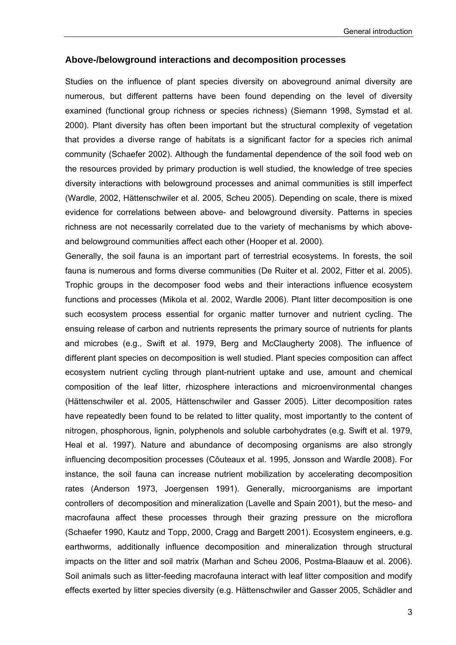#### **Above-/belowground interactions and decomposition processes**

Studies on the influence of plant species diversity on aboveground animal diversity are numerous, but different patterns have been found depending on the level of diversity examined (functional group richness or species richness) (Siemann 1998, Symstad et al. 2000). Plant diversity has often been important but the structural complexity of vegetation that provides a diverse range of habitats is a significant factor for a species rich animal community (Schaefer 2002). Although the fundamental dependence of the soil food web on the resources provided by primary production is well studied, the knowledge of tree species diversity interactions with belowground processes and animal communities is still imperfect (Wardle, 2002, Hättenschwiler et al. 2005, Scheu 2005). Depending on scale, there is mixed evidence for correlations between above- and belowground diversity. Patterns in species richness are not necessarily correlated due to the variety of mechanisms by which aboveand belowground communities affect each other (Hooper et al. 2000).

Generally, the soil fauna is an important part of terrestrial ecosystems. In forests, the soil fauna is numerous and forms diverse communities (De Ruiter et al. 2002, Fitter et al. 2005). Trophic groups in the decomposer food webs and their interactions influence ecosystem functions and processes (Mikola et al. 2002, Wardle 2006). Plant litter decomposition is one such ecosystem process essential for organic matter turnover and nutrient cycling. The ensuing release of carbon and nutrients represents the primary source of nutrients for plants and microbes (e.g., Swift et al. 1979, Berg and McClaugherty 2008). The influence of different plant species on decomposition is well studied. Plant species composition can affect ecosystem nutrient cycling through plant-nutrient uptake and use, amount and chemical composition of the leaf litter, rhizosphere interactions and microenvironmental changes (Hättenschwiler et al. 2005, Hättenschwiler and Gasser 2005). Litter decomposition rates have repeatedly been found to be related to litter quality, most importantly to the content of nitrogen, phosphorous, lignin, polyphenols and soluble carbohydrates (e.g. Swift et al. 1979, Heal et al. 1997). Nature and abundance of decomposing organisms are also strongly influencing decomposition processes (Côuteaux et al. 1995, Jonsson and Wardle 2008). For instance, the soil fauna can increase nutrient mobilization by accelerating decomposition rates (Anderson 1973, Joergensen 1991). Generally, microorganisms are important controllers of decomposition and mineralization (Lavelle and Spain 2001), but the meso- and macrofauna affect these processes through their grazing pressure on the microflora (Schaefer 1990, Kautz and Topp, 2000, Cragg and Bargett 2001). Ecosystem engineers, e.g. earthworms, additionally influence decomposition and mineralization through structural impacts on the litter and soil matrix (Marhan and Scheu 2006, Postma-Blaauw et al. 2006). Soil animals such as litter-feeding macrofauna interact with leaf litter composition and modify effects exerted by litter species diversity (e.g. Hättenschwiler and Gasser 2005, Schädler and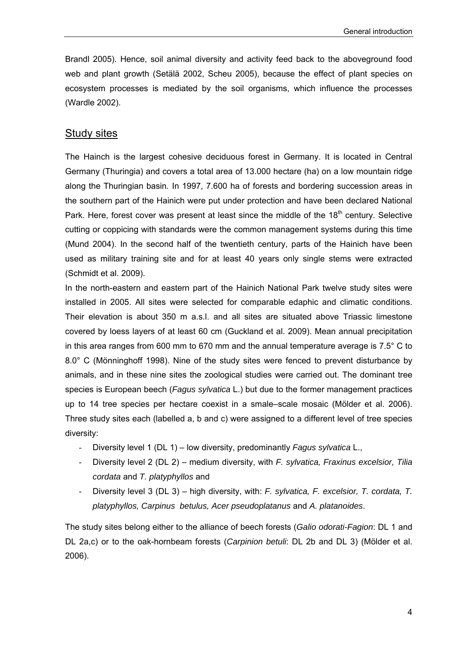Brandl 2005). Hence, soil animal diversity and activity feed back to the aboveground food web and plant growth (Setälä 2002, Scheu 2005), because the effect of plant species on ecosystem processes is mediated by the soil organisms, which influence the processes (Wardle 2002).

### Study sites

The Hainch is the largest cohesive deciduous forest in Germany. It is located in Central Germany (Thuringia) and covers a total area of 13.000 hectare (ha) on a low mountain ridge along the Thuringian basin*.* In 1997, 7.600 ha of forests and bordering succession areas in the southern part of the Hainich were put under protection and have been declared National Park. Here, forest cover was present at least since the middle of the 18<sup>th</sup> century. Selective cutting or coppicing with standards were the common management systems during this time (Mund 2004). In the second half of the twentieth century, parts of the Hainich have been used as military training site and for at least 40 years only single stems were extracted (Schmidt et al. 2009).

In the north-eastern and eastern part of the Hainich National Park twelve study sites were installed in 2005. All sites were selected for comparable edaphic and climatic conditions. Their elevation is about 350 m a.s.l. and all sites are situated above Triassic limestone covered by loess layers of at least 60 cm (Guckland et al. 2009). Mean annual precipitation in this area ranges from 600 mm to 670 mm and the annual temperature average is 7.5 $^{\circ}$  C to 8.0° C (Mönninghoff 1998). Nine of the study sites were fenced to prevent disturbance by animals, and in these nine sites the zoological studies were carried out. The dominant tree species is European beech (*Fagus sylvatica* L.) but due to the former management practices up to 14 tree species per hectare coexist in a smale–scale mosaic (Mölder et al. 2006). Three study sites each (labelled a, b and c) were assigned to a different level of tree species diversity:

- Diversity level 1 (DL 1) low diversity, predominantly *Fagus sylvatica* L.,
- Diversity level 2 (DL 2) medium diversity, with *F. sylvatica, Fraxinus excelsior, Tilia cordata* and *T. platyphyllos* and
- Diversity level 3 (DL 3) high diversity, with: *F. sylvatica, F. excelsior, T. cordata, T. platyphyllos, Carpinus betulus, Acer pseudoplatanus* and *A. platanoides*.

The study sites belong either to the alliance of beech forests (*Galio odorati-Fagion*: DL 1 and DL 2a,c) or to the oak-hornbeam forests (*Carpinion betuli*: DL 2b and DL 3) (Mölder et al. 2006).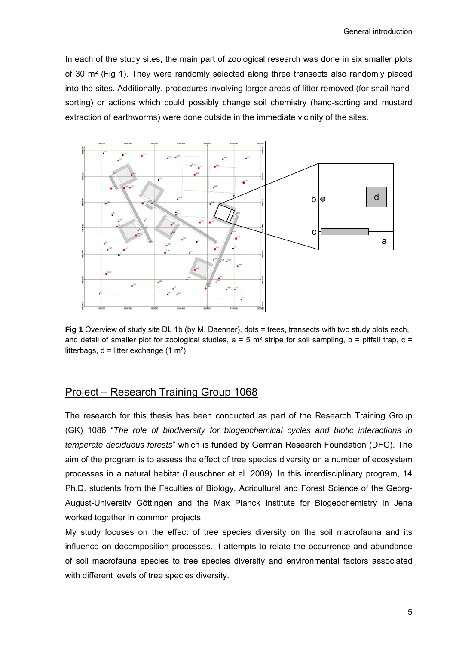In each of the study sites, the main part of zoological research was done in six smaller plots of 30 m² (Fig 1). They were randomly selected along three transects also randomly placed into the sites. Additionally, procedures involving larger areas of litter removed (for snail handsorting) or actions which could possibly change soil chemistry (hand-sorting and mustard extraction of earthworms) were done outside in the immediate vicinity of the sites.



Fig 1 Overview of study site DL 1b (by M. Daenner), dots = trees, transects with two study plots each, and detail of smaller plot for zoological studies,  $a = 5$  m<sup>2</sup> stripe for soil sampling,  $b =$  pitfall trap,  $c =$ litterbags,  $d =$  litter exchange (1 m<sup>2</sup>)

## Project – Research Training Group 1068

The research for this thesis has been conducted as part of the Research Training Group (GK) 1086 "*The role of biodiversity for biogeochemical cycles and biotic interactions in temperate deciduous forests*" which is funded by German Research Foundation (DFG). The aim of the program is to assess the effect of tree species diversity on a number of ecosystem processes in a natural habitat (Leuschner et al. 2009). In this interdisciplinary program, 14 Ph.D. students from the Faculties of Biology, Acricultural and Forest Science of the Georg-August-University Göttingen and the Max Planck Institute for Biogeochemistry in Jena worked together in common projects.

My study focuses on the effect of tree species diversity on the soil macrofauna and its influence on decomposition processes. It attempts to relate the occurrence and abundance of soil macrofauna species to tree species diversity and environmental factors associated with different levels of tree species diversity.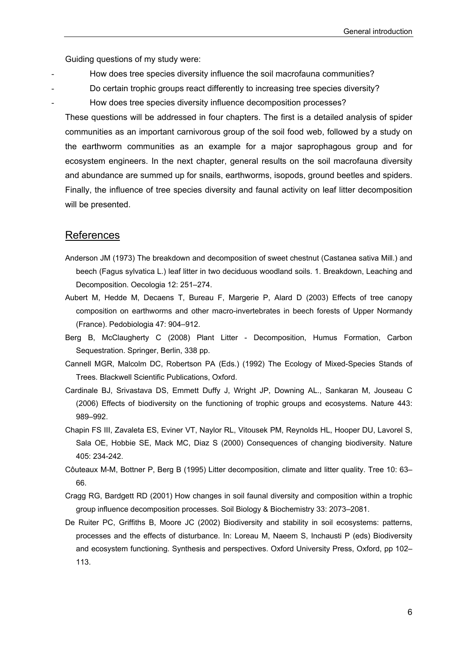Guiding questions of my study were:

- How does tree species diversity influence the soil macrofauna communities?
- Do certain trophic groups react differently to increasing tree species diversity?
	- How does tree species diversity influence decomposition processes?

These questions will be addressed in four chapters. The first is a detailed analysis of spider communities as an important carnivorous group of the soil food web, followed by a study on the earthworm communities as an example for a major saprophagous group and for ecosystem engineers. In the next chapter, general results on the soil macrofauna diversity and abundance are summed up for snails, earthworms, isopods, ground beetles and spiders. Finally, the influence of tree species diversity and faunal activity on leaf litter decomposition will be presented.

#### References

- Anderson JM (1973) The breakdown and decomposition of sweet chestnut (Castanea sativa Mill.) and beech (Fagus sylvatica L.) leaf litter in two deciduous woodland soils. 1. Breakdown, Leaching and Decomposition. Oecologia 12: 251–274.
- Aubert M, Hedde M, Decaens T, Bureau F, Margerie P, Alard D (2003) Effects of tree canopy composition on earthworms and other macro-invertebrates in beech forests of Upper Normandy (France). Pedobiologia 47: 904–912.
- Berg B, McClaugherty C (2008) Plant Litter Decomposition, Humus Formation, Carbon Sequestration. Springer, Berlin, 338 pp.
- Cannell MGR, Malcolm DC, Robertson PA (Eds.) (1992) The Ecology of Mixed-Species Stands of Trees. Blackwell Scientific Publications, Oxford.
- Cardinale BJ, Srivastava DS, Emmett Duffy J, Wright JP, Downing AL., Sankaran M, Jouseau C (2006) Effects of biodiversity on the functioning of trophic groups and ecosystems. Nature 443: 989–992.
- Chapin FS III, Zavaleta ES, Eviner VT, Naylor RL, Vitousek PM, Reynolds HL, Hooper DU, Lavorel S, Sala OE, Hobbie SE, Mack MC, Diaz S (2000) Consequences of changing biodiversity. Nature 405: 234-242.
- Côuteaux M-M, Bottner P, Berg B (1995) Litter decomposition, climate and litter quality. Tree 10: 63– 66.
- Cragg RG, Bardgett RD (2001) How changes in soil faunal diversity and composition within a trophic group influence decomposition processes. Soil Biology & Biochemistry 33: 2073–2081.
- De Ruiter PC, Griffiths B, Moore JC (2002) Biodiversity and stability in soil ecosystems: patterns, processes and the effects of disturbance. In: Loreau M, Naeem S, Inchausti P (eds) Biodiversity and ecosystem functioning. Synthesis and perspectives. Oxford University Press, Oxford, pp 102– 113.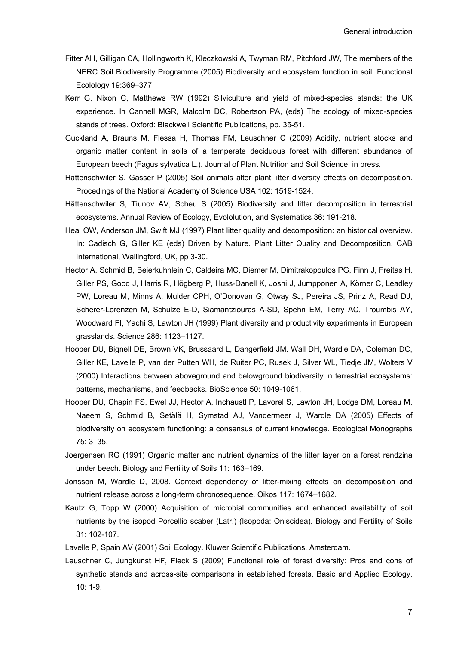- Fitter AH, Gilligan CA, Hollingworth K, Kleczkowski A, Twyman RM, Pitchford JW, The members of the NERC Soil Biodiversity Programme (2005) Biodiversity and ecosystem function in soil. Functional Ecolology 19:369–377
- Kerr G, Nixon C, Matthews RW (1992) Silviculture and yield of mixed-species stands: the UK experience. In Cannell MGR, Malcolm DC, Robertson PA, (eds) The ecology of mixed-species stands of trees. Oxford: Blackwell Scientific Publications, pp. 35-51.
- Guckland A, Brauns M, Flessa H, Thomas FM, Leuschner C (2009) Acidity, nutrient stocks and organic matter content in soils of a temperate deciduous forest with different abundance of European beech (Fagus sylvatica L.). Journal of Plant Nutrition and Soil Science, in press.
- Hättenschwiler S, Gasser P (2005) Soil animals alter plant litter diversity effects on decomposition. Procedings of the National Academy of Science USA 102: 1519-1524.
- Hättenschwiler S, Tiunov AV, Scheu S (2005) Biodiversity and litter decomposition in terrestrial ecosystems. Annual Review of Ecology, Evololution, and Systematics 36: 191-218.
- Heal OW, Anderson JM, Swift MJ (1997) Plant litter quality and decomposition: an historical overview. In: Cadisch G, Giller KE (eds) Driven by Nature. Plant Litter Quality and Decomposition. CAB International, Wallingford, UK, pp 3-30.
- Hector A, Schmid B, Beierkuhnlein C, Caldeira MC, Diemer M, Dimitrakopoulos PG, Finn J, Freitas H, Giller PS, Good J, Harris R, Högberg P, Huss-Danell K, Joshi J, Jumpponen A, Körner C, Leadley PW, Loreau M, Minns A, Mulder CPH, O'Donovan G, Otway SJ, Pereira JS, Prinz A, Read DJ, Scherer-Lorenzen M, Schulze E-D, Siamantziouras A-SD, Spehn EM, Terry AC, Troumbis AY, Woodward FI, Yachi S, Lawton JH (1999) Plant diversity and productivity experiments in European grasslands. Science 286: 1123–1127.
- Hooper DU, Bignell DE, Brown VK, Brussaard L, Dangerfield JM. Wall DH, Wardle DA, Coleman DC, Giller KE, Lavelle P, van der Putten WH, de Ruiter PC, Rusek J, Silver WL, Tiedje JM, Wolters V (2000) Interactions between aboveground and belowground biodiversity in terrestrial ecosystems: patterns, mechanisms, and feedbacks. BioScience 50: 1049-1061.
- Hooper DU, Chapin FS, Ewel JJ, Hector A, Inchaustl P, Lavorel S, Lawton JH, Lodge DM, Loreau M, Naeem S, Schmid B, Setälä H, Symstad AJ, Vandermeer J, Wardle DA (2005) Effects of biodiversity on ecosystem functioning: a consensus of current knowledge. Ecological Monographs 75: 3–35.
- Joergensen RG (1991) Organic matter and nutrient dynamics of the litter layer on a forest rendzina under beech. Biology and Fertility of Soils 11: 163–169.
- Jonsson M, Wardle D, 2008. Context dependency of litter-mixing effects on decomposition and nutrient release across a long-term chronosequence. Oikos 117: 1674–1682.
- Kautz G, Topp W (2000) Acquisition of microbial communities and enhanced availability of soil nutrients by the isopod Porcellio scaber (Latr.) (Isopoda: Oniscidea). Biology and Fertility of Soils 31: 102-107.
- Lavelle P, Spain AV (2001) Soil Ecology. Kluwer Scientific Publications, Amsterdam.
- Leuschner C, Jungkunst HF, Fleck S (2009) Functional role of forest diversity: Pros and cons of synthetic stands and across-site comparisons in established forests. Basic and Applied Ecology, 10: 1-9.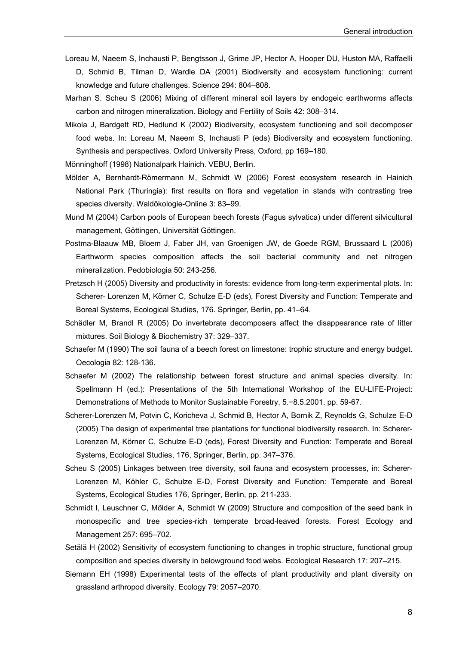- Loreau M, Naeem S, Inchausti P, Bengtsson J, Grime JP, Hector A, Hooper DU, Huston MA, Raffaelli D, Schmid B, Tilman D, Wardle DA (2001) Biodiversity and ecosystem functioning: current knowledge and future challenges. Science 294: 804–808.
- Marhan S. Scheu S (2006) Mixing of different mineral soil layers by endogeic earthworms affects carbon and nitrogen mineralization. Biology and Fertility of Soils 42: 308–314.
- Mikola J, Bardgett RD, Hedlund K (2002) Biodiversity, ecosystem functioning and soil decomposer food webs. In: Loreau M, Naeem S, Inchausti P (eds) Biodiversity and ecosystem functioning. Synthesis and perspectives. Oxford University Press, Oxford, pp 169–180.
- Mönninghoff (1998) Nationalpark Hainich. VEBU, Berlin.
- Mölder A, Bernhardt-Römermann M, Schmidt W (2006) Forest ecosystem research in Hainich National Park (Thuringia): first results on flora and vegetation in stands with contrasting tree species diversity. Waldökologie-Online 3: 83–99.
- Mund M (2004) Carbon pools of European beech forests (Fagus sylvatica) under different silvicultural management, Göttingen, Universität Göttingen.
- Postma-Blaauw MB, Bloem J, Faber JH, van Groenigen JW, de Goede RGM, Brussaard L (2006) Earthworm species composition affects the soil bacterial community and net nitrogen mineralization. Pedobiologia 50: 243-256.
- Pretzsch H (2005) Diversity and productivity in forests: evidence from long-term experimental plots. In: Scherer- Lorenzen M, Körner C, Schulze E-D (eds), Forest Diversity and Function: Temperate and Boreal Systems, Ecological Studies, 176. Springer, Berlin, pp. 41–64.
- Schädler M, Brandl R (2005) Do invertebrate decomposers affect the disappearance rate of litter mixtures. Soil Biology & Biochemistry 37: 329–337.
- Schaefer M (1990) The soil fauna of a beech forest on limestone: trophic structure and energy budget. Oecologia 82: 128-136.
- Schaefer M (2002) The relationship between forest structure and animal species diversity. In: Spellmann H (ed.): Presentations of the 5th International Workshop of the EU-LIFE-Project: Demonstrations of Methods to Monitor Sustainable Forestry, 5.−8.5.2001. pp. 59-67.
- Scherer-Lorenzen M, Potvin C, Koricheva J, Schmid B, Hector A, Bornik Z, Reynolds G, Schulze E-D (2005) The design of experimental tree plantations for functional biodiversity research. In: Scherer-Lorenzen M, Körner C, Schulze E-D (eds), Forest Diversity and Function: Temperate and Boreal Systems, Ecological Studies, 176, Springer, Berlin, pp. 347–376.
- Scheu S (2005) Linkages between tree diversity, soil fauna and ecosystem processes, in: Scherer-Lorenzen M, Köhler C, Schulze E-D, Forest Diversity and Function: Temperate and Boreal Systems, Ecological Studies 176, Springer, Berlin, pp. 211-233.
- Schmidt I, Leuschner C, Mölder A, Schmidt W (2009) Structure and composition of the seed bank in monospecific and tree species-rich temperate broad-leaved forests. Forest Ecology and Management 257: 695–702.
- Setälä H (2002) Sensitivity of ecosystem functioning to changes in trophic structure, functional group composition and species diversity in belowground food webs. Ecological Research 17: 207–215.
- Siemann EH (1998) Experimental tests of the effects of plant productivity and plant diversity on grassland arthropod diversity. Ecology 79: 2057–2070.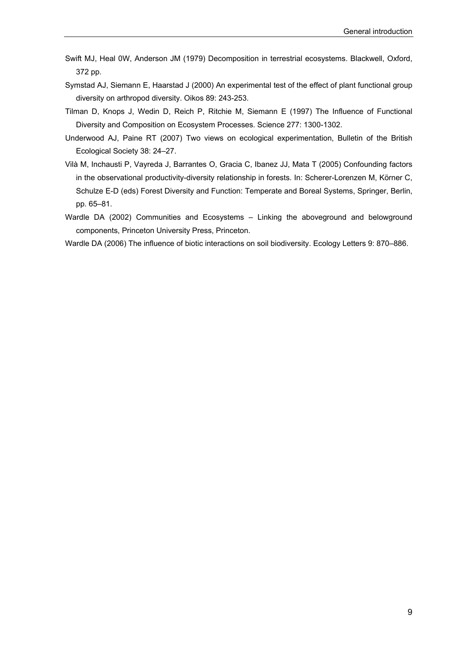- Swift MJ, Heal 0W, Anderson JM (1979) Decomposition in terrestrial ecosystems. Blackwell, Oxford, 372 pp.
- Symstad AJ, Siemann E, Haarstad J (2000) An experimental test of the effect of plant functional group diversity on arthropod diversity. Oikos 89: 243-253.
- Tilman D, Knops J, Wedin D, Reich P, Ritchie M, Siemann E (1997) The Influence of Functional Diversity and Composition on Ecosystem Processes. Science 277: 1300-1302.
- Underwood AJ, Paine RT (2007) Two views on ecological experimentation, Bulletin of the British Ecological Society 38: 24–27.
- Vilà M, Inchausti P, Vayreda J, Barrantes O, Gracia C, Ibanez JJ, Mata T (2005) Confounding factors in the observational productivity-diversity relationship in forests. In: Scherer-Lorenzen M, Körner C, Schulze E-D (eds) Forest Diversity and Function: Temperate and Boreal Systems, Springer, Berlin, pp. 65–81.
- Wardle DA (2002) Communities and Ecosystems Linking the aboveground and belowground components, Princeton University Press, Princeton.
- Wardle DA (2006) The influence of biotic interactions on soil biodiversity. Ecology Letters 9: 870–886.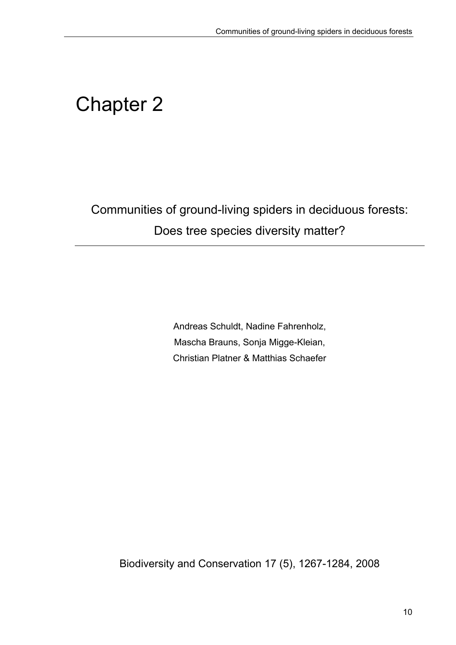# Chapter 2

Communities of ground-living spiders in deciduous forests: Does tree species diversity matter?

> Andreas Schuldt, Nadine Fahrenholz, Mascha Brauns, Sonja Migge-Kleian, Christian Platner & Matthias Schaefer

Biodiversity and Conservation 17 (5), 1267-1284, 2008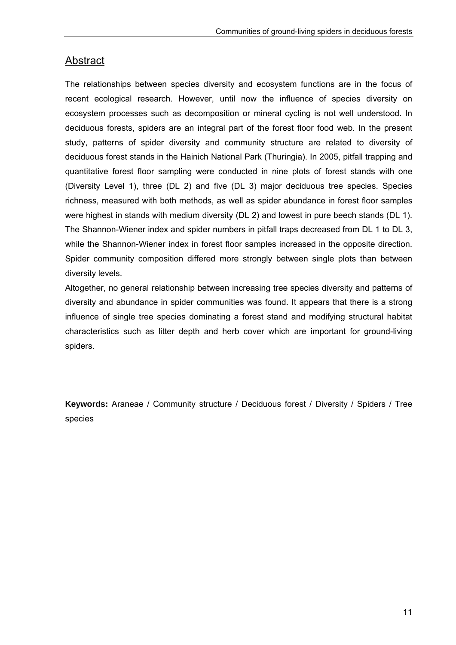# Abstract

The relationships between species diversity and ecosystem functions are in the focus of recent ecological research. However, until now the influence of species diversity on ecosystem processes such as decomposition or mineral cycling is not well understood. In deciduous forests, spiders are an integral part of the forest floor food web. In the present study, patterns of spider diversity and community structure are related to diversity of deciduous forest stands in the Hainich National Park (Thuringia). In 2005, pitfall trapping and quantitative forest floor sampling were conducted in nine plots of forest stands with one (Diversity Level 1), three (DL 2) and five (DL 3) major deciduous tree species. Species richness, measured with both methods, as well as spider abundance in forest floor samples were highest in stands with medium diversity (DL 2) and lowest in pure beech stands (DL 1). The Shannon-Wiener index and spider numbers in pitfall traps decreased from DL 1 to DL 3, while the Shannon-Wiener index in forest floor samples increased in the opposite direction. Spider community composition differed more strongly between single plots than between diversity levels.

Altogether, no general relationship between increasing tree species diversity and patterns of diversity and abundance in spider communities was found. It appears that there is a strong influence of single tree species dominating a forest stand and modifying structural habitat characteristics such as litter depth and herb cover which are important for ground-living spiders.

**Keywords:** Araneae / Community structure / Deciduous forest / Diversity / Spiders / Tree species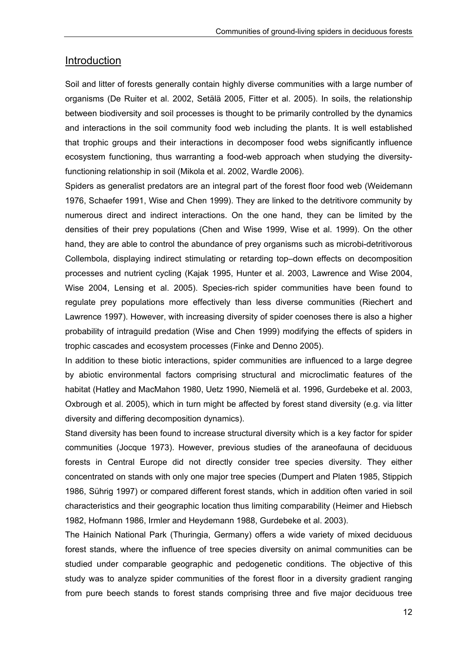#### Introduction

Soil and litter of forests generally contain highly diverse communities with a large number of organisms (De Ruiter et al. 2002, Setälä 2005, Fitter et al. 2005). In soils, the relationship between biodiversity and soil processes is thought to be primarily controlled by the dynamics and interactions in the soil community food web including the plants. It is well established that trophic groups and their interactions in decomposer food webs significantly influence ecosystem functioning, thus warranting a food-web approach when studying the diversityfunctioning relationship in soil (Mikola et al. 2002, Wardle 2006).

Spiders as generalist predators are an integral part of the forest floor food web (Weidemann 1976, Schaefer 1991, Wise and Chen 1999). They are linked to the detritivore community by numerous direct and indirect interactions. On the one hand, they can be limited by the densities of their prey populations (Chen and Wise 1999, Wise et al. 1999). On the other hand, they are able to control the abundance of prey organisms such as microbi-detritivorous Collembola, displaying indirect stimulating or retarding top–down effects on decomposition processes and nutrient cycling (Kajak 1995, Hunter et al. 2003, Lawrence and Wise 2004, Wise 2004, Lensing et al. 2005). Species-rich spider communities have been found to regulate prey populations more effectively than less diverse communities (Riechert and Lawrence 1997). However, with increasing diversity of spider coenoses there is also a higher probability of intraguild predation (Wise and Chen 1999) modifying the effects of spiders in trophic cascades and ecosystem processes (Finke and Denno 2005).

In addition to these biotic interactions, spider communities are influenced to a large degree by abiotic environmental factors comprising structural and microclimatic features of the habitat (Hatley and MacMahon 1980, Uetz 1990, Niemelä et al. 1996, Gurdebeke et al. 2003, Oxbrough et al. 2005), which in turn might be affected by forest stand diversity (e.g. via litter diversity and differing decomposition dynamics).

Stand diversity has been found to increase structural diversity which is a key factor for spider communities (Jocque 1973). However, previous studies of the araneofauna of deciduous forests in Central Europe did not directly consider tree species diversity. They either concentrated on stands with only one major tree species (Dumpert and Platen 1985, Stippich 1986, Sührig 1997) or compared different forest stands, which in addition often varied in soil characteristics and their geographic location thus limiting comparability (Heimer and Hiebsch 1982, Hofmann 1986, Irmler and Heydemann 1988, Gurdebeke et al. 2003).

The Hainich National Park (Thuringia, Germany) offers a wide variety of mixed deciduous forest stands, where the influence of tree species diversity on animal communities can be studied under comparable geographic and pedogenetic conditions. The objective of this study was to analyze spider communities of the forest floor in a diversity gradient ranging from pure beech stands to forest stands comprising three and five major deciduous tree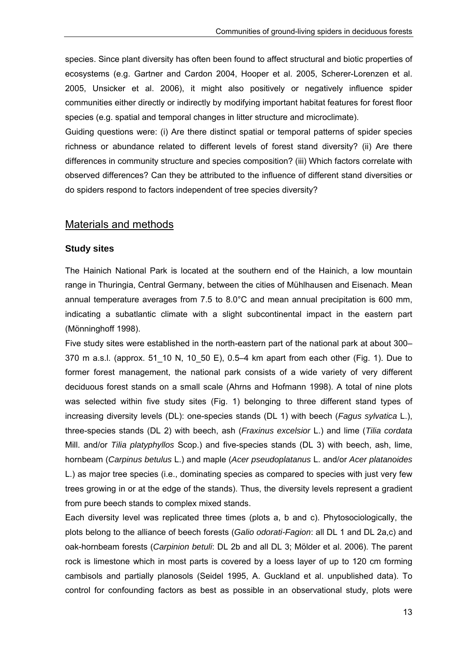species. Since plant diversity has often been found to affect structural and biotic properties of ecosystems (e.g. Gartner and Cardon 2004, Hooper et al. 2005, Scherer-Lorenzen et al. 2005, Unsicker et al. 2006), it might also positively or negatively influence spider communities either directly or indirectly by modifying important habitat features for forest floor species (e.g. spatial and temporal changes in litter structure and microclimate).

Guiding questions were: (i) Are there distinct spatial or temporal patterns of spider species richness or abundance related to different levels of forest stand diversity? (ii) Are there differences in community structure and species composition? (iii) Which factors correlate with observed differences? Can they be attributed to the influence of different stand diversities or do spiders respond to factors independent of tree species diversity?

#### Materials and methods

#### **Study sites**

The Hainich National Park is located at the southern end of the Hainich, a low mountain range in Thuringia, Central Germany, between the cities of Mühlhausen and Eisenach. Mean annual temperature averages from 7.5 to 8.0°C and mean annual precipitation is 600 mm, indicating a subatlantic climate with a slight subcontinental impact in the eastern part (Mönninghoff 1998).

Five study sites were established in the north-eastern part of the national park at about 300– 370 m a.s.l. (approx. 51\_10 N, 10\_50 E), 0.5–4 km apart from each other (Fig. 1). Due to former forest management, the national park consists of a wide variety of very different deciduous forest stands on a small scale (Ahrns and Hofmann 1998). A total of nine plots was selected within five study sites (Fig. 1) belonging to three different stand types of increasing diversity levels (DL): one-species stands (DL 1) with beech (*Fagus sylvatica* L.), three-species stands (DL 2) with beech, ash (*Fraxinus excelsior* L.) and lime (*Tilia cordata* Mill. and/or *Tilia platyphyllos* Scop.) and five-species stands (DL 3) with beech, ash, lime, hornbeam (*Carpinus betulus* L.) and maple (*Acer pseudoplatanus* L. and/or *Acer platanoides* L.) as major tree species (i.e., dominating species as compared to species with just very few trees growing in or at the edge of the stands). Thus, the diversity levels represent a gradient from pure beech stands to complex mixed stands.

Each diversity level was replicated three times (plots a, b and c). Phytosociologically, the plots belong to the alliance of beech forests (*Galio odorati-Fagion*: all DL 1 and DL 2a,c) and oak-hornbeam forests (*Carpinion betuli*: DL 2b and all DL 3; Mölder et al. 2006). The parent rock is limestone which in most parts is covered by a loess layer of up to 120 cm forming cambisols and partially planosols (Seidel 1995, A. Guckland et al. unpublished data). To control for confounding factors as best as possible in an observational study, plots were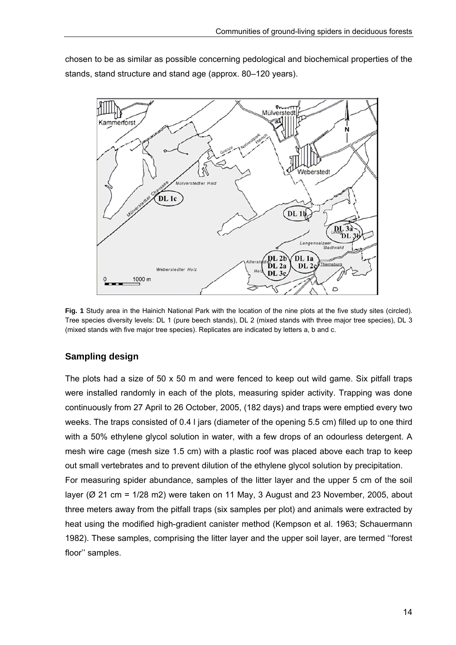chosen to be as similar as possible concerning pedological and biochemical properties of the stands, stand structure and stand age (approx. 80–120 years).



**Fig. 1** Study area in the Hainich National Park with the location of the nine plots at the five study sites (circled). Tree species diversity levels: DL 1 (pure beech stands), DL 2 (mixed stands with three major tree species), DL 3 (mixed stands with five major tree species). Replicates are indicated by letters a, b and c.

#### **Sampling design**

The plots had a size of 50  $\times$  50 m and were fenced to keep out wild game. Six pitfall traps were installed randomly in each of the plots, measuring spider activity. Trapping was done continuously from 27 April to 26 October, 2005, (182 days) and traps were emptied every two weeks. The traps consisted of 0.4 l jars (diameter of the opening 5.5 cm) filled up to one third with a 50% ethylene glycol solution in water, with a few drops of an odourless detergent. A mesh wire cage (mesh size 1.5 cm) with a plastic roof was placed above each trap to keep out small vertebrates and to prevent dilution of the ethylene glycol solution by precipitation.

For measuring spider abundance, samples of the litter layer and the upper 5 cm of the soil layer ( $\varnothing$  21 cm = 1/28 m2) were taken on 11 May, 3 August and 23 November, 2005, about three meters away from the pitfall traps (six samples per plot) and animals were extracted by heat using the modified high-gradient canister method (Kempson et al. 1963; Schauermann 1982). These samples, comprising the litter layer and the upper soil layer, are termed ''forest floor'' samples.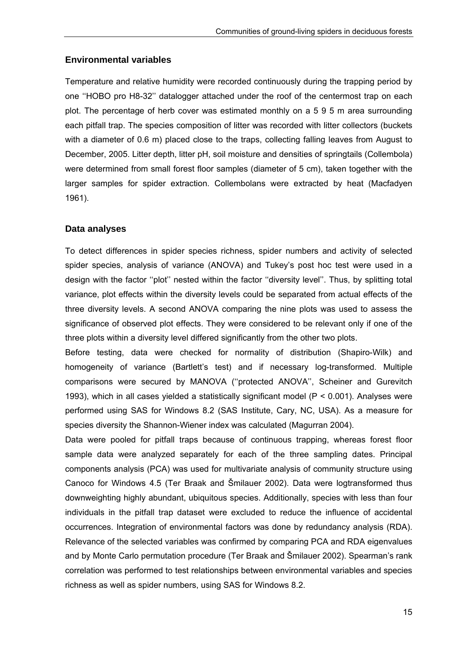#### **Environmental variables**

Temperature and relative humidity were recorded continuously during the trapping period by one ''HOBO pro H8-32'' datalogger attached under the roof of the centermost trap on each plot. The percentage of herb cover was estimated monthly on a 5 9 5 m area surrounding each pitfall trap. The species composition of litter was recorded with litter collectors (buckets with a diameter of 0.6 m) placed close to the traps, collecting falling leaves from August to December, 2005. Litter depth, litter pH, soil moisture and densities of springtails (Collembola) were determined from small forest floor samples (diameter of 5 cm), taken together with the larger samples for spider extraction. Collembolans were extracted by heat (Macfadyen 1961).

#### **Data analyses**

To detect differences in spider species richness, spider numbers and activity of selected spider species, analysis of variance (ANOVA) and Tukey's post hoc test were used in a design with the factor ''plot'' nested within the factor ''diversity level''. Thus, by splitting total variance, plot effects within the diversity levels could be separated from actual effects of the three diversity levels. A second ANOVA comparing the nine plots was used to assess the significance of observed plot effects. They were considered to be relevant only if one of the three plots within a diversity level differed significantly from the other two plots.

Before testing, data were checked for normality of distribution (Shapiro-Wilk) and homogeneity of variance (Bartlett's test) and if necessary log-transformed. Multiple comparisons were secured by MANOVA (''protected ANOVA'', Scheiner and Gurevitch 1993), which in all cases yielded a statistically significant model (P < 0.001). Analyses were performed using SAS for Windows 8.2 (SAS Institute, Cary, NC, USA). As a measure for species diversity the Shannon-Wiener index was calculated (Magurran 2004).

Data were pooled for pitfall traps because of continuous trapping, whereas forest floor sample data were analyzed separately for each of the three sampling dates. Principal components analysis (PCA) was used for multivariate analysis of community structure using Canoco for Windows 4.5 (Ter Braak and Šmilauer 2002). Data were logtransformed thus downweighting highly abundant, ubiquitous species. Additionally, species with less than four individuals in the pitfall trap dataset were excluded to reduce the influence of accidental occurrences. Integration of environmental factors was done by redundancy analysis (RDA). Relevance of the selected variables was confirmed by comparing PCA and RDA eigenvalues and by Monte Carlo permutation procedure (Ter Braak and Šmilauer 2002). Spearman's rank correlation was performed to test relationships between environmental variables and species richness as well as spider numbers, using SAS for Windows 8.2.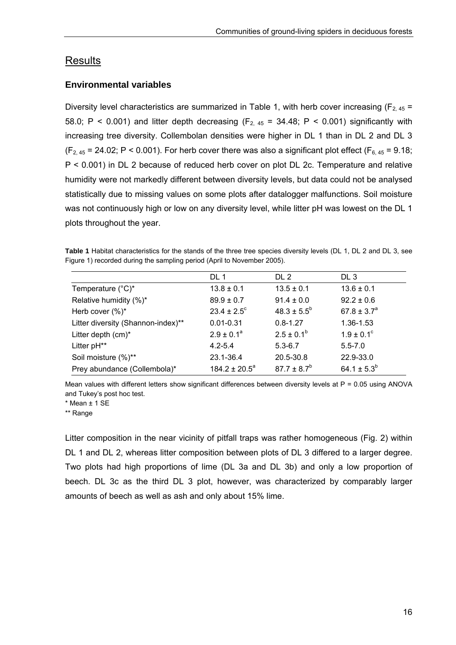## Results

#### **Environmental variables**

Diversity level characteristics are summarized in Table 1, with herb cover increasing ( $F_{2,45}$  = 58.0; P < 0.001) and litter depth decreasing  $(F_{2,45} = 34.48; P \lt 0.001)$  significantly with increasing tree diversity. Collembolan densities were higher in DL 1 than in DL 2 and DL 3  $(F_{2,45} = 24.02; P < 0.001)$ . For herb cover there was also a significant plot effect (F<sub>6, 45</sub> = 9.18; P < 0.001) in DL 2 because of reduced herb cover on plot DL 2c. Temperature and relative humidity were not markedly different between diversity levels, but data could not be analysed statistically due to missing values on some plots after datalogger malfunctions. Soil moisture was not continuously high or low on any diversity level, while litter pH was lowest on the DL 1 plots throughout the year.

**Table 1** Habitat characteristics for the stands of the three tree species diversity levels (DL 1, DL 2 and DL 3, see Figure 1) recorded during the sampling period (April to November 2005).

| DL 1                   | DL <sub>2</sub>  | DL <sub>3</sub>       |
|------------------------|------------------|-----------------------|
| $13.8 \pm 0.1$         | $13.5 \pm 0.1$   | $13.6 \pm 0.1$        |
| $89.9 \pm 0.7$         | $91.4 \pm 0.0$   | $92.2 \pm 0.6$        |
| $23.4 \pm 2.5^{\circ}$ | $48.3 \pm 5.5^b$ | $67.8 \pm 3.7^a$      |
| $0.01 - 0.31$          | $0.8 - 1.27$     | 1.36-1.53             |
| $2.9 \pm 0.1^a$        | $2.5 \pm 0.1^b$  | $1.9 \pm 0.1^{\circ}$ |
| $4.2 - 5.4$            | $5.3 - 6.7$      | $5.5 - 7.0$           |
| 23.1-36.4              | 20.5-30.8        | 22.9-33.0             |
| $184.2 \pm 20.5^a$     | $87.7 \pm 8.7^b$ | 64.1 ± $5.3^b$        |
|                        |                  |                       |

Mean values with different letters show significant differences between diversity levels at  $P = 0.05$  using ANOVA and Tukey's post hoc test.

\* Mean ± 1 SE

\*\* Range

Litter composition in the near vicinity of pitfall traps was rather homogeneous (Fig. 2) within DL 1 and DL 2, whereas litter composition between plots of DL 3 differed to a larger degree. Two plots had high proportions of lime (DL 3a and DL 3b) and only a low proportion of beech. DL 3c as the third DL 3 plot, however, was characterized by comparably larger amounts of beech as well as ash and only about 15% lime.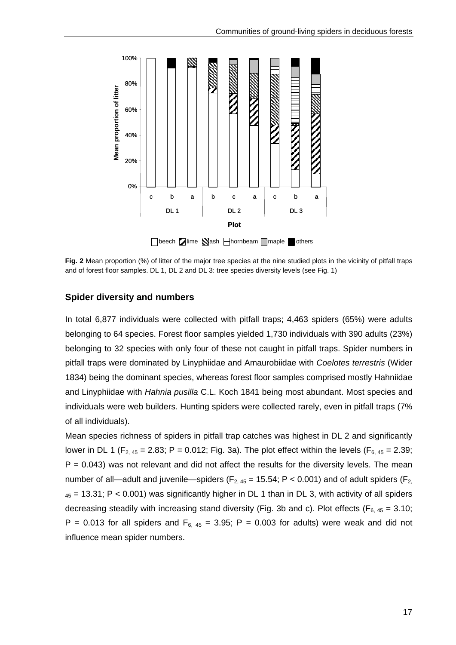

 $\Box$ beech  $\Box$ lime  $\Box$ ash  $\Box$ hornbeam  $\Box$ maple  $\Box$ others

**Fig. 2** Mean proportion (%) of litter of the major tree species at the nine studied plots in the vicinity of pitfall traps and of forest floor samples. DL 1, DL 2 and DL 3: tree species diversity levels (see Fig. 1)

#### **Spider diversity and numbers**

In total 6,877 individuals were collected with pitfall traps; 4,463 spiders (65%) were adults belonging to 64 species. Forest floor samples yielded 1,730 individuals with 390 adults (23%) belonging to 32 species with only four of these not caught in pitfall traps. Spider numbers in pitfall traps were dominated by Linyphiidae and Amaurobiidae with *Coelotes terrestris* (Wider 1834) being the dominant species, whereas forest floor samples comprised mostly Hahniidae and Linyphiidae with *Hahnia pusilla* C.L. Koch 1841 being most abundant. Most species and individuals were web builders. Hunting spiders were collected rarely, even in pitfall traps (7% of all individuals).

Mean species richness of spiders in pitfall trap catches was highest in DL 2 and significantly lower in DL 1 (F<sub>2, 45</sub> = 2.83; P = 0.012; Fig. 3a). The plot effect within the levels (F<sub>6, 45</sub> = 2.39;  $P = 0.043$ ) was not relevant and did not affect the results for the diversity levels. The mean number of all—adult and juvenile—spiders ( $F_{2,45}$  = 15.54; P < 0.001) and of adult spiders ( $F_{2,45}$  $_{45}$  = 13.31; P < 0.001) was significantly higher in DL 1 than in DL 3, with activity of all spiders decreasing steadily with increasing stand diversity (Fig. 3b and c). Plot effects ( $F_{6, 45} = 3.10$ ; P = 0.013 for all spiders and  $F_{6, 45}$  = 3.95; P = 0.003 for adults) were weak and did not influence mean spider numbers.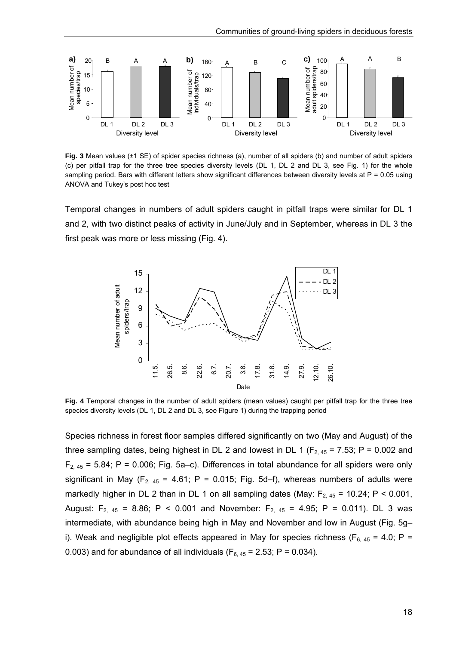

**Fig. 3** Mean values (±1 SE) of spider species richness (a), number of all spiders (b) and number of adult spiders (c) per pitfall trap for the three tree species diversity levels (DL 1, DL 2 and DL 3, see Fig. 1) for the whole sampling period. Bars with different letters show significant differences between diversity levels at P = 0.05 using ANOVA and Tukey's post hoc test

Temporal changes in numbers of adult spiders caught in pitfall traps were similar for DL 1 and 2, with two distinct peaks of activity in June/July and in September, whereas in DL 3 the first peak was more or less missing (Fig. 4).



**Fig. 4** Temporal changes in the number of adult spiders (mean values) caught per pitfall trap for the three tree species diversity levels (DL 1, DL 2 and DL 3, see Figure 1) during the trapping period

Species richness in forest floor samples differed significantly on two (May and August) of the three sampling dates, being highest in DL 2 and lowest in DL 1 ( $F_{2,45}$  = 7.53; P = 0.002 and  $F_{2,45}$  = 5.84; P = 0.006; Fig. 5a–c). Differences in total abundance for all spiders were only significant in May ( $F_{2, 45}$  = 4.61; P = 0.015; Fig. 5d–f), whereas numbers of adults were markedly higher in DL 2 than in DL 1 on all sampling dates (May:  $F_{2, 45}$  = 10.24; P < 0.001, August:  $F_{2, 45} = 8.86$ ; P < 0.001 and November:  $F_{2, 45} = 4.95$ ; P = 0.011). DL 3 was intermediate, with abundance being high in May and November and low in August (Fig. 5g– i). Weak and negligible plot effects appeared in May for species richness ( $F_{6, 45}$  = 4.0; P = 0.003) and for abundance of all individuals ( $F_{6, 45} = 2.53$ ; P = 0.034).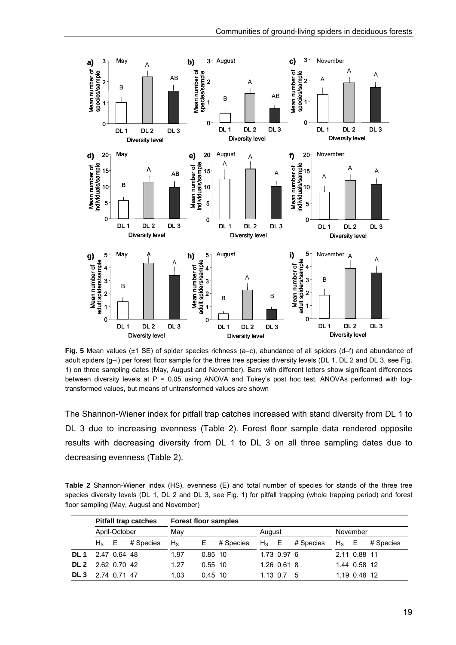

**Fig. 5** Mean values (±1 SE) of spider species richness (a–c), abundance of all spiders (d–f) and abundance of adult spiders (g–i) per forest floor sample for the three tree species diversity levels (DL 1, DL 2 and DL 3, see Fig. 1) on three sampling dates (May, August and November). Bars with different letters show significant differences between diversity levels at P = 0.05 using ANOVA and Tukey's post hoc test. ANOVAs performed with logtransformed values, but means of untransformed values are shown

The Shannon-Wiener index for pitfall trap catches increased with stand diversity from DL 1 to DL 3 due to increasing evenness (Table 2). Forest floor sample data rendered opposite results with decreasing diversity from DL 1 to DL 3 on all three sampling dates due to decreasing evenness (Table 2).

**Table 2** Shannon-Wiener index (HS), evenness (E) and total number of species for stands of the three tree species diversity levels (DL 1, DL 2 and DL 3, see Fig. 1) for pitfall trapping (whole trapping period) and forest floor sampling (May, August and November)

|                 |               |  | <b>Pitfall trap catches</b> | <b>Forest floor samples</b> |           |           |         |                  |           |          |              |           |
|-----------------|---------------|--|-----------------------------|-----------------------------|-----------|-----------|---------|------------------|-----------|----------|--------------|-----------|
|                 | April-October |  |                             | May                         |           |           | August  |                  |           | November |              |           |
|                 | $H_s$ E       |  | # Species                   | $H_{\rm S}$                 | E         | # Species | $H_S$ E |                  | # Species | $H_s$ E  |              | # Species |
| DL 1            | 2.47 0.64 48  |  |                             | 1.97                        | $0.85$ 10 |           |         | 1.73 0.97 6      |           |          | 2.11 0.88 11 |           |
| DL 2            | 2.62 0.70 42  |  |                             | 1.27                        | $0.55$ 10 |           |         | 1.26 0.61 8      |           |          | 1.44 0.58 12 |           |
| DL <sub>3</sub> | 2.74 0.71 47  |  |                             | 1.03                        | $0.45$ 10 |           |         | $1.13 \t0.7 \t5$ |           |          | 1.19 0.48 12 |           |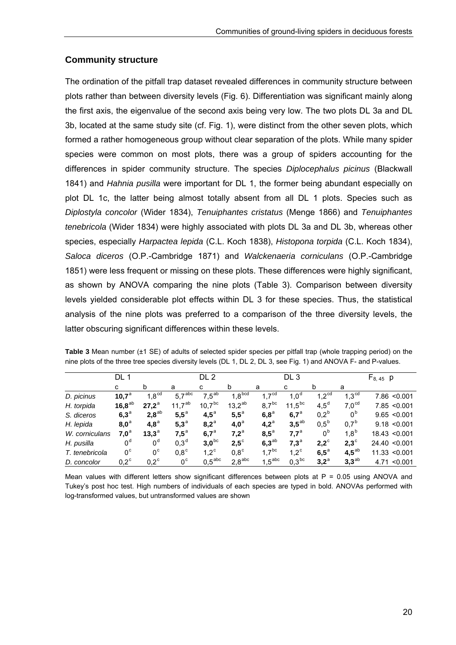#### **Community structure**

The ordination of the pitfall trap dataset revealed differences in community structure between plots rather than between diversity levels (Fig. 6). Differentiation was significant mainly along the first axis, the eigenvalue of the second axis being very low. The two plots DL 3a and DL 3b, located at the same study site (cf. Fig. 1), were distinct from the other seven plots, which formed a rather homogeneous group without clear separation of the plots. While many spider species were common on most plots, there was a group of spiders accounting for the differences in spider community structure. The species *Diplocephalus picinus* (Blackwall 1841) and *Hahnia pusilla* were important for DL 1, the former being abundant especially on plot DL 1c, the latter being almost totally absent from all DL 1 plots. Species such as *Diplostyla concolor* (Wider 1834), *Tenuiphantes cristatus* (Menge 1866) and *Tenuiphantes tenebricola* (Wider 1834) were highly associated with plots DL 3a and DL 3b, whereas other species, especially *Harpactea lepida* (C.L. Koch 1838), *Histopona torpida* (C.L. Koch 1834), *Saloca diceros* (O.P.-Cambridge 1871) and *Walckenaeria corniculans* (O.P.-Cambridge 1851) were less frequent or missing on these plots. These differences were highly significant, as shown by ANOVA comparing the nine plots (Table 3). Comparison between diversity levels yielded considerable plot effects within DL 3 for these species. Thus, the statistical analysis of the nine plots was preferred to a comparison of the three diversity levels, the latter obscuring significant differences within these levels.

|                | DL 1           |                   |                    | DL <sub>2</sub>    |                    |                    | DL <sub>3</sub>   |                   |                   | $F_{8,45}$ p      |  |
|----------------|----------------|-------------------|--------------------|--------------------|--------------------|--------------------|-------------------|-------------------|-------------------|-------------------|--|
|                | C              | b                 | a                  | C                  | b                  | a                  | C                 | b                 | a                 |                   |  |
| D. picinus     | $10,7^{\circ}$ | 1,8 <sup>cd</sup> | 5.7 <sup>abc</sup> | $7.5^{ab}$         | $1,8^{bcd}$        | 1.7 <sup>cd</sup>  | 1,0 <sup>d</sup>  | $1,2^{\text{cd}}$ | 1,3 <sup>cd</sup> | $7.86$ < 0.001    |  |
| H. torpida     | $16,8^{ab}$    | $27.2^a$          | $11,7^{ab}$        | $10,7^{bc}$        | $13,2^{ab}$        | $8,7^{\text{bc}}$  | $11,5^{bc}$       | $4,5^d$           | $7,0^{\text{cd}}$ | 7.85 < 0.001      |  |
| S. diceros     | $6,3^{\circ}$  | $2,8^{ab}$        | $5,5^{\circ}$      | $4,5^{\circ}$      | $5,5^{\circ}$      | $6,8^{\circ}$      | $6,7^{\circ}$     | 0.2 <sup>b</sup>  | $0^{\mathsf{b}}$  | 9.65 < 0.001      |  |
| H. lepida      | $8,0^a$        | $4,8^{\circ}$     | $5,3^{\circ}$      | $8,2^{\circ}$      | $4,0^a$            | $4,2^a$            | $3,5^{ab}$        | 0.5 <sup>b</sup>  | 0.7 <sup>b</sup>  | 9.18 < 0.001      |  |
| W. corniculans | $7,0^a$        | $13,3^a$          | $7,5^{\circ}$      | $6,7^{\circ}$      | $7,2^a$            | $8.5^{\circ}$      | 7.7 <sup>a</sup>  | 0 <sup>b</sup>    | $1,8^{\rm b}$     | $18.43 \le 0.001$ |  |
| H. pusilla     | $0^d$          | 0 <sup>d</sup>    | 0.3 <sup>d</sup>   | $3,0^{\rm bc}$     | $2,5^{\circ}$      | $6,3^{ab}$         | $7,3^a$           | $2,2^{\circ}$     | $2,3^{\circ}$     | $24.40 \le 0.001$ |  |
| T. tenebricola | $0^{\circ}$    | 0 <sup>c</sup>    | $0,8^{\circ}$      | $1.2^{\circ}$      | $0.8^\circ$        | 1.7 <sup>bc</sup>  | $1.2^{\circ}$     | $6,5^{\circ}$     | $4,5^{ab}$        | 11.33 < 0.001     |  |
| D. concolor    | $0.2^{\circ}$  | $0.2^{\circ}$     | $0^{\circ}$        | 0.5 <sup>abc</sup> | 2.8 <sup>abc</sup> | 1.5 <sup>abc</sup> | 0.3 <sup>bc</sup> | $3,2^a$           | $3,3^{ab}$        | $4.71 \le 0.001$  |  |

**Table 3** Mean number (±1 SE) of adults of selected spider species per pitfall trap (whole trapping period) on the nine plots of the three tree species diversity levels (DL 1, DL 2, DL 3, see Fig. 1) and ANOVA F- and P-values.

Mean values with different letters show significant differences between plots at  $P = 0.05$  using ANOVA and Tukey's post hoc test. High numbers of individuals of each species are typed in bold. ANOVAs performed with log-transformed values, but untransformed values are shown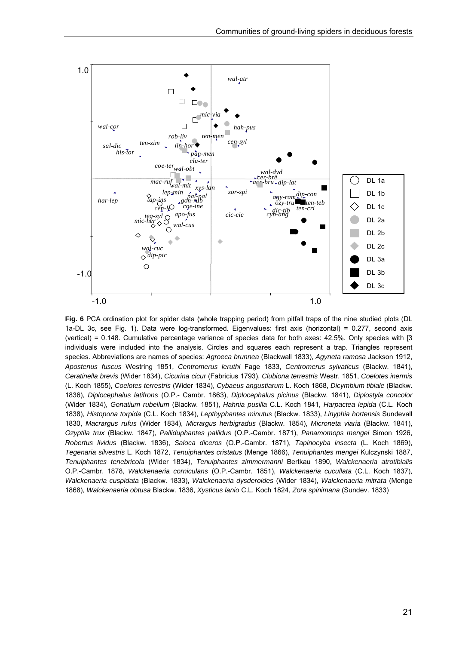

**Fig. 6** PCA ordination plot for spider data (whole trapping period) from pitfall traps of the nine studied plots (DL 1a-DL 3c, see Fig. 1). Data were log-transformed. Eigenvalues: first axis (horizontal) = 0.277, second axis (vertical) = 0.148. Cumulative percentage variance of species data for both axes: 42.5%. Only species with [3 individuals were included into the analysis. Circles and squares each represent a trap. Triangles represent species. Abbreviations are names of species: *Agroeca brunnea* (Blackwall 1833), *Agyneta ramosa* Jackson 1912, *Apostenus fuscus* Westring 1851, *Centromerus leruthi* Fage 1833, *Centromerus sylvaticus* (Blackw. 1841), *Ceratinella brevis* (Wider 1834), *Cicurina cicur* (Fabricius 1793), *Clubiona terrestris* Westr. 1851, *Coelotes inermis* (L. Koch 1855), *Coelotes terrestris* (Wider 1834), *Cybaeus angustiarum* L. Koch 1868, *Dicymbium tibiale* (Blackw. 1836), *Diplocephalus latifrons* (O.P.- Cambr. 1863), *Diplocephalus picinus* (Blackw. 1841), *Diplostyla concolor* (Wider 1834), *Gonatium rubellum* (Blackw. 1851), *Hahnia pusilla* C.L. Koch 1841, *Harpactea lepida* (C.L. Koch 1838), *Histopona torpida* (C.L. Koch 1834), *Lepthyphantes minutus* (Blackw. 1833), *Linyphia hortensis* Sundevall 1830, *Macrargus rufus* (Wider 1834), *Micrargus herbigradus* (Blackw. 1854), *Microneta viaria* (Blackw. 1841), *Ozyptila trux* (Blackw. 1847), *Palliduphantes pallidus* (O.P.-Cambr. 1871), *Panamomops mengei* Simon 1926, *Robertus lividus* (Blackw. 1836), *Saloca diceros* (O.P.-Cambr. 1871), *Tapinocyba insecta* (L. Koch 1869), *Tegenaria silvestris* L. Koch 1872, *Tenuiphantes cristatus* (Menge 1866), *Tenuiphantes mengei* Kulczynski 1887, *Tenuiphantes tenebricola* (Wider 1834), *Tenuiphantes zimmermanni* Bertkau 1890, *Walckenaeria atrotibialis* O.P.-Cambr. 1878, *Walckenaeria corniculans* (O.P.-Cambr. 1851), *Walckenaeria cucullata* (C.L. Koch 1837), *Walckenaeria cuspidata* (Blackw. 1833), *Walckenaeria dysderoides* (Wider 1834), *Walckenaeria mitrata* (Menge 1868), *Walckenaeria obtusa* Blackw. 1836, *Xysticus lanio* C.L. Koch 1824, *Zora spinimana* (Sundev. 1833)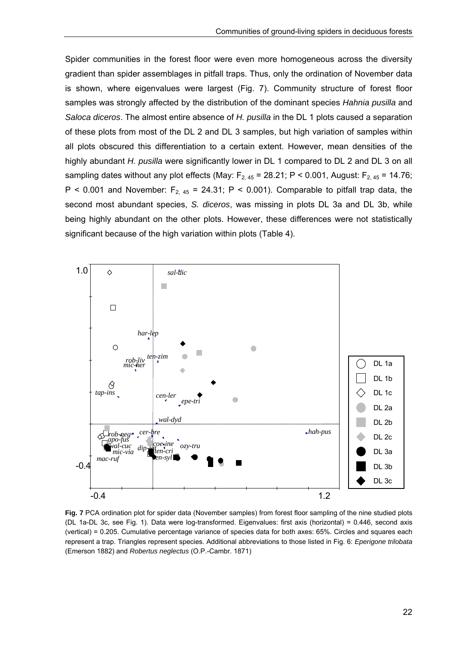Spider communities in the forest floor were even more homogeneous across the diversity gradient than spider assemblages in pitfall traps. Thus, only the ordination of November data is shown, where eigenvalues were largest (Fig. 7). Community structure of forest floor samples was strongly affected by the distribution of the dominant species *Hahnia pusilla* and *Saloca diceros*. The almost entire absence of *H. pusilla* in the DL 1 plots caused a separation of these plots from most of the DL 2 and DL 3 samples, but high variation of samples within all plots obscured this differentiation to a certain extent. However, mean densities of the highly abundant *H. pusilla* were significantly lower in DL 1 compared to DL 2 and DL 3 on all sampling dates without any plot effects (May:  $F_{2,45}$  = 28.21; P < 0.001, August:  $F_{2,45}$  = 14.76; P < 0.001 and November:  $F_{2,45}$  = 24.31; P < 0.001). Comparable to pitfall trap data, the second most abundant species, *S. diceros*, was missing in plots DL 3a and DL 3b, while being highly abundant on the other plots. However, these differences were not statistically significant because of the high variation within plots (Table 4).



**Fig. 7** PCA ordination plot for spider data (November samples) from forest floor sampling of the nine studied plots (DL 1a-DL 3c, see Fig. 1). Data were log-transformed. Eigenvalues: first axis (horizontal) = 0.446, second axis (vertical) = 0.205. Cumulative percentage variance of species data for both axes: 65%. Circles and squares each represent a trap. Triangles represent species. Additional abbreviations to those listed in Fig. 6: *Eperigone trilobata* (Emerson 1882) and *Robertus neglectus* (O.P.-Cambr. 1871)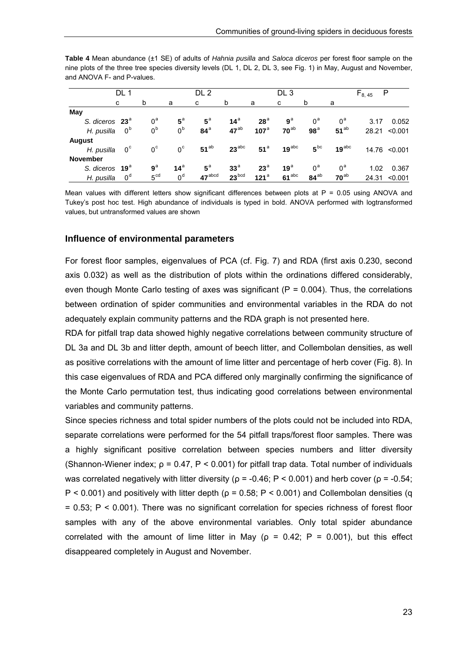|                            | DL 1           |                 |                | DL 2               |                   |                  | DL <sub>3</sub> |                 |                  | $F_{8,45}$<br>P |                   |  |
|----------------------------|----------------|-----------------|----------------|--------------------|-------------------|------------------|-----------------|-----------------|------------------|-----------------|-------------------|--|
|                            | C              | b               | a              | c                  | b                 | a                | c               | b               | a                |                 |                   |  |
| May                        |                |                 |                |                    |                   |                  |                 |                 |                  |                 |                   |  |
| S. diceros 23 <sup>ª</sup> |                | $0^a$           | $5^{\text{a}}$ | $5^{\circ}$        | 14 <sup>a</sup>   | 28 <sup>a</sup>  | $9^a$           | $0^a$           | $0^{\mathsf{a}}$ | 3.17            | 0.052             |  |
| H. pusilla                 | $0^{\text{b}}$ | $0^{\text{b}}$  | 0 <sup>b</sup> | $84^{\circ}$       | $47^{ab}$         | 107 <sup>a</sup> | $70^{ab}$       | 98 <sup>a</sup> | $51^{ab}$        |                 | 28.21 < 0.001     |  |
| <b>August</b>              |                |                 |                |                    |                   |                  |                 |                 |                  |                 |                   |  |
| H. pusilla                 | $0^{\circ}$    | $0^{\circ}$     | $0^{\circ}$    | $51^{ab}$          | $23^{abc}$        | 51 <sup>a</sup>  | $19^{abc}$      | $5^{bc}$        | $19^{abc}$       |                 | 14.76 < 0.001     |  |
| <b>November</b>            |                |                 |                |                    |                   |                  |                 |                 |                  |                 |                   |  |
| S. diceros 19 <sup>ª</sup> |                | $9^a$           | $14^a$         | $5^{\circ}$        | 33 <sup>a</sup>   | $23^{\circ}$     | 19 <sup>a</sup> | $0^a$           | $0^{\mathsf{a}}$ | 1.02            | 0.367             |  |
| H. pusilla                 | $0^d$          | 5 <sup>cd</sup> | 0 <sup>d</sup> | $47^{\text{abcd}}$ | 23 <sup>bcd</sup> | 121 <sup>a</sup> | $61^{abc}$      | $84^{ab}$       | $70^{ab}$        |                 | $24.31 \le 0.001$ |  |

**Table 4** Mean abundance (±1 SE) of adults of *Hahnia pusilla* and *Saloca diceros* per forest floor sample on the nine plots of the three tree species diversity levels (DL 1, DL 2, DL 3, see Fig. 1) in May, August and November, and ANOVA F- and P-values.

Mean values with different letters show significant differences between plots at  $P = 0.05$  using ANOVA and Tukey's post hoc test. High abundance of individuals is typed in bold. ANOVA performed with logtransformed values, but untransformed values are shown

#### **Influence of environmental parameters**

For forest floor samples, eigenvalues of PCA (cf. Fig. 7) and RDA (first axis 0.230, second axis 0.032) as well as the distribution of plots within the ordinations differed considerably, even though Monte Carlo testing of axes was significant ( $P = 0.004$ ). Thus, the correlations between ordination of spider communities and environmental variables in the RDA do not adequately explain community patterns and the RDA graph is not presented here.

RDA for pitfall trap data showed highly negative correlations between community structure of DL 3a and DL 3b and litter depth, amount of beech litter, and Collembolan densities, as well as positive correlations with the amount of lime litter and percentage of herb cover (Fig. 8). In this case eigenvalues of RDA and PCA differed only marginally confirming the significance of the Monte Carlo permutation test, thus indicating good correlations between environmental variables and community patterns.

Since species richness and total spider numbers of the plots could not be included into RDA, separate correlations were performed for the 54 pitfall traps/forest floor samples. There was a highly significant positive correlation between species numbers and litter diversity (Shannon-Wiener index;  $\rho = 0.47$ ,  $P < 0.001$ ) for pitfall trap data. Total number of individuals was correlated negatively with litter diversity ( $\rho = -0.46$ ; P < 0.001) and herb cover ( $\rho = -0.54$ ;  $P < 0.001$ ) and positively with litter depth ( $\rho = 0.58$ ; P < 0.001) and Collembolan densities (q = 0.53; P < 0.001). There was no significant correlation for species richness of forest floor samples with any of the above environmental variables. Only total spider abundance correlated with the amount of lime litter in May ( $p = 0.42$ ;  $P = 0.001$ ), but this effect disappeared completely in August and November.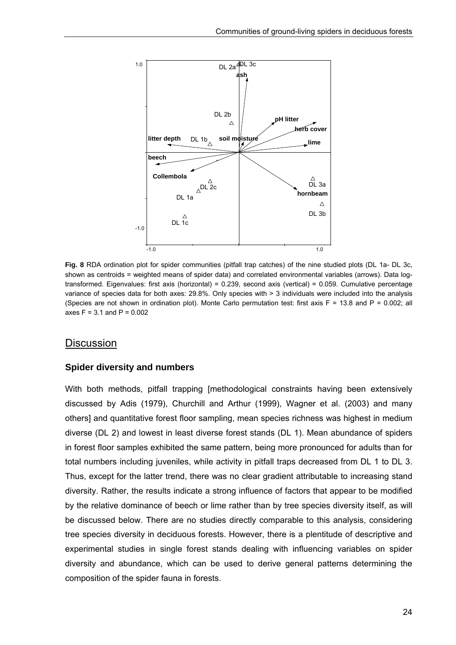

**Fig. 8** RDA ordination plot for spider communities (pitfall trap catches) of the nine studied plots (DL 1a- DL 3c, shown as centroids = weighted means of spider data) and correlated environmental variables (arrows). Data logtransformed. Eigenvalues: first axis (horizontal) = 0.239, second axis (vertical) = 0.059. Cumulative percentage variance of species data for both axes: 29.8%. Only species with > 3 individuals were included into the analysis (Species are not shown in ordination plot). Monte Carlo permutation test: first axis  $F = 13.8$  and  $P = 0.002$ ; all axes  $F = 3.1$  and  $P = 0.002$ 

#### **Discussion**

#### **Spider diversity and numbers**

With both methods, pitfall trapping [methodological constraints having been extensively discussed by Adis (1979), Churchill and Arthur (1999), Wagner et al. (2003) and many others] and quantitative forest floor sampling, mean species richness was highest in medium diverse (DL 2) and lowest in least diverse forest stands (DL 1). Mean abundance of spiders in forest floor samples exhibited the same pattern, being more pronounced for adults than for total numbers including juveniles, while activity in pitfall traps decreased from DL 1 to DL 3. Thus, except for the latter trend, there was no clear gradient attributable to increasing stand diversity. Rather, the results indicate a strong influence of factors that appear to be modified by the relative dominance of beech or lime rather than by tree species diversity itself, as will be discussed below. There are no studies directly comparable to this analysis, considering tree species diversity in deciduous forests. However, there is a plentitude of descriptive and experimental studies in single forest stands dealing with influencing variables on spider diversity and abundance, which can be used to derive general patterns determining the composition of the spider fauna in forests.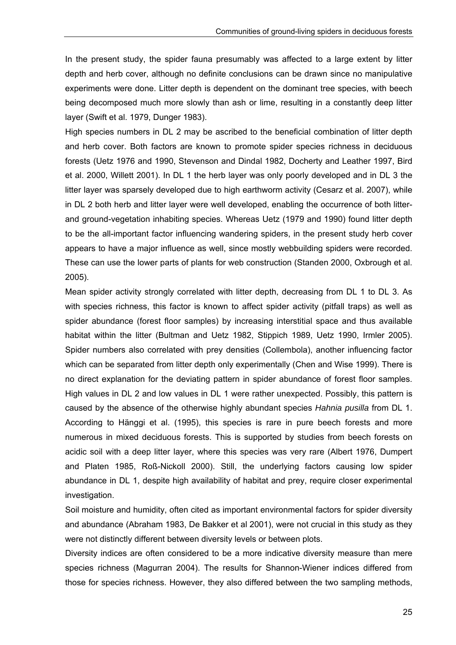In the present study, the spider fauna presumably was affected to a large extent by litter depth and herb cover, although no definite conclusions can be drawn since no manipulative experiments were done. Litter depth is dependent on the dominant tree species, with beech being decomposed much more slowly than ash or lime, resulting in a constantly deep litter layer (Swift et al. 1979, Dunger 1983).

High species numbers in DL 2 may be ascribed to the beneficial combination of litter depth and herb cover. Both factors are known to promote spider species richness in deciduous forests (Uetz 1976 and 1990, Stevenson and Dindal 1982, Docherty and Leather 1997, Bird et al. 2000, Willett 2001). In DL 1 the herb layer was only poorly developed and in DL 3 the litter layer was sparsely developed due to high earthworm activity (Cesarz et al. 2007), while in DL 2 both herb and litter layer were well developed, enabling the occurrence of both litterand ground-vegetation inhabiting species. Whereas Uetz (1979 and 1990) found litter depth to be the all-important factor influencing wandering spiders, in the present study herb cover appears to have a major influence as well, since mostly webbuilding spiders were recorded. These can use the lower parts of plants for web construction (Standen 2000, Oxbrough et al. 2005).

Mean spider activity strongly correlated with litter depth, decreasing from DL 1 to DL 3. As with species richness, this factor is known to affect spider activity (pitfall traps) as well as spider abundance (forest floor samples) by increasing interstitial space and thus available habitat within the litter (Bultman and Uetz 1982, Stippich 1989, Uetz 1990, Irmler 2005). Spider numbers also correlated with prey densities (Collembola), another influencing factor which can be separated from litter depth only experimentally (Chen and Wise 1999). There is no direct explanation for the deviating pattern in spider abundance of forest floor samples. High values in DL 2 and low values in DL 1 were rather unexpected. Possibly, this pattern is caused by the absence of the otherwise highly abundant species *Hahnia pusilla* from DL 1. According to Hänggi et al. (1995), this species is rare in pure beech forests and more numerous in mixed deciduous forests. This is supported by studies from beech forests on acidic soil with a deep litter layer, where this species was very rare (Albert 1976, Dumpert and Platen 1985, Roß-Nickoll 2000). Still, the underlying factors causing low spider abundance in DL 1, despite high availability of habitat and prey, require closer experimental investigation.

Soil moisture and humidity, often cited as important environmental factors for spider diversity and abundance (Abraham 1983, De Bakker et al 2001), were not crucial in this study as they were not distinctly different between diversity levels or between plots.

Diversity indices are often considered to be a more indicative diversity measure than mere species richness (Magurran 2004). The results for Shannon-Wiener indices differed from those for species richness. However, they also differed between the two sampling methods,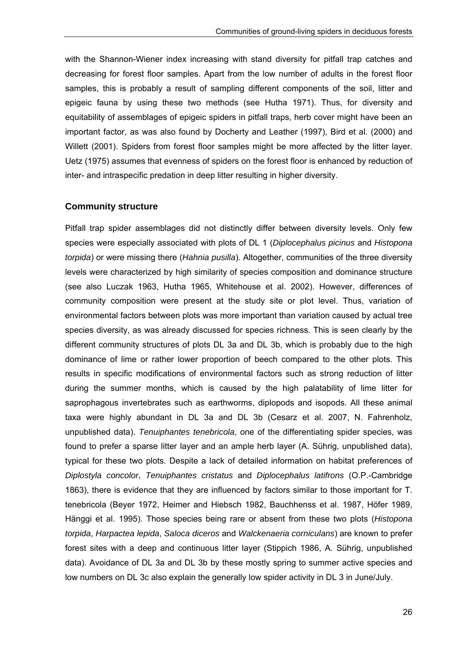with the Shannon-Wiener index increasing with stand diversity for pitfall trap catches and decreasing for forest floor samples. Apart from the low number of adults in the forest floor samples, this is probably a result of sampling different components of the soil, litter and epigeic fauna by using these two methods (see Hutha 1971). Thus, for diversity and equitability of assemblages of epigeic spiders in pitfall traps, herb cover might have been an important factor, as was also found by Docherty and Leather (1997), Bird et al. (2000) and Willett (2001). Spiders from forest floor samples might be more affected by the litter layer. Uetz (1975) assumes that evenness of spiders on the forest floor is enhanced by reduction of inter- and intraspecific predation in deep litter resulting in higher diversity.

#### **Community structure**

Pitfall trap spider assemblages did not distinctly differ between diversity levels. Only few species were especially associated with plots of DL 1 (*Diplocephalus picinus* and *Histopona torpida*) or were missing there (*Hahnia pusilla*). Altogether, communities of the three diversity levels were characterized by high similarity of species composition and dominance structure (see also Luczak 1963, Hutha 1965, Whitehouse et al. 2002). However, differences of community composition were present at the study site or plot level. Thus, variation of environmental factors between plots was more important than variation caused by actual tree species diversity, as was already discussed for species richness. This is seen clearly by the different community structures of plots DL 3a and DL 3b, which is probably due to the high dominance of lime or rather lower proportion of beech compared to the other plots. This results in specific modifications of environmental factors such as strong reduction of litter during the summer months, which is caused by the high palatability of lime litter for saprophagous invertebrates such as earthworms, diplopods and isopods. All these animal taxa were highly abundant in DL 3a and DL 3b (Cesarz et al. 2007, N. Fahrenholz, unpublished data). *Tenuiphantes tenebricola*, one of the differentiating spider species, was found to prefer a sparse litter layer and an ample herb layer (A. Sührig, unpublished data), typical for these two plots. Despite a lack of detailed information on habitat preferences of *Diplostyla concolor*, *Tenuiphantes cristatus* and *Diplocephalus latifrons* (O.P.-Cambridge 1863), there is evidence that they are influenced by factors similar to those important for T. tenebricola (Beyer 1972, Heimer and Hiebsch 1982, Bauchhenss et al. 1987, Höfer 1989, Hänggi et al. 1995). Those species being rare or absent from these two plots (*Histopona torpida*, *Harpactea lepida*, *Saloca diceros* and *Walckenaeria corniculans*) are known to prefer forest sites with a deep and continuous litter layer (Stippich 1986, A. Sührig, unpublished data). Avoidance of DL 3a and DL 3b by these mostly spring to summer active species and low numbers on DL 3c also explain the generally low spider activity in DL 3 in June/July.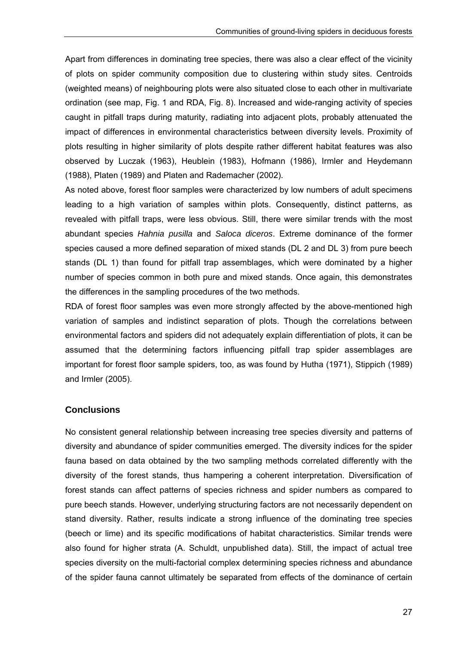Apart from differences in dominating tree species, there was also a clear effect of the vicinity of plots on spider community composition due to clustering within study sites. Centroids (weighted means) of neighbouring plots were also situated close to each other in multivariate ordination (see map, Fig. 1 and RDA, Fig. 8). Increased and wide-ranging activity of species caught in pitfall traps during maturity, radiating into adjacent plots, probably attenuated the impact of differences in environmental characteristics between diversity levels. Proximity of plots resulting in higher similarity of plots despite rather different habitat features was also observed by Luczak (1963), Heublein (1983), Hofmann (1986), Irmler and Heydemann (1988), Platen (1989) and Platen and Rademacher (2002).

As noted above, forest floor samples were characterized by low numbers of adult specimens leading to a high variation of samples within plots. Consequently, distinct patterns, as revealed with pitfall traps, were less obvious. Still, there were similar trends with the most abundant species *Hahnia pusilla* and *Saloca diceros*. Extreme dominance of the former species caused a more defined separation of mixed stands (DL 2 and DL 3) from pure beech stands (DL 1) than found for pitfall trap assemblages, which were dominated by a higher number of species common in both pure and mixed stands. Once again, this demonstrates the differences in the sampling procedures of the two methods.

RDA of forest floor samples was even more strongly affected by the above-mentioned high variation of samples and indistinct separation of plots. Though the correlations between environmental factors and spiders did not adequately explain differentiation of plots, it can be assumed that the determining factors influencing pitfall trap spider assemblages are important for forest floor sample spiders, too, as was found by Hutha (1971), Stippich (1989) and Irmler (2005).

#### **Conclusions**

No consistent general relationship between increasing tree species diversity and patterns of diversity and abundance of spider communities emerged. The diversity indices for the spider fauna based on data obtained by the two sampling methods correlated differently with the diversity of the forest stands, thus hampering a coherent interpretation. Diversification of forest stands can affect patterns of species richness and spider numbers as compared to pure beech stands. However, underlying structuring factors are not necessarily dependent on stand diversity. Rather, results indicate a strong influence of the dominating tree species (beech or lime) and its specific modifications of habitat characteristics. Similar trends were also found for higher strata (A. Schuldt, unpublished data). Still, the impact of actual tree species diversity on the multi-factorial complex determining species richness and abundance of the spider fauna cannot ultimately be separated from effects of the dominance of certain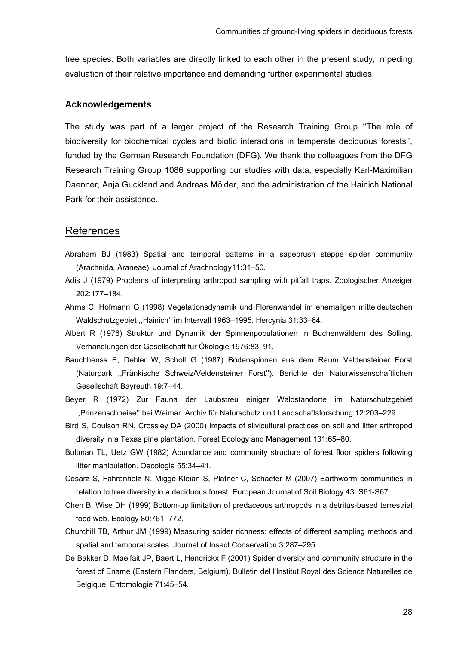tree species. Both variables are directly linked to each other in the present study, impeding evaluation of their relative importance and demanding further experimental studies.

#### **Acknowledgements**

The study was part of a larger project of the Research Training Group ''The role of biodiversity for biochemical cycles and biotic interactions in temperate deciduous forests'', funded by the German Research Foundation (DFG). We thank the colleagues from the DFG Research Training Group 1086 supporting our studies with data, especially Karl-Maximilian Daenner, Anja Guckland and Andreas Mölder, and the administration of the Hainich National Park for their assistance.

### References

- Abraham BJ (1983) Spatial and temporal patterns in a sagebrush steppe spider community (Arachnida, Araneae). Journal of Arachnology11:31–50.
- Adis J (1979) Problems of interpreting arthropod sampling with pitfall traps. Zoologischer Anzeiger 202:177–184.
- Ahrns C, Hofmann G (1998) Vegetationsdynamik und Florenwandel im ehemaligen mitteldeutschen Waldschutzgebiet ,,Hainich'' im Intervall 1963–1995. Hercynia 31:33–64.
- Albert R (1976) Struktur und Dynamik der Spinnenpopulationen in Buchenwäldern des Solling. Verhandlungen der Gesellschaft für Ökologie 1976:83–91.
- Bauchhenss E, Dehler W, Scholl G (1987) Bodenspinnen aus dem Raum Veldensteiner Forst (Naturpark ,,Fränkische Schweiz/Veldensteiner Forst''). Berichte der Naturwissenschaftlichen Gesellschaft Bayreuth 19:7–44.
- Beyer R (1972) Zur Fauna der Laubstreu einiger Waldstandorte im Naturschutzgebiet ,,Prinzenschneise'' bei Weimar. Archiv für Naturschutz und Landschaftsforschung 12:203–229.
- Bird S, Coulson RN, Crossley DA (2000) Impacts of silvicultural practices on soil and litter arthropod diversity in a Texas pine plantation. Forest Ecology and Management 131:65–80.
- Bultman TL, Uetz GW (1982) Abundance and community structure of forest floor spiders following litter manipulation. Oecologia 55:34–41.
- Cesarz S, Fahrenholz N, Migge-Kleian S, Platner C, Schaefer M (2007) Earthworm communities in relation to tree diversity in a deciduous forest. European Journal of Soil Biology 43: S61-S67.
- Chen B, Wise DH (1999) Bottom-up limitation of predaceous arthropods in a detritus-based terrestrial food web. Ecology 80:761–772.
- Churchill TB, Arthur JM (1999) Measuring spider richness: effects of different sampling methods and spatial and temporal scales. Journal of Insect Conservation 3:287–295.
- De Bakker D, Maelfait JP, Baert L, Hendrickx F (2001) Spider diversity and community structure in the forest of Ename (Eastern Flanders, Belgium). Bulletin del l'Institut Royal des Science Naturelles de Belgique, Entomologie 71:45–54.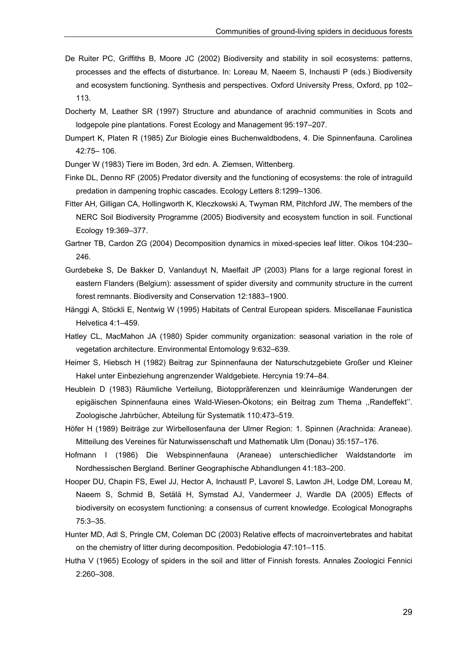- De Ruiter PC, Griffiths B, Moore JC (2002) Biodiversity and stability in soil ecosystems: patterns, processes and the effects of disturbance. In: Loreau M, Naeem S, Inchausti P (eds.) Biodiversity and ecosystem functioning. Synthesis and perspectives. Oxford University Press, Oxford, pp 102– 113.
- Docherty M, Leather SR (1997) Structure and abundance of arachnid communities in Scots and lodgepole pine plantations. Forest Ecology and Management 95:197–207.
- Dumpert K, Platen R (1985) Zur Biologie eines Buchenwaldbodens, 4. Die Spinnenfauna. Carolinea 42:75– 106.
- Dunger W (1983) Tiere im Boden, 3rd edn. A. Ziemsen, Wittenberg.
- Finke DL, Denno RF (2005) Predator diversity and the functioning of ecosystems: the role of intraguild predation in dampening trophic cascades. Ecology Letters 8:1299–1306.
- Fitter AH, Gilligan CA, Hollingworth K, Kleczkowski A, Twyman RM, Pitchford JW, The members of the NERC Soil Biodiversity Programme (2005) Biodiversity and ecosystem function in soil. Functional Ecology 19:369–377.
- Gartner TB, Cardon ZG (2004) Decomposition dynamics in mixed-species leaf litter. Oikos 104:230– 246.
- Gurdebeke S, De Bakker D, Vanlanduyt N, Maelfait JP (2003) Plans for a large regional forest in eastern Flanders (Belgium): assessment of spider diversity and community structure in the current forest remnants. Biodiversity and Conservation 12:1883–1900.
- Hänggi A, Stöckli E, Nentwig W (1995) Habitats of Central European spiders. Miscellanae Faunistica Helvetica 4:1–459.
- Hatley CL, MacMahon JA (1980) Spider community organization: seasonal variation in the role of vegetation architecture. Environmental Entomology 9:632–639.
- Heimer S, Hiebsch H (1982) Beitrag zur Spinnenfauna der Naturschutzgebiete Großer und Kleiner Hakel unter Einbeziehung angrenzender Waldgebiete. Hercynia 19:74–84.
- Heublein D (1983) Räumliche Verteilung, Biotoppräferenzen und kleinräumige Wanderungen der epigäischen Spinnenfauna eines Wald-Wiesen-Ökotons; ein Beitrag zum Thema ,,Randeffekt''. Zoologische Jahrbücher, Abteilung für Systematik 110:473–519.
- Höfer H (1989) Beiträge zur Wirbellosenfauna der Ulmer Region: 1. Spinnen (Arachnida: Araneae). Mitteilung des Vereines für Naturwissenschaft und Mathematik Ulm (Donau) 35:157–176.
- Hofmann I (1986) Die Webspinnenfauna (Araneae) unterschiedlicher Waldstandorte im Nordhessischen Bergland. Berliner Geographische Abhandlungen 41:183–200.
- Hooper DU, Chapin FS, Ewel JJ, Hector A, Inchaustl P, Lavorel S, Lawton JH, Lodge DM, Loreau M, Naeem S, Schmid B, Setälä H, Symstad AJ, Vandermeer J, Wardle DA (2005) Effects of biodiversity on ecosystem functioning: a consensus of current knowledge. Ecological Monographs 75:3–35.
- Hunter MD, Adl S, Pringle CM, Coleman DC (2003) Relative effects of macroinvertebrates and habitat on the chemistry of litter during decomposition. Pedobiologia 47:101–115.
- Hutha V (1965) Ecology of spiders in the soil and litter of Finnish forests. Annales Zoologici Fennici 2:260–308.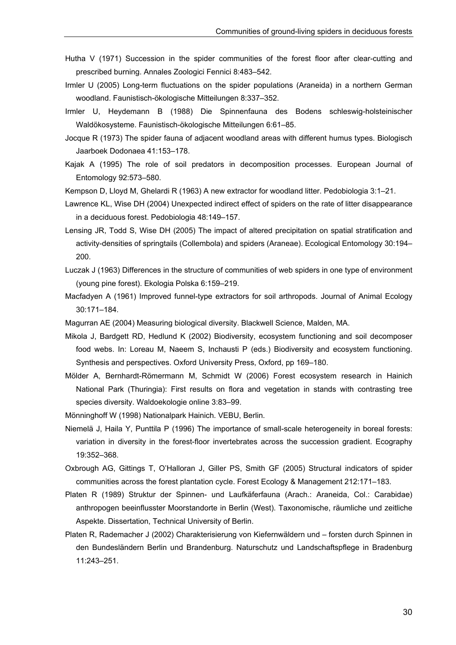- Hutha V (1971) Succession in the spider communities of the forest floor after clear-cutting and prescribed burning. Annales Zoologici Fennici 8:483–542.
- Irmler U (2005) Long-term fluctuations on the spider populations (Araneida) in a northern German woodland. Faunistisch-ökologische Mitteilungen 8:337–352.
- Irmler U, Heydemann B (1988) Die Spinnenfauna des Bodens schleswig-holsteinischer Waldökosysteme. Faunistisch-ökologische Mitteilungen 6:61–85.
- Jocque R (1973) The spider fauna of adjacent woodland areas with different humus types. Biologisch Jaarboek Dodonaea 41:153–178.
- Kajak A (1995) The role of soil predators in decomposition processes. European Journal of Entomology 92:573–580.
- Kempson D, Lloyd M, Ghelardi R (1963) A new extractor for woodland litter. Pedobiologia 3:1–21.
- Lawrence KL, Wise DH (2004) Unexpected indirect effect of spiders on the rate of litter disappearance in a deciduous forest. Pedobiologia 48:149–157.
- Lensing JR, Todd S, Wise DH (2005) The impact of altered precipitation on spatial stratification and activity-densities of springtails (Collembola) and spiders (Araneae). Ecological Entomology 30:194– 200.
- Luczak J (1963) Differences in the structure of communities of web spiders in one type of environment (young pine forest). Ekologia Polska 6:159–219.
- Macfadyen A (1961) Improved funnel-type extractors for soil arthropods. Journal of Animal Ecology 30:171–184.
- Magurran AE (2004) Measuring biological diversity. Blackwell Science, Malden, MA.
- Mikola J, Bardgett RD, Hedlund K (2002) Biodiversity, ecosystem functioning and soil decomposer food webs. In: Loreau M, Naeem S, Inchausti P (eds.) Biodiversity and ecosystem functioning. Synthesis and perspectives. Oxford University Press, Oxford, pp 169–180.
- Mölder A, Bernhardt-Römermann M, Schmidt W (2006) Forest ecosystem research in Hainich National Park (Thuringia): First results on flora and vegetation in stands with contrasting tree species diversity. Waldoekologie online 3:83–99.
- Mönninghoff W (1998) Nationalpark Hainich. VEBU, Berlin.
- Niemelä J, Haila Y, Punttila P (1996) The importance of small-scale heterogeneity in boreal forests: variation in diversity in the forest-floor invertebrates across the succession gradient. Ecography 19:352–368.
- Oxbrough AG, Gittings T, O'Halloran J, Giller PS, Smith GF (2005) Structural indicators of spider communities across the forest plantation cycle. Forest Ecology & Management 212:171–183.
- Platen R (1989) Struktur der Spinnen- und Laufkäferfauna (Arach.: Araneida, Col.: Carabidae) anthropogen beeinflusster Moorstandorte in Berlin (West). Taxonomische, räumliche und zeitliche Aspekte. Dissertation, Technical University of Berlin.
- Platen R, Rademacher J (2002) Charakterisierung von Kiefernwäldern und forsten durch Spinnen in den Bundesländern Berlin und Brandenburg. Naturschutz und Landschaftspflege in Bradenburg 11:243–251.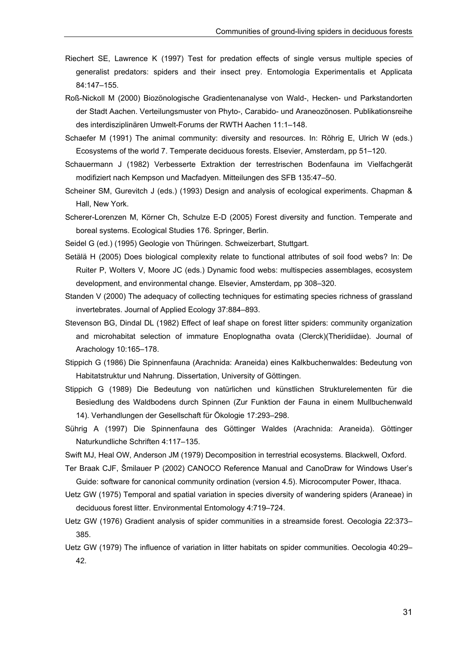- Riechert SE, Lawrence K (1997) Test for predation effects of single versus multiple species of generalist predators: spiders and their insect prey. Entomologia Experimentalis et Applicata 84:147–155.
- Roß-Nickoll M (2000) Biozönologische Gradientenanalyse von Wald-, Hecken- und Parkstandorten der Stadt Aachen. Verteilungsmuster von Phyto-, Carabido- und Araneozönosen. Publikationsreihe des interdisziplinären Umwelt-Forums der RWTH Aachen 11:1–148.
- Schaefer M (1991) The animal community: diversity and resources. In: Röhrig E, Ulrich W (eds.) Ecosystems of the world 7. Temperate deciduous forests. Elsevier, Amsterdam, pp 51–120.
- Schauermann J (1982) Verbesserte Extraktion der terrestrischen Bodenfauna im Vielfachgerät modifiziert nach Kempson und Macfadyen. Mitteilungen des SFB 135:47–50.
- Scheiner SM, Gurevitch J (eds.) (1993) Design and analysis of ecological experiments. Chapman & Hall, New York.
- Scherer-Lorenzen M, Körner Ch, Schulze E-D (2005) Forest diversity and function. Temperate and boreal systems. Ecological Studies 176. Springer, Berlin.
- Seidel G (ed.) (1995) Geologie von Thüringen. Schweizerbart, Stuttgart.
- Setälä H (2005) Does biological complexity relate to functional attributes of soil food webs? In: De Ruiter P, Wolters V, Moore JC (eds.) Dynamic food webs: multispecies assemblages, ecosystem development, and environmental change. Elsevier, Amsterdam, pp 308–320.
- Standen V (2000) The adequacy of collecting techniques for estimating species richness of grassland invertebrates. Journal of Applied Ecology 37:884–893.
- Stevenson BG, Dindal DL (1982) Effect of leaf shape on forest litter spiders: community organization and microhabitat selection of immature Enoplognatha ovata (Clerck)(Theridiidae). Journal of Arachology 10:165–178.
- Stippich G (1986) Die Spinnenfauna (Arachnida: Araneida) eines Kalkbuchenwaldes: Bedeutung von Habitatstruktur und Nahrung. Dissertation, University of Göttingen.
- Stippich G (1989) Die Bedeutung von natürlichen und künstlichen Strukturelementen für die Besiedlung des Waldbodens durch Spinnen (Zur Funktion der Fauna in einem Mullbuchenwald 14). Verhandlungen der Gesellschaft für Ökologie 17:293–298.
- Sührig A (1997) Die Spinnenfauna des Göttinger Waldes (Arachnida: Araneida). Göttinger Naturkundliche Schriften 4:117–135.
- Swift MJ, Heal OW, Anderson JM (1979) Decomposition in terrestrial ecosystems. Blackwell, Oxford.
- Ter Braak CJF, Šmilauer P (2002) CANOCO Reference Manual and CanoDraw for Windows User's Guide: software for canonical community ordination (version 4.5). Microcomputer Power, Ithaca.
- Uetz GW (1975) Temporal and spatial variation in species diversity of wandering spiders (Araneae) in deciduous forest litter. Environmental Entomology 4:719–724.
- Uetz GW (1976) Gradient analysis of spider communities in a streamside forest. Oecologia 22:373– 385.
- Uetz GW (1979) The influence of variation in litter habitats on spider communities. Oecologia 40:29– 42.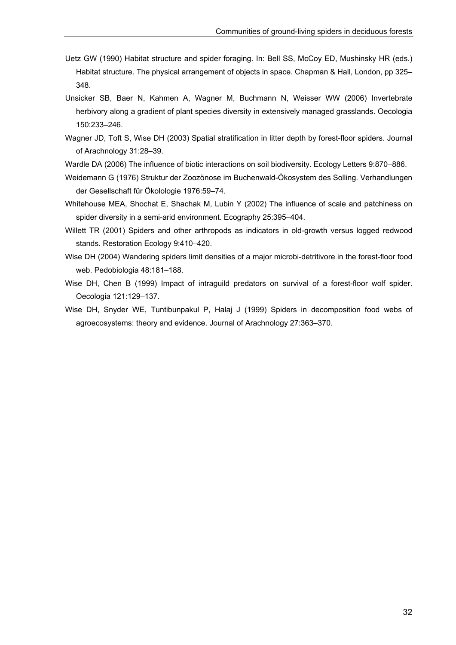- Uetz GW (1990) Habitat structure and spider foraging. In: Bell SS, McCoy ED, Mushinsky HR (eds.) Habitat structure. The physical arrangement of objects in space. Chapman & Hall, London, pp 325– 348.
- Unsicker SB, Baer N, Kahmen A, Wagner M, Buchmann N, Weisser WW (2006) Invertebrate herbivory along a gradient of plant species diversity in extensively managed grasslands. Oecologia 150:233–246.
- Wagner JD, Toft S, Wise DH (2003) Spatial stratification in litter depth by forest-floor spiders. Journal of Arachnology 31:28–39.
- Wardle DA (2006) The influence of biotic interactions on soil biodiversity. Ecology Letters 9:870–886.
- Weidemann G (1976) Struktur der Zoozönose im Buchenwald-Ökosystem des Solling. Verhandlungen der Gesellschaft für Ökolologie 1976:59–74.
- Whitehouse MEA, Shochat E, Shachak M, Lubin Y (2002) The influence of scale and patchiness on spider diversity in a semi-arid environment. Ecography 25:395–404.
- Willett TR (2001) Spiders and other arthropods as indicators in old-growth versus logged redwood stands. Restoration Ecology 9:410–420.
- Wise DH (2004) Wandering spiders limit densities of a major microbi-detritivore in the forest-floor food web. Pedobiologia 48:181–188.
- Wise DH, Chen B (1999) Impact of intraguild predators on survival of a forest-floor wolf spider. Oecologia 121:129–137.
- Wise DH, Snyder WE, Tuntibunpakul P, Halaj J (1999) Spiders in decomposition food webs of agroecosystems: theory and evidence. Journal of Arachnology 27:363–370.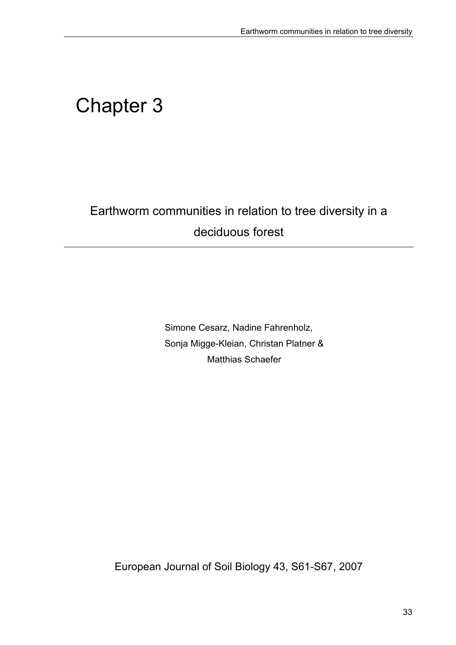# Chapter 3

# Earthworm communities in relation to tree diversity in a deciduous forest

Simone Cesarz, Nadine Fahrenholz, Sonja Migge-Kleian, Christan Platner & Matthias Schaefer

European Journal of Soil Biology 43, S61-S67, 2007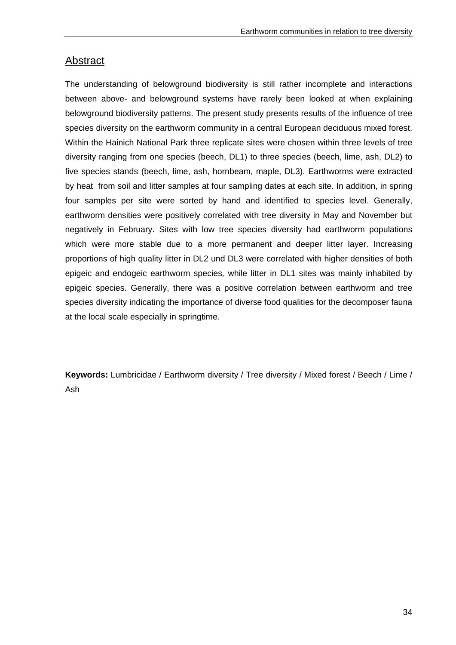## Abstract

The understanding of belowground biodiversity is still rather incomplete and interactions between above- and belowground systems have rarely been looked at when explaining belowground biodiversity patterns. The present study presents results of the influence of tree species diversity on the earthworm community in a central European deciduous mixed forest. Within the Hainich National Park three replicate sites were chosen within three levels of tree diversity ranging from one species (beech, DL1) to three species (beech, lime, ash, DL2) to five species stands (beech, lime, ash, hornbeam, maple, DL3). Earthworms were extracted by heat from soil and litter samples at four sampling dates at each site. In addition, in spring four samples per site were sorted by hand and identified to species level. Generally, earthworm densities were positively correlated with tree diversity in May and November but negatively in February. Sites with low tree species diversity had earthworm populations which were more stable due to a more permanent and deeper litter layer. Increasing proportions of high quality litter in DL2 und DL3 were correlated with higher densities of both epigeic and endogeic earthworm species*,* while litter in DL1 sites was mainly inhabited by epigeic species. Generally, there was a positive correlation between earthworm and tree species diversity indicating the importance of diverse food qualities for the decomposer fauna at the local scale especially in springtime.

**Keywords:** Lumbricidae / Earthworm diversity / Tree diversity / Mixed forest / Beech / Lime / Ash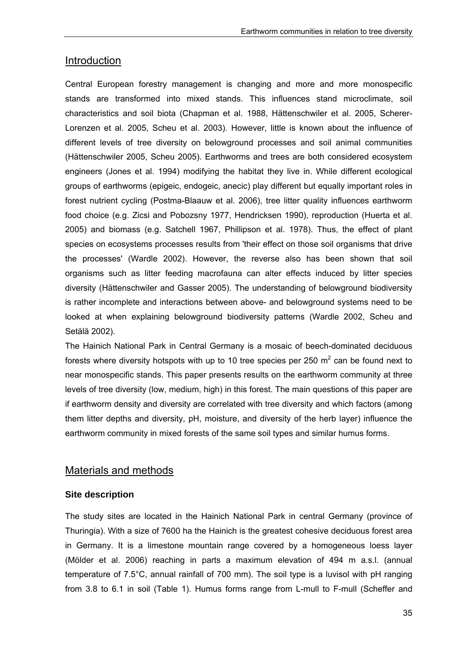## Introduction

Central European forestry management is changing and more and more monospecific stands are transformed into mixed stands. This influences stand microclimate, soil characteristics and soil biota (Chapman et al. 1988, Hättenschwiler et al. 2005, Scherer-Lorenzen et al. 2005, Scheu et al. 2003). However, little is known about the influence of different levels of tree diversity on belowground processes and soil animal communities (Hättenschwiler 2005, Scheu 2005). Earthworms and trees are both considered ecosystem engineers (Jones et al. 1994) modifying the habitat they live in. While different ecological groups of earthworms (epigeic, endogeic, anecic) play different but equally important roles in forest nutrient cycling (Postma-Blaauw et al. 2006), tree litter quality influences earthworm food choice (e.g. Zicsi and Pobozsny 1977, Hendricksen 1990), reproduction (Huerta et al. 2005) and biomass (e.g. Satchell 1967, Phillipson et al. 1978). Thus, the effect of plant species on ecosystems processes results from 'their effect on those soil organisms that drive the processes' (Wardle 2002). However, the reverse also has been shown that soil organisms such as litter feeding macrofauna can alter effects induced by litter species diversity (Hättenschwiler and Gasser 2005). The understanding of belowground biodiversity is rather incomplete and interactions between above- and belowground systems need to be looked at when explaining belowground biodiversity patterns (Wardle 2002, Scheu and Setälä 2002).

The Hainich National Park in Central Germany is a mosaic of beech-dominated deciduous forests where diversity hotspots with up to 10 tree species per 250  $m^2$  can be found next to near monospecific stands. This paper presents results on the earthworm community at three levels of tree diversity (low, medium, high) in this forest. The main questions of this paper are if earthworm density and diversity are correlated with tree diversity and which factors (among them litter depths and diversity, pH, moisture, and diversity of the herb layer) influence the earthworm community in mixed forests of the same soil types and similar humus forms.

## Materials and methods

#### **Site description**

The study sites are located in the Hainich National Park in central Germany (province of Thuringia). With a size of 7600 ha the Hainich is the greatest cohesive deciduous forest area in Germany. It is a limestone mountain range covered by a homogeneous loess layer (Mölder et al. 2006) reaching in parts a maximum elevation of 494 m a.s.l. (annual temperature of 7.5°C, annual rainfall of 700 mm). The soil type is a luvisol with pH ranging from 3.8 to 6.1 in soil (Table 1). Humus forms range from L-mull to F-mull (Scheffer and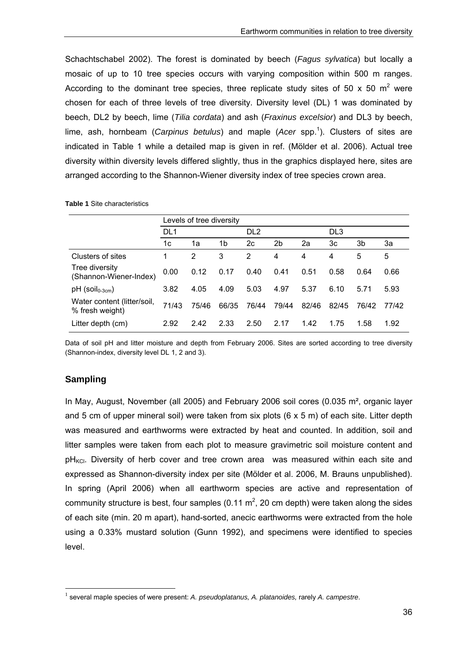Schachtschabel 2002). The forest is dominated by beech (*Fagus sylvatica*) but locally a mosaic of up to 10 tree species occurs with varying composition within 500 m ranges. According to the dominant tree species, three replicate study sites of 50 x 50  $m^2$  were chosen for each of three levels of tree diversity. Diversity level (DL) 1 was dominated by beech, DL2 by beech, lime (*Tilia cordata*) and ash (*Fraxinus excelsior*) and DL3 by beech, lime, ash, hornbeam (*Carpinus betulus*) and maple (*Acer* spp.<sup>1</sup>). Clusters of sites are indicated in Table 1 while a detailed map is given in ref. (Mölder et al. 2006). Actual tree diversity within diversity levels differed slightly, thus in the graphics displayed here, sites are arranged according to the Shannon-Wiener diversity index of tree species crown area.

|  |  | <b>Table 1 Site characteristics</b> |
|--|--|-------------------------------------|
|--|--|-------------------------------------|

|                                                | Levels of tree diversity |       |       |       |                 |       |       |                 |       |  |
|------------------------------------------------|--------------------------|-------|-------|-------|-----------------|-------|-------|-----------------|-------|--|
|                                                | DL <sub>1</sub>          |       |       |       | DL <sub>2</sub> |       |       | DL <sub>3</sub> |       |  |
|                                                | 1c                       | 1a    | 1b    | 2c    | 2b              | 2a    | 3c    | 3b              | За    |  |
| Clusters of sites                              |                          | 2     | 3     | 2     | 4               | 4     | 4     | 5               | 5     |  |
| Tree diversity<br>(Shannon-Wiener-Index)       | 0.00                     | 0.12  | 0.17  | 0.40  | 0.41            | 0.51  | 0.58  | 0.64            | 0.66  |  |
| $pH$ (soil <sub>0-3cm</sub> )                  | 3.82                     | 4.05  | 4.09  | 5.03  | 4.97            | 5.37  | 6.10  | 5.71            | 5.93  |  |
| Water content (litter/soil,<br>% fresh weight) | 71/43                    | 75/46 | 66/35 | 76/44 | 79/44           | 82/46 | 82/45 | 76/42           | 77/42 |  |
| Litter depth (cm)                              | 2.92                     | 2.42  | 2.33  | 2.50  | 2 17            | 1.42  | 1.75  | 1.58            | 1.92  |  |

Data of soil pH and litter moisture and depth from February 2006. Sites are sorted according to tree diversity (Shannon-index, diversity level DL 1, 2 and 3).

#### **Sampling**

1

In May, August, November (all 2005) and February 2006 soil cores (0.035 m<sup>2</sup>, organic layer and 5 cm of upper mineral soil) were taken from six plots (6 x 5 m) of each site. Litter depth was measured and earthworms were extracted by heat and counted. In addition, soil and litter samples were taken from each plot to measure gravimetric soil moisture content and  $pH_{KCL}$ . Diversity of herb cover and tree crown area was measured within each site and expressed as Shannon-diversity index per site (Mölder et al. 2006, M. Brauns unpublished). In spring (April 2006) when all earthworm species are active and representation of community structure is best, four samples (0.11  $m^2$ , 20 cm depth) were taken along the sides of each site (min. 20 m apart), hand-sorted, anecic earthworms were extracted from the hole using a 0.33% mustard solution (Gunn 1992), and specimens were identified to species level.

<sup>1</sup> several maple species of were present: *A. pseudoplatanus, A. platanoides,* rarely *A. campestre*.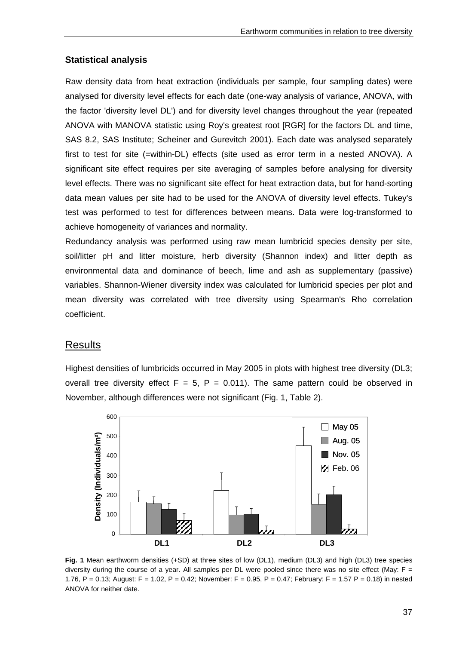#### **Statistical analysis**

Raw density data from heat extraction (individuals per sample, four sampling dates) were analysed for diversity level effects for each date (one-way analysis of variance, ANOVA, with the factor 'diversity level DL') and for diversity level changes throughout the year (repeated ANOVA with MANOVA statistic using Roy's greatest root [RGR] for the factors DL and time, SAS 8.2, SAS Institute; Scheiner and Gurevitch 2001). Each date was analysed separately first to test for site (=within-DL) effects (site used as error term in a nested ANOVA). A significant site effect requires per site averaging of samples before analysing for diversity level effects. There was no significant site effect for heat extraction data, but for hand-sorting data mean values per site had to be used for the ANOVA of diversity level effects. Tukey's test was performed to test for differences between means. Data were log-transformed to achieve homogeneity of variances and normality.

Redundancy analysis was performed using raw mean lumbricid species density per site, soil/litter pH and litter moisture, herb diversity (Shannon index) and litter depth as environmental data and dominance of beech, lime and ash as supplementary (passive) variables. Shannon-Wiener diversity index was calculated for lumbricid species per plot and mean diversity was correlated with tree diversity using Spearman's Rho correlation coefficient.

#### Results

Highest densities of lumbricids occurred in May 2005 in plots with highest tree diversity (DL3; overall tree diversity effect  $F = 5$ ,  $P = 0.011$ ). The same pattern could be observed in November, although differences were not significant (Fig. 1, Table 2).



**Fig. 1** Mean earthworm densities (+SD) at three sites of low (DL1), medium (DL3) and high (DL3) tree species diversity during the course of a year. All samples per DL were pooled since there was no site effect (May:  $F =$ 1.76, P = 0.13; August: F = 1.02, P = 0.42; November: F = 0.95, P = 0.47; February: F = 1.57 P = 0.18) in nested ANOVA for neither date.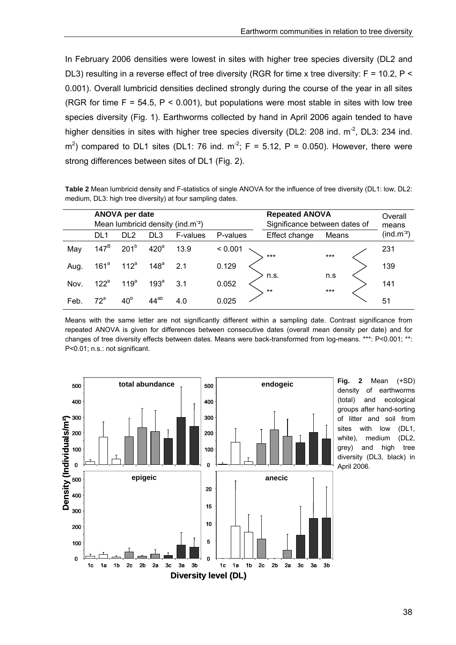In February 2006 densities were lowest in sites with higher tree species diversity (DL2 and DL3) resulting in a reverse effect of tree diversity (RGR for time x tree diversity: F = 10.2, P < 0.001). Overall lumbricid densities declined strongly during the course of the year in all sites (RGR for time  $F = 54.5$ ,  $P < 0.001$ ), but populations were most stable in sites with low tree species diversity (Fig. 1). Earthworms collected by hand in April 2006 again tended to have higher densities in sites with higher tree species diversity (DL2: 208 ind.  $m<sup>2</sup>$ , DL3: 234 ind.  $\text{m}^2$ ) compared to DL1 sites (DL1: 76 ind.  $\text{m}^2$ ; F = 5.12, P = 0.050). However, there were strong differences between sites of DL1 (Fig. 2).

**Table 2** Mean lumbricid density and F-statistics of single ANOVA for the influence of tree diversity (DL1: low, DL2: medium, DL3: high tree diversity) at four sampling dates.

|      |                  | ANOVA per date   |                  | Mean lumbricid density (ind.m <sup>-2</sup> ) |          | <b>Repeated ANOVA</b><br>Significance between dates of |              | Overall<br>means |
|------|------------------|------------------|------------------|-----------------------------------------------|----------|--------------------------------------------------------|--------------|------------------|
|      | DL <sub>1</sub>  | DL <sub>2</sub>  | DL <sub>3</sub>  | F-values                                      | P-values | Effect change                                          | Means        | $(ind.m-2)$      |
| May  | $147^B$          | 201 <sup>b</sup> | 420 <sup>a</sup> | 13.9                                          | < 0.001  | ***                                                    | $***$        | 231              |
| Aug. | 161 <sup>a</sup> | 112 <sup>a</sup> | 148 <sup>a</sup> | 2.1                                           | 0.129    |                                                        |              | 139              |
| Nov. | $122^a$          | 119 <sup>a</sup> | 193 <sup>a</sup> | 3.1                                           | 0.052    | n.s.<br>$***$                                          | n.s<br>$***$ | 141              |
| Feb. | $72^a$           | 40 <sup>b</sup>  | $44^{ab}$        | 4.0                                           | 0.025    |                                                        |              | 51               |

Means with the same letter are not significantly different within a sampling date. Contrast significance from repeated ANOVA is given for differences between consecutive dates (overall mean density per date) and for changes of tree diversity effects between dates. Means were back-transformed from log-means. \*\*\*: P<0.001; \*\*: P<0.01; n.s.: not significant.



**Fig. 2** Mean (+SD) density of earthworms (total) and ecological groups after hand-sorting of litter and soil from sites with low (DL1, white), medium (DL2, grey) and high tree diversity (DL3, black) in April 2006.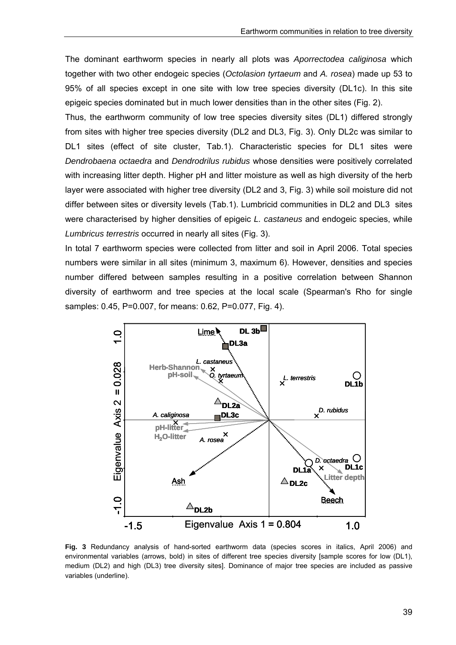The dominant earthworm species in nearly all plots was *Aporrectodea caliginosa* which together with two other endogeic species (*Octolasion tyrtaeum* and *A. rosea*) made up 53 to 95% of all species except in one site with low tree species diversity (DL1c). In this site epigeic species dominated but in much lower densities than in the other sites (Fig. 2).

Thus, the earthworm community of low tree species diversity sites (DL1) differed strongly from sites with higher tree species diversity (DL2 and DL3, Fig. 3). Only DL2c was similar to DL1 sites (effect of site cluster, Tab.1). Characteristic species for DL1 sites were *Dendrobaena octaedra* and *Dendrodrilus rubidus* whose densities were positively correlated with increasing litter depth. Higher pH and litter moisture as well as high diversity of the herb layer were associated with higher tree diversity (DL2 and 3, Fig. 3) while soil moisture did not differ between sites or diversity levels (Tab.1). Lumbricid communities in DL2 and DL3 sites were characterised by higher densities of epigeic *L. castaneus* and endogeic species, while *Lumbricus terrestris* occurred in nearly all sites (Fig. 3).

In total 7 earthworm species were collected from litter and soil in April 2006. Total species numbers were similar in all sites (minimum 3, maximum 6). However, densities and species number differed between samples resulting in a positive correlation between Shannon diversity of earthworm and tree species at the local scale (Spearman's Rho for single samples: 0.45, P=0.007, for means: 0.62, P=0.077, Fig. 4).



**Fig. 3** Redundancy analysis of hand-sorted earthworm data (species scores in italics, April 2006) and environmental variables (arrows, bold) in sites of different tree species diversity [sample scores for low (DL1), medium (DL2) and high (DL3) tree diversity sites]. Dominance of major tree species are included as passive variables (underline).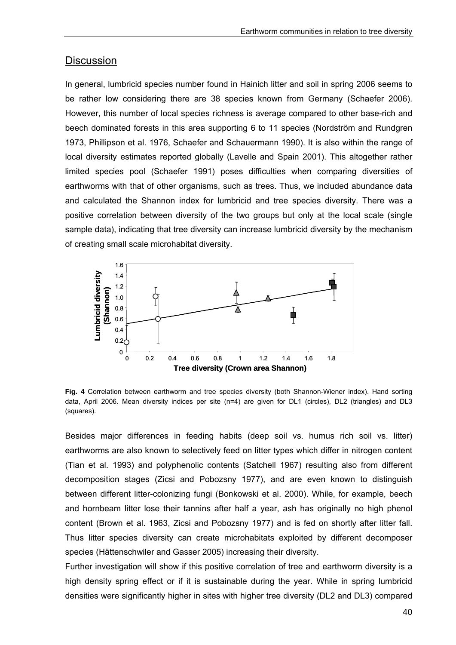## **Discussion**

In general, lumbricid species number found in Hainich litter and soil in spring 2006 seems to be rather low considering there are 38 species known from Germany (Schaefer 2006). However, this number of local species richness is average compared to other base-rich and beech dominated forests in this area supporting 6 to 11 species (Nordström and Rundgren 1973, Phillipson et al. 1976, Schaefer and Schauermann 1990). It is also within the range of local diversity estimates reported globally (Lavelle and Spain 2001). This altogether rather limited species pool (Schaefer 1991) poses difficulties when comparing diversities of earthworms with that of other organisms, such as trees. Thus, we included abundance data and calculated the Shannon index for lumbricid and tree species diversity. There was a positive correlation between diversity of the two groups but only at the local scale (single sample data), indicating that tree diversity can increase lumbricid diversity by the mechanism of creating small scale microhabitat diversity.



**Fig. 4** Correlation between earthworm and tree species diversity (both Shannon-Wiener index). Hand sorting data, April 2006. Mean diversity indices per site (n=4) are given for DL1 (circles), DL2 (triangles) and DL3 (squares).

Besides major differences in feeding habits (deep soil vs. humus rich soil vs. litter) earthworms are also known to selectively feed on litter types which differ in nitrogen content (Tian et al. 1993) and polyphenolic contents (Satchell 1967) resulting also from different decomposition stages (Zicsi and Pobozsny 1977), and are even known to distinguish between different litter-colonizing fungi (Bonkowski et al. 2000). While, for example, beech and hornbeam litter lose their tannins after half a year, ash has originally no high phenol content (Brown et al. 1963, Zicsi and Pobozsny 1977) and is fed on shortly after litter fall. Thus litter species diversity can create microhabitats exploited by different decomposer species (Hättenschwiler and Gasser 2005) increasing their diversity.

Further investigation will show if this positive correlation of tree and earthworm diversity is a high density spring effect or if it is sustainable during the year. While in spring lumbricid densities were significantly higher in sites with higher tree diversity (DL2 and DL3) compared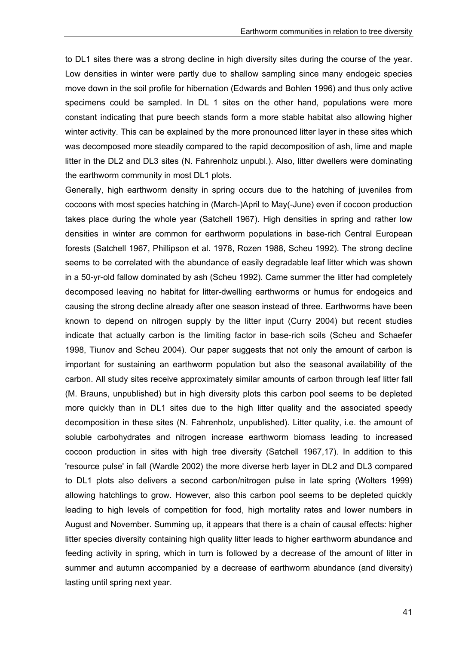to DL1 sites there was a strong decline in high diversity sites during the course of the year. Low densities in winter were partly due to shallow sampling since many endogeic species move down in the soil profile for hibernation (Edwards and Bohlen 1996) and thus only active specimens could be sampled. In DL 1 sites on the other hand, populations were more constant indicating that pure beech stands form a more stable habitat also allowing higher winter activity. This can be explained by the more pronounced litter layer in these sites which was decomposed more steadily compared to the rapid decomposition of ash, lime and maple litter in the DL2 and DL3 sites (N. Fahrenholz unpubl.). Also, litter dwellers were dominating the earthworm community in most DL1 plots.

Generally, high earthworm density in spring occurs due to the hatching of juveniles from cocoons with most species hatching in (March-)April to May(-June) even if cocoon production takes place during the whole year (Satchell 1967). High densities in spring and rather low densities in winter are common for earthworm populations in base-rich Central European forests (Satchell 1967, Phillipson et al. 1978, Rozen 1988, Scheu 1992). The strong decline seems to be correlated with the abundance of easily degradable leaf litter which was shown in a 50-yr-old fallow dominated by ash (Scheu 1992). Came summer the litter had completely decomposed leaving no habitat for litter-dwelling earthworms or humus for endogeics and causing the strong decline already after one season instead of three. Earthworms have been known to depend on nitrogen supply by the litter input (Curry 2004) but recent studies indicate that actually carbon is the limiting factor in base-rich soils (Scheu and Schaefer 1998, Tiunov and Scheu 2004). Our paper suggests that not only the amount of carbon is important for sustaining an earthworm population but also the seasonal availability of the carbon. All study sites receive approximately similar amounts of carbon through leaf litter fall (M. Brauns, unpublished) but in high diversity plots this carbon pool seems to be depleted more quickly than in DL1 sites due to the high litter quality and the associated speedy decomposition in these sites (N. Fahrenholz, unpublished). Litter quality, i.e. the amount of soluble carbohydrates and nitrogen increase earthworm biomass leading to increased cocoon production in sites with high tree diversity (Satchell 1967,17). In addition to this 'resource pulse' in fall (Wardle 2002) the more diverse herb layer in DL2 and DL3 compared to DL1 plots also delivers a second carbon/nitrogen pulse in late spring (Wolters 1999) allowing hatchlings to grow. However, also this carbon pool seems to be depleted quickly leading to high levels of competition for food, high mortality rates and lower numbers in August and November. Summing up, it appears that there is a chain of causal effects: higher litter species diversity containing high quality litter leads to higher earthworm abundance and feeding activity in spring, which in turn is followed by a decrease of the amount of litter in summer and autumn accompanied by a decrease of earthworm abundance (and diversity) lasting until spring next year.

41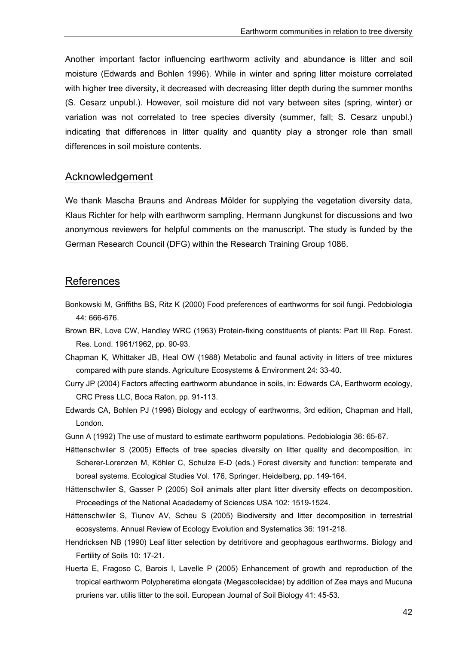Another important factor influencing earthworm activity and abundance is litter and soil moisture (Edwards and Bohlen 1996). While in winter and spring litter moisture correlated with higher tree diversity, it decreased with decreasing litter depth during the summer months (S. Cesarz unpubl.). However, soil moisture did not vary between sites (spring, winter) or variation was not correlated to tree species diversity (summer, fall; S. Cesarz unpubl.) indicating that differences in litter quality and quantity play a stronger role than small differences in soil moisture contents.

#### Acknowledgement

We thank Mascha Brauns and Andreas Mölder for supplying the vegetation diversity data, Klaus Richter for help with earthworm sampling, Hermann Jungkunst for discussions and two anonymous reviewers for helpful comments on the manuscript. The study is funded by the German Research Council (DFG) within the Research Training Group 1086.

## **References**

- Bonkowski M, Griffiths BS, Ritz K (2000) Food preferences of earthworms for soil fungi. Pedobiologia 44: 666-676.
- Brown BR, Love CW, Handley WRC (1963) Protein-fixing constituents of plants: Part III Rep. Forest. Res. Lond. 1961/1962, pp. 90-93.
- Chapman K, Whittaker JB, Heal OW (1988) Metabolic and faunal activity in litters of tree mixtures compared with pure stands. Agriculture Ecosystems & Environment 24: 33-40.
- Curry JP (2004) Factors affecting earthworm abundance in soils, in: Edwards CA, Earthworm ecology, CRC Press LLC, Boca Raton, pp. 91-113.
- Edwards CA, Bohlen PJ (1996) Biology and ecology of earthworms, 3rd edition, Chapman and Hall, London.
- Gunn A (1992) The use of mustard to estimate earthworm populations. Pedobiologia 36: 65-67.
- Hättenschwiler S (2005) Effects of tree species diversity on litter quality and decomposition, in: Scherer-Lorenzen M, Köhler C, Schulze E-D (eds.) Forest diversity and function: temperate and boreal systems. Ecological Studies Vol. 176, Springer, Heidelberg, pp. 149-164.
- Hättenschwiler S, Gasser P (2005) Soil animals alter plant litter diversity effects on decomposition. Proceedings of the National Acadademy of Sciences USA 102: 1519-1524.
- Hättenschwiler S, Tiunov AV, Scheu S (2005) Biodiversity and litter decomposition in terrestrial ecosystems. Annual Review of Ecology Evolution and Systematics 36: 191-218.
- Hendricksen NB (1990) Leaf litter selection by detritivore and geophagous earthworms. Biology and Fertility of Soils 10: 17-21.
- Huerta E, Fragoso C, Barois I, Lavelle P (2005) Enhancement of growth and reproduction of the tropical earthworm Polypheretima elongata (Megascolecidae) by addition of Zea mays and Mucuna pruriens var. utilis litter to the soil. European Journal of Soil Biology 41: 45-53.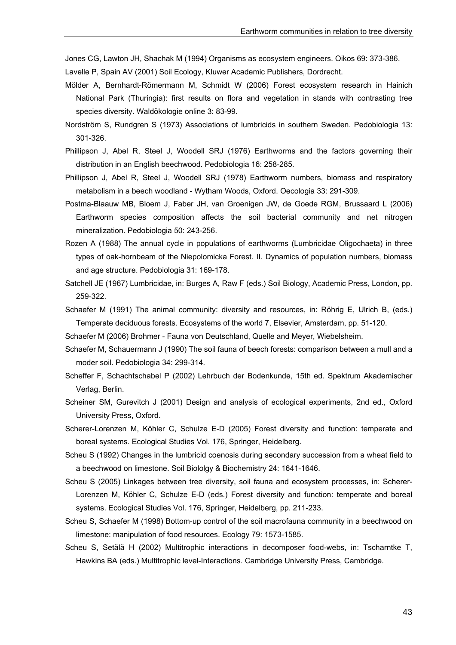Jones CG, Lawton JH, Shachak M (1994) Organisms as ecosystem engineers. Oikos 69: 373-386.

Lavelle P, Spain AV (2001) Soil Ecology, Kluwer Academic Publishers, Dordrecht.

- Mölder A, Bernhardt-Römermann M, Schmidt W (2006) Forest ecosystem research in Hainich National Park (Thuringia): first results on flora and vegetation in stands with contrasting tree species diversity. Waldökologie online 3: 83-99.
- Nordström S, Rundgren S (1973) Associations of lumbricids in southern Sweden. Pedobiologia 13: 301-326.
- Phillipson J, Abel R, Steel J, Woodell SRJ (1976) Earthworms and the factors governing their distribution in an English beechwood. Pedobiologia 16: 258-285.
- Phillipson J, Abel R, Steel J, Woodell SRJ (1978) Earthworm numbers, biomass and respiratory metabolism in a beech woodland - Wytham Woods, Oxford. Oecologia 33: 291-309.
- Postma-Blaauw MB, Bloem J, Faber JH, van Groenigen JW, de Goede RGM, Brussaard L (2006) Earthworm species composition affects the soil bacterial community and net nitrogen mineralization. Pedobiologia 50: 243-256.
- Rozen A (1988) The annual cycle in populations of earthworms (Lumbricidae Oligochaeta) in three types of oak-hornbeam of the Niepolomicka Forest. II. Dynamics of population numbers, biomass and age structure. Pedobiologia 31: 169-178.
- Satchell JE (1967) Lumbricidae, in: Burges A, Raw F (eds.) Soil Biology, Academic Press, London, pp. 259-322.
- Schaefer M (1991) The animal community: diversity and resources, in: Röhrig E, Ulrich B, (eds.) Temperate deciduous forests. Ecosystems of the world 7, Elsevier, Amsterdam, pp. 51-120.
- Schaefer M (2006) Brohmer Fauna von Deutschland, Quelle and Meyer, Wiebelsheim.
- Schaefer M, Schauermann J (1990) The soil fauna of beech forests: comparison between a mull and a moder soil. Pedobiologia 34: 299-314.
- Scheffer F, Schachtschabel P (2002) Lehrbuch der Bodenkunde, 15th ed. Spektrum Akademischer Verlag, Berlin.
- Scheiner SM, Gurevitch J (2001) Design and analysis of ecological experiments, 2nd ed., Oxford University Press, Oxford.
- Scherer-Lorenzen M, Köhler C, Schulze E-D (2005) Forest diversity and function: temperate and boreal systems. Ecological Studies Vol. 176, Springer, Heidelberg.
- Scheu S (1992) Changes in the lumbricid coenosis during secondary succession from a wheat field to a beechwood on limestone. Soil Biololgy & Biochemistry 24: 1641-1646.
- Scheu S (2005) Linkages between tree diversity, soil fauna and ecosystem processes, in: Scherer-Lorenzen M, Köhler C, Schulze E-D (eds.) Forest diversity and function: temperate and boreal systems. Ecological Studies Vol. 176, Springer, Heidelberg, pp. 211-233.
- Scheu S, Schaefer M (1998) Bottom-up control of the soil macrofauna community in a beechwood on limestone: manipulation of food resources. Ecology 79: 1573-1585.
- Scheu S, Setälä H (2002) Multitrophic interactions in decomposer food-webs, in: Tscharntke T, Hawkins BA (eds.) Multitrophic level-Interactions. Cambridge University Press, Cambridge.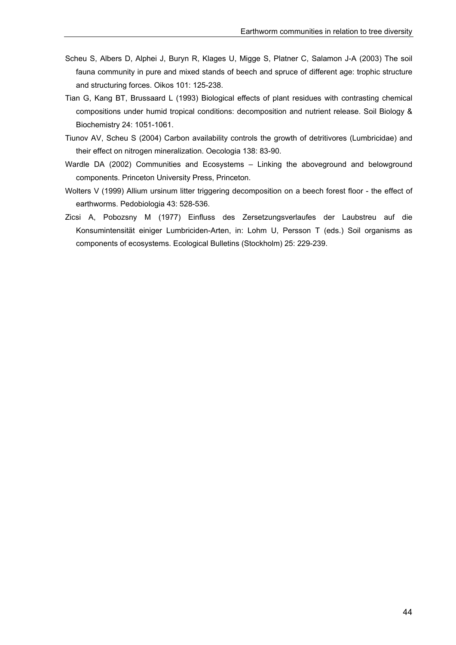- Scheu S, Albers D, Alphei J, Buryn R, Klages U, Migge S, Platner C, Salamon J-A (2003) The soil fauna community in pure and mixed stands of beech and spruce of different age: trophic structure and structuring forces. Oikos 101: 125-238.
- Tian G, Kang BT, Brussaard L (1993) Biological effects of plant residues with contrasting chemical compositions under humid tropical conditions: decomposition and nutrient release. Soil Biology & Biochemistry 24: 1051-1061.
- Tiunov AV, Scheu S (2004) Carbon availability controls the growth of detritivores (Lumbricidae) and their effect on nitrogen mineralization. Oecologia 138: 83-90.
- Wardle DA (2002) Communities and Ecosystems Linking the aboveground and belowground components. Princeton University Press, Princeton.
- Wolters V (1999) Allium ursinum litter triggering decomposition on a beech forest floor the effect of earthworms. Pedobiologia 43: 528-536.
- Zicsi A, Pobozsny M (1977) Einfluss des Zersetzungsverlaufes der Laubstreu auf die Konsumintensität einiger Lumbriciden-Arten, in: Lohm U, Persson T (eds.) Soil organisms as components of ecosystems. Ecological Bulletins (Stockholm) 25: 229-239.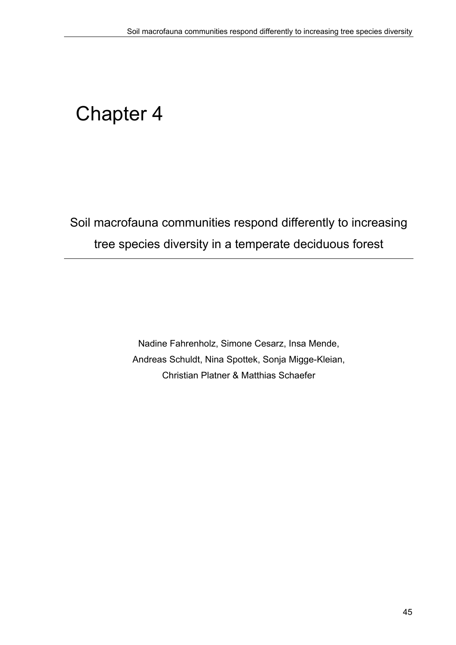# Chapter 4

Soil macrofauna communities respond differently to increasing tree species diversity in a temperate deciduous forest

> Nadine Fahrenholz, Simone Cesarz, Insa Mende, Andreas Schuldt, Nina Spottek, Sonja Migge-Kleian, Christian Platner & Matthias Schaefer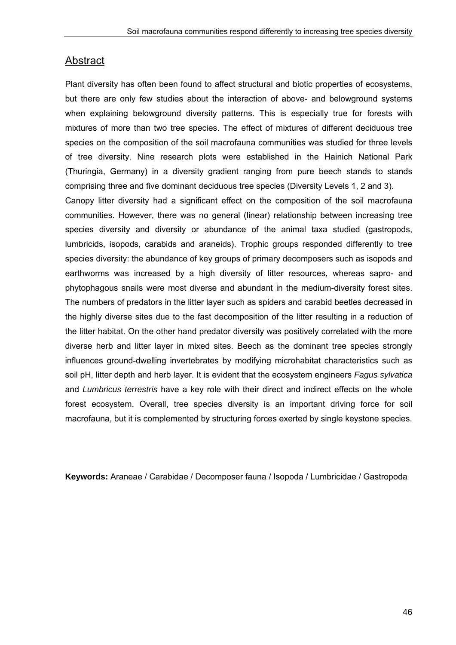## Abstract

Plant diversity has often been found to affect structural and biotic properties of ecosystems, but there are only few studies about the interaction of above- and belowground systems when explaining belowground diversity patterns. This is especially true for forests with mixtures of more than two tree species. The effect of mixtures of different deciduous tree species on the composition of the soil macrofauna communities was studied for three levels of tree diversity. Nine research plots were established in the Hainich National Park (Thuringia, Germany) in a diversity gradient ranging from pure beech stands to stands comprising three and five dominant deciduous tree species (Diversity Levels 1, 2 and 3).

Canopy litter diversity had a significant effect on the composition of the soil macrofauna communities. However, there was no general (linear) relationship between increasing tree species diversity and diversity or abundance of the animal taxa studied (gastropods, lumbricids, isopods, carabids and araneids). Trophic groups responded differently to tree species diversity: the abundance of key groups of primary decomposers such as isopods and earthworms was increased by a high diversity of litter resources, whereas sapro- and phytophagous snails were most diverse and abundant in the medium-diversity forest sites. The numbers of predators in the litter layer such as spiders and carabid beetles decreased in the highly diverse sites due to the fast decomposition of the litter resulting in a reduction of the litter habitat. On the other hand predator diversity was positively correlated with the more diverse herb and litter layer in mixed sites. Beech as the dominant tree species strongly influences ground-dwelling invertebrates by modifying microhabitat characteristics such as soil pH, litter depth and herb layer. It is evident that the ecosystem engineers *Fagus sylvatica* and *Lumbricus terrestris* have a key role with their direct and indirect effects on the whole forest ecosystem. Overall, tree species diversity is an important driving force for soil macrofauna, but it is complemented by structuring forces exerted by single keystone species.

**Keywords:** Araneae / Carabidae / Decomposer fauna / Isopoda / Lumbricidae / Gastropoda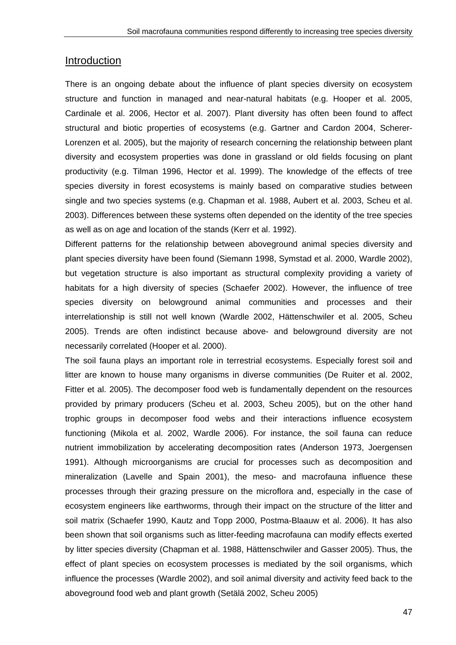#### Introduction

There is an ongoing debate about the influence of plant species diversity on ecosystem structure and function in managed and near-natural habitats (e.g. Hooper et al. 2005, Cardinale et al. 2006, Hector et al. 2007). Plant diversity has often been found to affect structural and biotic properties of ecosystems (e.g. Gartner and Cardon 2004, Scherer-Lorenzen et al. 2005), but the majority of research concerning the relationship between plant diversity and ecosystem properties was done in grassland or old fields focusing on plant productivity (e.g. Tilman 1996, Hector et al. 1999). The knowledge of the effects of tree species diversity in forest ecosystems is mainly based on comparative studies between single and two species systems (e.g. Chapman et al. 1988, Aubert et al. 2003, Scheu et al. 2003). Differences between these systems often depended on the identity of the tree species as well as on age and location of the stands (Kerr et al. 1992).

Different patterns for the relationship between aboveground animal species diversity and plant species diversity have been found (Siemann 1998, Symstad et al. 2000, Wardle 2002), but vegetation structure is also important as structural complexity providing a variety of habitats for a high diversity of species (Schaefer 2002). However, the influence of tree species diversity on belowground animal communities and processes and their interrelationship is still not well known (Wardle 2002, Hättenschwiler et al. 2005, Scheu 2005). Trends are often indistinct because above- and belowground diversity are not necessarily correlated (Hooper et al. 2000).

The soil fauna plays an important role in terrestrial ecosystems. Especially forest soil and litter are known to house many organisms in diverse communities (De Ruiter et al. 2002, Fitter et al. 2005). The decomposer food web is fundamentally dependent on the resources provided by primary producers (Scheu et al. 2003, Scheu 2005), but on the other hand trophic groups in decomposer food webs and their interactions influence ecosystem functioning (Mikola et al. 2002, Wardle 2006). For instance, the soil fauna can reduce nutrient immobilization by accelerating decomposition rates (Anderson 1973, Joergensen 1991). Although microorganisms are crucial for processes such as decomposition and mineralization (Lavelle and Spain 2001), the meso- and macrofauna influence these processes through their grazing pressure on the microflora and, especially in the case of ecosystem engineers like earthworms, through their impact on the structure of the litter and soil matrix (Schaefer 1990, Kautz and Topp 2000, Postma-Blaauw et al. 2006). It has also been shown that soil organisms such as litter-feeding macrofauna can modify effects exerted by litter species diversity (Chapman et al. 1988, Hättenschwiler and Gasser 2005). Thus, the effect of plant species on ecosystem processes is mediated by the soil organisms, which influence the processes (Wardle 2002), and soil animal diversity and activity feed back to the aboveground food web and plant growth (Setälä 2002, Scheu 2005)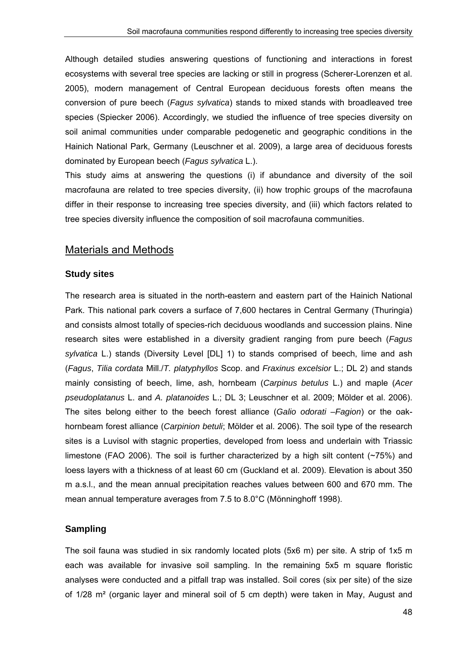Although detailed studies answering questions of functioning and interactions in forest ecosystems with several tree species are lacking or still in progress (Scherer-Lorenzen et al. 2005), modern management of Central European deciduous forests often means the conversion of pure beech (*Fagus sylvatica*) stands to mixed stands with broadleaved tree species (Spiecker 2006). Accordingly, we studied the influence of tree species diversity on soil animal communities under comparable pedogenetic and geographic conditions in the Hainich National Park, Germany (Leuschner et al. 2009), a large area of deciduous forests dominated by European beech (*Fagus sylvatica* L.).

This study aims at answering the questions (i) if abundance and diversity of the soil macrofauna are related to tree species diversity, (ii) how trophic groups of the macrofauna differ in their response to increasing tree species diversity, and (iii) which factors related to tree species diversity influence the composition of soil macrofauna communities.

## Materials and Methods

## **Study sites**

The research area is situated in the north-eastern and eastern part of the Hainich National Park. This national park covers a surface of 7,600 hectares in Central Germany (Thuringia) and consists almost totally of species-rich deciduous woodlands and succession plains. Nine research sites were established in a diversity gradient ranging from pure beech (*Fagus sylvatica* L.) stands (Diversity Level [DL] 1) to stands comprised of beech, lime and ash (*Fagus*, *Tilia cordata* Mill./*T. platyphyllos* Scop. and *Fraxinus excelsior* L.; DL 2) and stands mainly consisting of beech, lime, ash, hornbeam (*Carpinus betulus* L.) and maple (*Acer pseudoplatanus* L. and *A. platanoides* L.; DL 3; Leuschner et al. 2009; Mölder et al. 2006). The sites belong either to the beech forest alliance (*Galio odorati –Fagion*) or the oakhornbeam forest alliance (*Carpinion betuli*; Mölder et al. 2006). The soil type of the research sites is a Luvisol with stagnic properties, developed from loess and underlain with Triassic limestone (FAO 2006). The soil is further characterized by a high silt content ( $\sim$ 75%) and loess layers with a thickness of at least 60 cm (Guckland et al. 2009). Elevation is about 350 m a.s.l., and the mean annual precipitation reaches values between 600 and 670 mm. The mean annual temperature averages from 7.5 to 8.0°C (Mönninghoff 1998).

## **Sampling**

The soil fauna was studied in six randomly located plots (5x6 m) per site. A strip of 1x5 m each was available for invasive soil sampling. In the remaining 5x5 m square floristic analyses were conducted and a pitfall trap was installed. Soil cores (six per site) of the size of 1/28 m² (organic layer and mineral soil of 5 cm depth) were taken in May, August and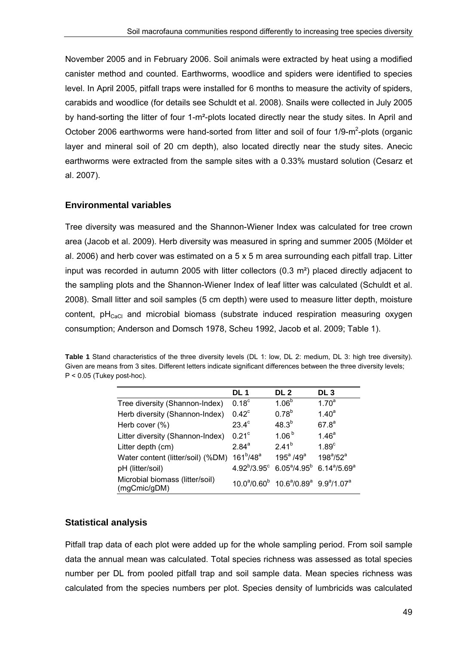November 2005 and in February 2006. Soil animals were extracted by heat using a modified canister method and counted. Earthworms, woodlice and spiders were identified to species level. In April 2005, pitfall traps were installed for 6 months to measure the activity of spiders, carabids and woodlice (for details see Schuldt et al. 2008). Snails were collected in July 2005 by hand-sorting the litter of four 1-m²-plots located directly near the study sites. In April and October 2006 earthworms were hand-sorted from litter and soil of four  $1/9-m^2$ -plots (organic layer and mineral soil of 20 cm depth), also located directly near the study sites. Anecic earthworms were extracted from the sample sites with a 0.33% mustard solution (Cesarz et al. 2007).

## **Environmental variables**

Tree diversity was measured and the Shannon-Wiener Index was calculated for tree crown area (Jacob et al. 2009). Herb diversity was measured in spring and summer 2005 (Mölder et al. 2006) and herb cover was estimated on a 5 x 5 m area surrounding each pitfall trap. Litter input was recorded in autumn 2005 with litter collectors  $(0.3 \text{ m}^2)$  placed directly adjacent to the sampling plots and the Shannon-Wiener Index of leaf litter was calculated (Schuldt et al. 2008). Small litter and soil samples (5 cm depth) were used to measure litter depth, moisture content,  $pH<sub>CaCl</sub>$  and microbial biomass (substrate induced respiration measuring oxygen consumption; Anderson and Domsch 1978, Scheu 1992, Jacob et al. 2009; Table 1).

| <b>Table 1</b> Stand characteristics of the three diversity levels (DL 1: low, DL 2: medium, DL 3: high tree diversity). |  |
|--------------------------------------------------------------------------------------------------------------------------|--|
| Given are means from 3 sites. Different letters indicate significant differences between the three diversity levels;     |  |
| $P < 0.05$ (Tukey post-hoc).                                                                                             |  |

|                                                 | <b>DL1</b>        | DL <sub>2</sub>                                                                                      | DL <sub>3</sub>                   |
|-------------------------------------------------|-------------------|------------------------------------------------------------------------------------------------------|-----------------------------------|
| Tree diversity (Shannon-Index)                  | 0.18 <sup>c</sup> | 1.06 <sup>b</sup>                                                                                    | 1.70 <sup>a</sup>                 |
| Herb diversity (Shannon-Index)                  | $0.42^{\circ}$    | $0.78^{b}$                                                                                           | 1.40 <sup>a</sup>                 |
| Herb cover (%)                                  | $23.4^\circ$      | $48.3^{b}$                                                                                           | 67.8 <sup>a</sup>                 |
| Litter diversity (Shannon-Index)                | 0.21 <sup>c</sup> | 1.06 <sup>b</sup>                                                                                    | 1.46 <sup>a</sup>                 |
| Litter depth (cm)                               | $2.84^{a}$        | $2.41^{b}$                                                                                           | 1.89 <sup>c</sup>                 |
| Water content (litter/soil) (%DM)               | $161^b/48^a$      | $195^a / 49^a$                                                                                       | $198^{\circ}/52^{\circ}$          |
| pH (litter/soil)                                |                   | $4.92^{\text{b}}/3.95^{\text{c}}$ 6.05 <sup>a</sup> /4.95 <sup>b</sup>                               | $6.14^{\text{a}}/5.69^{\text{a}}$ |
| Microbial biomass (litter/soil)<br>(mgCmic/gDM) |                   | $10.0^{\circ}/0.60^{\circ}$ 10.6 <sup>a</sup> /0.89 <sup>a</sup> 9.9 <sup>a</sup> /1.07 <sup>a</sup> |                                   |

## **Statistical analysis**

Pitfall trap data of each plot were added up for the whole sampling period. From soil sample data the annual mean was calculated. Total species richness was assessed as total species number per DL from pooled pitfall trap and soil sample data. Mean species richness was calculated from the species numbers per plot. Species density of lumbricids was calculated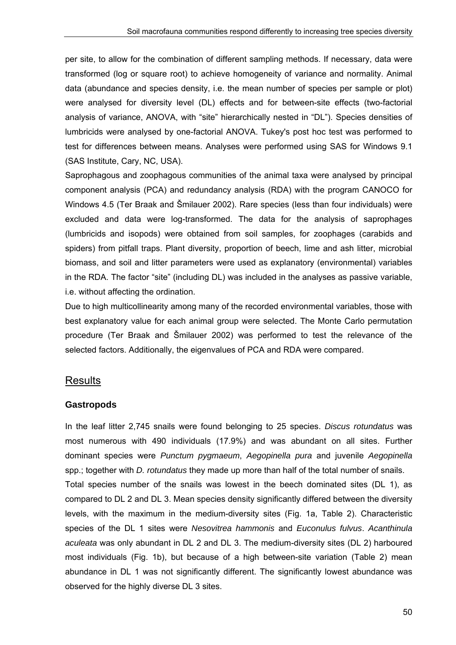per site, to allow for the combination of different sampling methods. If necessary, data were transformed (log or square root) to achieve homogeneity of variance and normality. Animal data (abundance and species density, i.e. the mean number of species per sample or plot) were analysed for diversity level (DL) effects and for between-site effects (two-factorial analysis of variance, ANOVA, with "site" hierarchically nested in "DL"). Species densities of lumbricids were analysed by one-factorial ANOVA. Tukey's post hoc test was performed to test for differences between means. Analyses were performed using SAS for Windows 9.1 (SAS Institute, Cary, NC, USA).

Saprophagous and zoophagous communities of the animal taxa were analysed by principal component analysis (PCA) and redundancy analysis (RDA) with the program CANOCO for Windows 4.5 (Ter Braak and Šmilauer 2002). Rare species (less than four individuals) were excluded and data were log-transformed. The data for the analysis of saprophages (lumbricids and isopods) were obtained from soil samples, for zoophages (carabids and spiders) from pitfall traps. Plant diversity, proportion of beech, lime and ash litter, microbial biomass, and soil and litter parameters were used as explanatory (environmental) variables in the RDA. The factor "site" (including DL) was included in the analyses as passive variable, i.e. without affecting the ordination.

Due to high multicollinearity among many of the recorded environmental variables, those with best explanatory value for each animal group were selected. The Monte Carlo permutation procedure (Ter Braak and Šmilauer 2002) was performed to test the relevance of the selected factors. Additionally, the eigenvalues of PCA and RDA were compared.

## Results

## **Gastropods**

In the leaf litter 2,745 snails were found belonging to 25 species. *Discus rotundatus* was most numerous with 490 individuals (17.9%) and was abundant on all sites. Further dominant species were *Punctum pygmaeum*, *Aegopinella pura* and juvenile *Aegopinella*  spp.; together with *D. rotundatus* they made up more than half of the total number of snails. Total species number of the snails was lowest in the beech dominated sites (DL 1), as compared to DL 2 and DL 3. Mean species density significantly differed between the diversity levels, with the maximum in the medium-diversity sites (Fig. 1a, Table 2). Characteristic species of the DL 1 sites were *Nesovitrea hammonis* and *Euconulus fulvus*. *Acanthinula aculeata* was only abundant in DL 2 and DL 3. The medium-diversity sites (DL 2) harboured most individuals (Fig. 1b), but because of a high between-site variation (Table 2) mean abundance in DL 1 was not significantly different. The significantly lowest abundance was observed for the highly diverse DL 3 sites.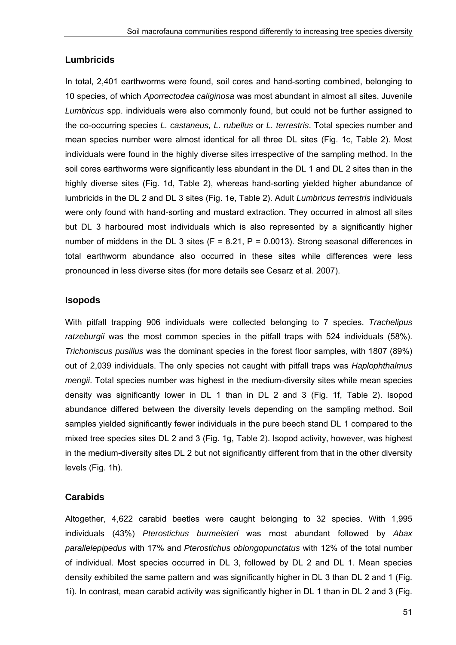#### **Lumbricids**

In total, 2,401 earthworms were found, soil cores and hand-sorting combined, belonging to 10 species, of which *Aporrectodea caliginosa* was most abundant in almost all sites. Juvenile *Lumbricus* spp. individuals were also commonly found, but could not be further assigned to the co-occurring species *L. castaneus, L. rubellus* or *L. terrestris*. Total species number and mean species number were almost identical for all three DL sites (Fig. 1c, Table 2). Most individuals were found in the highly diverse sites irrespective of the sampling method. In the soil cores earthworms were significantly less abundant in the DL 1 and DL 2 sites than in the highly diverse sites (Fig. 1d, Table 2), whereas hand-sorting yielded higher abundance of lumbricids in the DL 2 and DL 3 sites (Fig. 1e, Table 2). Adult *Lumbricus terrestris* individuals were only found with hand-sorting and mustard extraction. They occurred in almost all sites but DL 3 harboured most individuals which is also represented by a significantly higher number of middens in the DL 3 sites ( $F = 8.21$ ,  $P = 0.0013$ ). Strong seasonal differences in total earthworm abundance also occurred in these sites while differences were less pronounced in less diverse sites (for more details see Cesarz et al. 2007).

#### **Isopods**

With pitfall trapping 906 individuals were collected belonging to 7 species. *Trachelipus ratzeburgii* was the most common species in the pitfall traps with 524 individuals (58%). *Trichoniscus pusillus* was the dominant species in the forest floor samples, with 1807 (89%) out of 2,039 individuals. The only species not caught with pitfall traps was *Haplophthalmus mengii*. Total species number was highest in the medium-diversity sites while mean species density was significantly lower in DL 1 than in DL 2 and 3 (Fig. 1f, Table 2). Isopod abundance differed between the diversity levels depending on the sampling method. Soil samples yielded significantly fewer individuals in the pure beech stand DL 1 compared to the mixed tree species sites DL 2 and 3 (Fig. 1g, Table 2). Isopod activity, however, was highest in the medium-diversity sites DL 2 but not significantly different from that in the other diversity levels (Fig. 1h).

#### **Carabids**

Altogether, 4,622 carabid beetles were caught belonging to 32 species. With 1,995 individuals (43%) *Pterostichus burmeisteri* was most abundant followed by *Abax parallelepipedus* with 17% and *Pterostichus oblongopunctatus* with 12% of the total number of individual. Most species occurred in DL 3, followed by DL 2 and DL 1. Mean species density exhibited the same pattern and was significantly higher in DL 3 than DL 2 and 1 (Fig. 1i). In contrast, mean carabid activity was significantly higher in DL 1 than in DL 2 and 3 (Fig.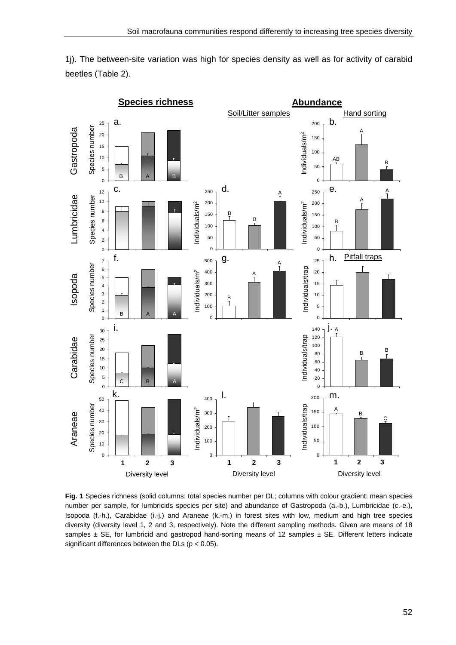1j). The between-site variation was high for species density as well as for activity of carabid beetles (Table 2).



**Fig. 1** Species richness (solid columns: total species number per DL; columns with colour gradient: mean species number per sample, for lumbricids species per site) and abundance of Gastropoda (a.-b.), Lumbricidae (c.-e.), Isopoda (f.-h.), Carabidae (i.-j.) and Araneae (k.-m.) in forest sites with low, medium and high tree species diversity (diversity level 1, 2 and 3, respectively). Note the different sampling methods. Given are means of 18 samples  $\pm$  SE, for lumbricid and gastropod hand-sorting means of 12 samples  $\pm$  SE. Different letters indicate significant differences between the DLs ( $p < 0.05$ ).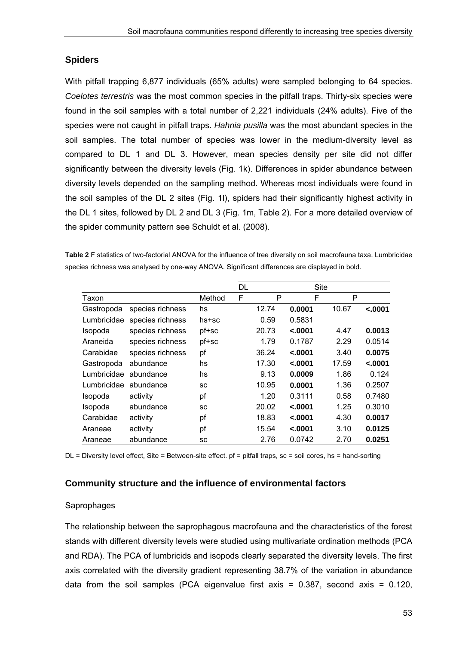## **Spiders**

With pitfall trapping 6,877 individuals (65% adults) were sampled belonging to 64 species. *Coelotes terrestris* was the most common species in the pitfall traps. Thirty-six species were found in the soil samples with a total number of 2,221 individuals (24% adults). Five of the species were not caught in pitfall traps. *Hahnia pusilla* was the most abundant species in the soil samples. The total number of species was lower in the medium-diversity level as compared to DL 1 and DL 3. However, mean species density per site did not differ significantly between the diversity levels (Fig. 1k). Differences in spider abundance between diversity levels depended on the sampling method. Whereas most individuals were found in the soil samples of the DL 2 sites (Fig. 1l), spiders had their significantly highest activity in the DL 1 sites, followed by DL 2 and DL 3 (Fig. 1m, Table 2). For a more detailed overview of the spider community pattern see Schuldt et al. (2008).

**Table 2** F statistics of two-factorial ANOVA for the influence of tree diversity on soil macrofauna taxa. Lumbricidae species richness was analysed by one-way ANOVA. Significant differences are displayed in bold.

|                |                  |           | DL |       | Site     |       |          |
|----------------|------------------|-----------|----|-------|----------|-------|----------|
| Taxon          |                  | Method    | F  | P     | F        | P     |          |
| Gastropoda     | species richness | hs        |    | 12.74 | 0.0001   | 10.67 | $-.0001$ |
| Lumbricidae    | species richness | hs+sc     |    | 0.59  | 0.5831   |       |          |
| <b>Isopoda</b> | species richness | pf+sc     |    | 20.73 | $-.0001$ | 4.47  | 0.0013   |
| Araneida       | species richness | pf+sc     |    | 1.79  | 0.1787   | 2.29  | 0.0514   |
| Carabidae      | species richness | pf        |    | 36.24 | $-.0001$ | 3.40  | 0.0075   |
| Gastropoda     | abundance        | hs        |    | 17.30 | < .0001  | 17.59 | < .0001  |
| Lumbricidae    | abundance        | hs        |    | 9.13  | 0.0009   | 1.86  | 0.124    |
| Lumbricidae    | abundance        | <b>SC</b> |    | 10.95 | 0.0001   | 1.36  | 0.2507   |
| Isopoda        | activity         | pf        |    | 1.20  | 0.3111   | 0.58  | 0.7480   |
| Isopoda        | abundance        | <b>SC</b> |    | 20.02 | < .0001  | 1.25  | 0.3010   |
| Carabidae      | activity         | pf        |    | 18.83 | $-.0001$ | 4.30  | 0.0017   |
| Araneae        | activity         | pf        |    | 15.54 | $-.0001$ | 3.10  | 0.0125   |
| Araneae        | abundance        | sc        |    | 2.76  | 0.0742   | 2.70  | 0.0251   |

DL = Diversity level effect, Site = Between-site effect. pf = pitfall traps, sc = soil cores, hs = hand-sorting

#### **Community structure and the influence of environmental factors**

#### **Saprophages**

The relationship between the saprophagous macrofauna and the characteristics of the forest stands with different diversity levels were studied using multivariate ordination methods (PCA and RDA). The PCA of lumbricids and isopods clearly separated the diversity levels. The first axis correlated with the diversity gradient representing 38.7% of the variation in abundance data from the soil samples (PCA eigenvalue first axis =  $0.387$ , second axis =  $0.120$ ,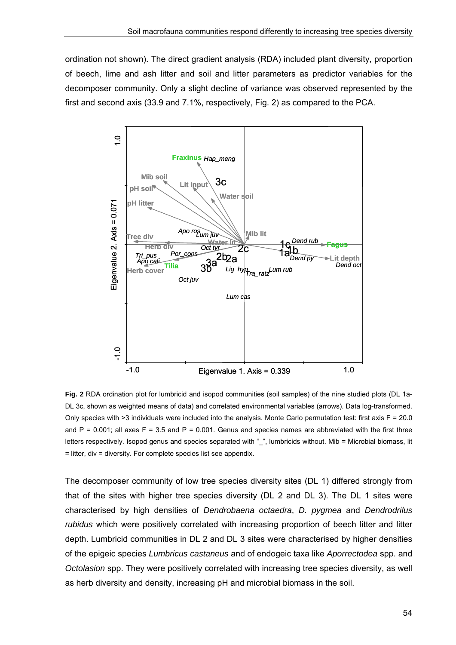ordination not shown). The direct gradient analysis (RDA) included plant diversity, proportion of beech, lime and ash litter and soil and litter parameters as predictor variables for the decomposer community. Only a slight decline of variance was observed represented by the first and second axis (33.9 and 7.1%, respectively, Fig. 2) as compared to the PCA.



**Fig. 2** RDA ordination plot for lumbricid and isopod communities (soil samples) of the nine studied plots (DL 1a-DL 3c, shown as weighted means of data) and correlated environmental variables (arrows). Data log-transformed. Only species with  $>3$  individuals were included into the analysis. Monte Carlo permutation test: first axis  $F = 20.0$ and  $P = 0.001$ ; all axes  $F = 3.5$  and  $P = 0.001$ . Genus and species names are abbreviated with the first three letters respectively. Isopod genus and species separated with "", lumbricids without. Mib = Microbial biomass, lit = litter, div = diversity. For complete species list see appendix.

The decomposer community of low tree species diversity sites (DL 1) differed strongly from that of the sites with higher tree species diversity (DL 2 and DL 3). The DL 1 sites were characterised by high densities of *Dendrobaena octaedra*, *D. pygmea* and *Dendrodrilus rubidus* which were positively correlated with increasing proportion of beech litter and litter depth. Lumbricid communities in DL 2 and DL 3 sites were characterised by higher densities of the epigeic species *Lumbricus castaneus* and of endogeic taxa like *Aporrectodea* spp. and *Octolasion* spp. They were positively correlated with increasing tree species diversity, as well as herb diversity and density, increasing pH and microbial biomass in the soil.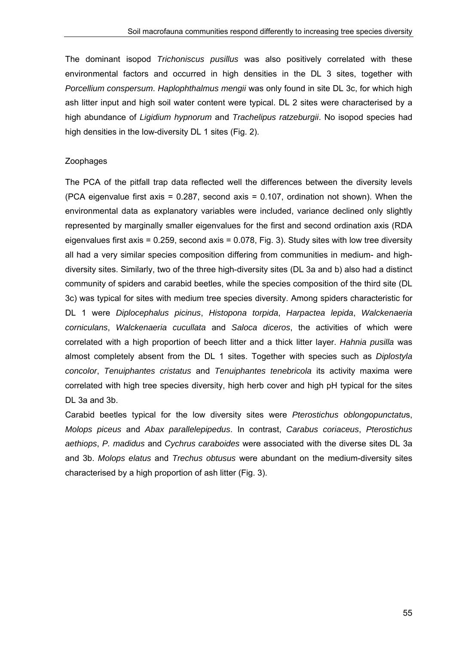The dominant isopod *Trichoniscus pusillus* was also positively correlated with these environmental factors and occurred in high densities in the DL 3 sites, together with *Porcellium conspersum*. *Haplophthalmus mengii* was only found in site DL 3c, for which high ash litter input and high soil water content were typical. DL 2 sites were characterised by a high abundance of *Ligidium hypnorum* and *Trachelipus ratzeburgii*. No isopod species had high densities in the low-diversity DL 1 sites (Fig. 2).

#### Zoophages

The PCA of the pitfall trap data reflected well the differences between the diversity levels (PCA eigenvalue first axis =  $0.287$ , second axis =  $0.107$ , ordination not shown). When the environmental data as explanatory variables were included, variance declined only slightly represented by marginally smaller eigenvalues for the first and second ordination axis (RDA eigenvalues first axis =  $0.259$ , second axis =  $0.078$ , Fig. 3). Study sites with low tree diversity all had a very similar species composition differing from communities in medium- and highdiversity sites. Similarly, two of the three high-diversity sites (DL 3a and b) also had a distinct community of spiders and carabid beetles, while the species composition of the third site (DL 3c) was typical for sites with medium tree species diversity. Among spiders characteristic for DL 1 were *Diplocephalus picinus*, *Histopona torpida*, *Harpactea lepida*, *Walckenaeria corniculans*, *Walckenaeria cucullata* and *Saloca diceros*, the activities of which were correlated with a high proportion of beech litter and a thick litter layer. *Hahnia pusilla* was almost completely absent from the DL 1 sites. Together with species such as *Diplostyla concolor*, *Tenuiphantes cristatus* and *Tenuiphantes tenebricola* its activity maxima were correlated with high tree species diversity, high herb cover and high pH typical for the sites DL 3a and 3b.

Carabid beetles typical for the low diversity sites were *Pterostichus oblongopunctatu*s, *Molops piceus* and *Abax parallelepipedus*. In contrast, *Carabus coriaceus*, *Pterostichus aethiops*, *P. madidus* and *Cychrus caraboides* were associated with the diverse sites DL 3a and 3b. *Molops elatus* and *Trechus obtusus* were abundant on the medium-diversity sites characterised by a high proportion of ash litter (Fig. 3).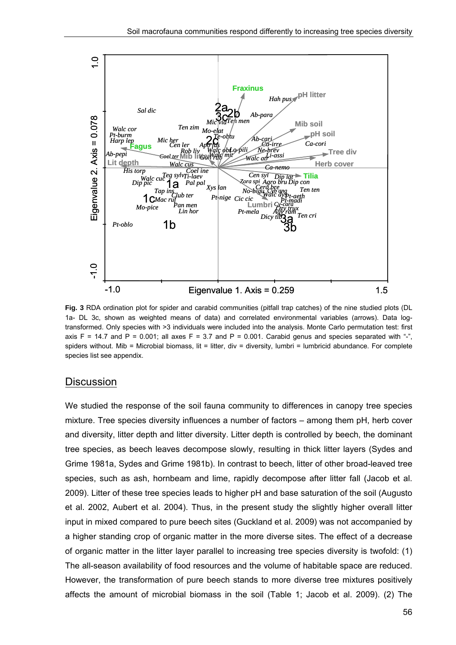

**Fig. 3** RDA ordination plot for spider and carabid communities (pitfall trap catches) of the nine studied plots (DL 1a- DL 3c, shown as weighted means of data) and correlated environmental variables (arrows). Data logtransformed. Only species with >3 individuals were included into the analysis. Monte Carlo permutation test: first axis F = 14.7 and P = 0.001; all axes F = 3.7 and P = 0.001. Carabid genus and species separated with "-", spiders without. Mib = Microbial biomass, lit = litter, div = diversity, lumbri = lumbricid abundance. For complete species list see appendix.

#### **Discussion**

We studied the response of the soil fauna community to differences in canopy tree species mixture. Tree species diversity influences a number of factors – among them pH, herb cover and diversity, litter depth and litter diversity. Litter depth is controlled by beech, the dominant tree species, as beech leaves decompose slowly, resulting in thick litter layers (Sydes and Grime 1981a, Sydes and Grime 1981b). In contrast to beech, litter of other broad-leaved tree species, such as ash, hornbeam and lime, rapidly decompose after litter fall (Jacob et al. 2009). Litter of these tree species leads to higher pH and base saturation of the soil (Augusto et al. 2002, Aubert et al. 2004). Thus, in the present study the slightly higher overall litter input in mixed compared to pure beech sites (Guckland et al. 2009) was not accompanied by a higher standing crop of organic matter in the more diverse sites. The effect of a decrease of organic matter in the litter layer parallel to increasing tree species diversity is twofold: (1) The all-season availability of food resources and the volume of habitable space are reduced. However, the transformation of pure beech stands to more diverse tree mixtures positively affects the amount of microbial biomass in the soil (Table 1; Jacob et al. 2009). (2) The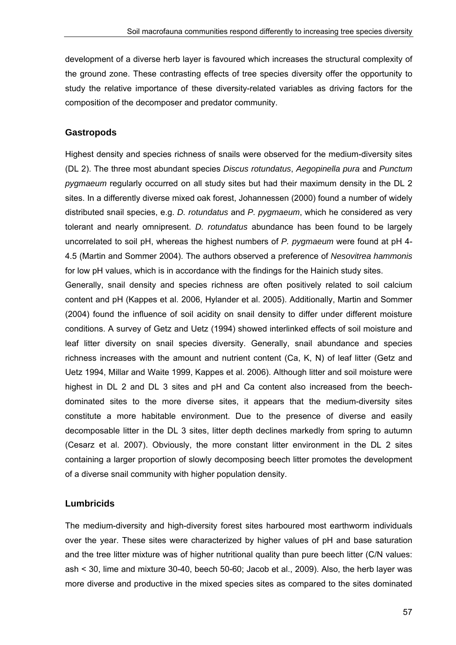development of a diverse herb layer is favoured which increases the structural complexity of the ground zone. These contrasting effects of tree species diversity offer the opportunity to study the relative importance of these diversity-related variables as driving factors for the composition of the decomposer and predator community.

#### **Gastropods**

Highest density and species richness of snails were observed for the medium-diversity sites (DL 2). The three most abundant species *Discus rotundatus*, *Aegopinella pura* and *Punctum pygmaeum* regularly occurred on all study sites but had their maximum density in the DL 2 sites. In a differently diverse mixed oak forest, Johannessen (2000) found a number of widely distributed snail species, e.g. *D. rotundatus* and *P. pygmaeum*, which he considered as very tolerant and nearly omnipresent. *D. rotundatus* abundance has been found to be largely uncorrelated to soil pH, whereas the highest numbers of *P. pygmaeum* were found at pH 4- 4.5 (Martin and Sommer 2004). The authors observed a preference of *Nesovitrea hammonis* for low pH values, which is in accordance with the findings for the Hainich study sites.

Generally, snail density and species richness are often positively related to soil calcium content and pH (Kappes et al. 2006, Hylander et al. 2005). Additionally, Martin and Sommer (2004) found the influence of soil acidity on snail density to differ under different moisture conditions. A survey of Getz and Uetz (1994) showed interlinked effects of soil moisture and leaf litter diversity on snail species diversity. Generally, snail abundance and species richness increases with the amount and nutrient content (Ca, K, N) of leaf litter (Getz and Uetz 1994, Millar and Waite 1999, Kappes et al. 2006). Although litter and soil moisture were highest in DL 2 and DL 3 sites and pH and Ca content also increased from the beechdominated sites to the more diverse sites, it appears that the medium-diversity sites constitute a more habitable environment. Due to the presence of diverse and easily decomposable litter in the DL 3 sites, litter depth declines markedly from spring to autumn (Cesarz et al. 2007). Obviously, the more constant litter environment in the DL 2 sites containing a larger proportion of slowly decomposing beech litter promotes the development of a diverse snail community with higher population density.

#### **Lumbricids**

The medium-diversity and high-diversity forest sites harboured most earthworm individuals over the year. These sites were characterized by higher values of pH and base saturation and the tree litter mixture was of higher nutritional quality than pure beech litter (C/N values: ash < 30, lime and mixture 30-40, beech 50-60; Jacob et al., 2009). Also, the herb layer was more diverse and productive in the mixed species sites as compared to the sites dominated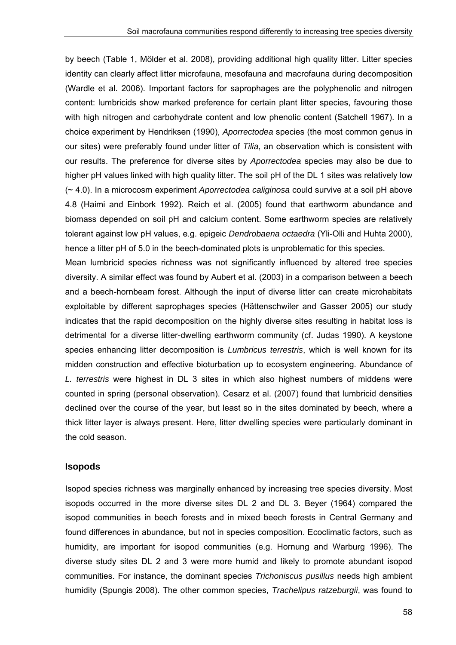by beech (Table 1, Mölder et al. 2008), providing additional high quality litter. Litter species identity can clearly affect litter microfauna, mesofauna and macrofauna during decomposition (Wardle et al. 2006). Important factors for saprophages are the polyphenolic and nitrogen content: lumbricids show marked preference for certain plant litter species, favouring those with high nitrogen and carbohydrate content and low phenolic content (Satchell 1967). In a choice experiment by Hendriksen (1990), *Aporrectodea* species (the most common genus in our sites) were preferably found under litter of *Tilia*, an observation which is consistent with our results. The preference for diverse sites by *Aporrectodea* species may also be due to higher pH values linked with high quality litter. The soil pH of the DL 1 sites was relatively low (~ 4.0). In a microcosm experiment *Aporrectodea caliginosa* could survive at a soil pH above 4.8 (Haimi and Einbork 1992). Reich et al. (2005) found that earthworm abundance and biomass depended on soil pH and calcium content. Some earthworm species are relatively tolerant against low pH values, e.g. epigeic *Dendrobaena octaedra* (Yli-Olli and Huhta 2000), hence a litter pH of 5.0 in the beech-dominated plots is unproblematic for this species.

Mean lumbricid species richness was not significantly influenced by altered tree species diversity. A similar effect was found by Aubert et al. (2003) in a comparison between a beech and a beech-hornbeam forest. Although the input of diverse litter can create microhabitats exploitable by different saprophages species (Hättenschwiler and Gasser 2005) our study indicates that the rapid decomposition on the highly diverse sites resulting in habitat loss is detrimental for a diverse litter-dwelling earthworm community (cf. Judas 1990). A keystone species enhancing litter decomposition is *Lumbricus terrestris*, which is well known for its midden construction and effective bioturbation up to ecosystem engineering. Abundance of *L. terrestris* were highest in DL 3 sites in which also highest numbers of middens were counted in spring (personal observation). Cesarz et al. (2007) found that lumbricid densities declined over the course of the year, but least so in the sites dominated by beech, where a thick litter layer is always present. Here, litter dwelling species were particularly dominant in the cold season.

#### **Isopods**

Isopod species richness was marginally enhanced by increasing tree species diversity. Most isopods occurred in the more diverse sites DL 2 and DL 3. Beyer (1964) compared the isopod communities in beech forests and in mixed beech forests in Central Germany and found differences in abundance, but not in species composition. Ecoclimatic factors, such as humidity, are important for isopod communities (e.g. Hornung and Warburg 1996). The diverse study sites DL 2 and 3 were more humid and likely to promote abundant isopod communities. For instance, the dominant species *Trichoniscus pusillus* needs high ambient humidity (Spungis 2008). The other common species, *Trachelipus ratzeburgii*, was found to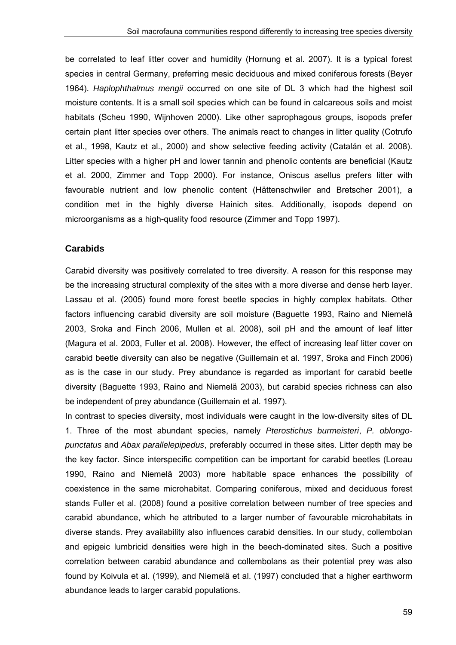be correlated to leaf litter cover and humidity (Hornung et al. 2007). It is a typical forest species in central Germany, preferring mesic deciduous and mixed coniferous forests (Beyer 1964). *Haplophthalmus mengii* occurred on one site of DL 3 which had the highest soil moisture contents. It is a small soil species which can be found in calcareous soils and moist habitats (Scheu 1990, Wijnhoven 2000). Like other saprophagous groups, isopods prefer certain plant litter species over others. The animals react to changes in litter quality (Cotrufo et al., 1998, Kautz et al., 2000) and show selective feeding activity (Catalán et al. 2008). Litter species with a higher pH and lower tannin and phenolic contents are beneficial (Kautz et al. 2000, Zimmer and Topp 2000). For instance, Oniscus asellus prefers litter with favourable nutrient and low phenolic content (Hättenschwiler and Bretscher 2001), a condition met in the highly diverse Hainich sites. Additionally, isopods depend on microorganisms as a high-quality food resource (Zimmer and Topp 1997).

#### **Carabids**

Carabid diversity was positively correlated to tree diversity. A reason for this response may be the increasing structural complexity of the sites with a more diverse and dense herb layer. Lassau et al. (2005) found more forest beetle species in highly complex habitats. Other factors influencing carabid diversity are soil moisture (Baguette 1993, Raino and Niemelä 2003, Sroka and Finch 2006, Mullen et al. 2008), soil pH and the amount of leaf litter (Magura et al. 2003, Fuller et al. 2008). However, the effect of increasing leaf litter cover on carabid beetle diversity can also be negative (Guillemain et al. 1997, Sroka and Finch 2006) as is the case in our study. Prey abundance is regarded as important for carabid beetle diversity (Baguette 1993, Raino and Niemelä 2003), but carabid species richness can also be independent of prey abundance (Guillemain et al. 1997).

In contrast to species diversity, most individuals were caught in the low-diversity sites of DL 1. Three of the most abundant species, namely *Pterostichus burmeisteri*, *P. oblongopunctatus* and *Abax parallelepipedus*, preferably occurred in these sites. Litter depth may be the key factor. Since interspecific competition can be important for carabid beetles (Loreau 1990, Raino and Niemelä 2003) more habitable space enhances the possibility of coexistence in the same microhabitat. Comparing coniferous, mixed and deciduous forest stands Fuller et al. (2008) found a positive correlation between number of tree species and carabid abundance, which he attributed to a larger number of favourable microhabitats in diverse stands. Prey availability also influences carabid densities. In our study, collembolan and epigeic lumbricid densities were high in the beech-dominated sites. Such a positive correlation between carabid abundance and collembolans as their potential prey was also found by Koivula et al. (1999), and Niemelä et al. (1997) concluded that a higher earthworm abundance leads to larger carabid populations.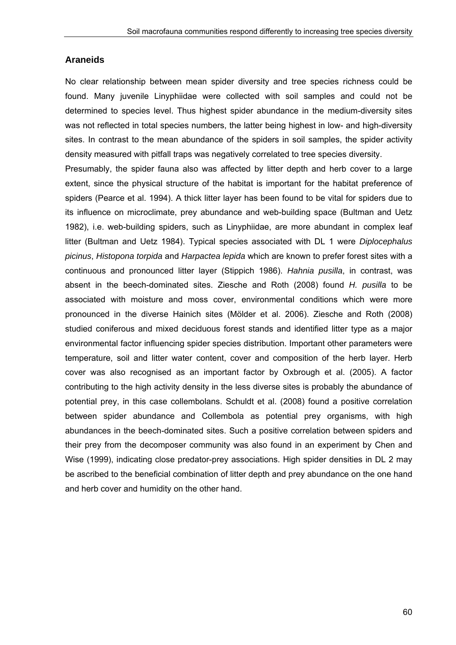#### **Araneids**

No clear relationship between mean spider diversity and tree species richness could be found. Many juvenile Linyphiidae were collected with soil samples and could not be determined to species level. Thus highest spider abundance in the medium-diversity sites was not reflected in total species numbers, the latter being highest in low- and high-diversity sites. In contrast to the mean abundance of the spiders in soil samples, the spider activity density measured with pitfall traps was negatively correlated to tree species diversity.

Presumably, the spider fauna also was affected by litter depth and herb cover to a large extent, since the physical structure of the habitat is important for the habitat preference of spiders (Pearce et al. 1994). A thick litter layer has been found to be vital for spiders due to its influence on microclimate, prey abundance and web-building space (Bultman and Uetz 1982), i.e. web-building spiders, such as Linyphiidae, are more abundant in complex leaf litter (Bultman and Uetz 1984). Typical species associated with DL 1 were *Diplocephalus picinus*, *Histopona torpida* and *Harpactea lepida* which are known to prefer forest sites with a continuous and pronounced litter layer (Stippich 1986). *Hahnia pusilla*, in contrast, was absent in the beech-dominated sites. Ziesche and Roth (2008) found *H. pusilla* to be associated with moisture and moss cover, environmental conditions which were more pronounced in the diverse Hainich sites (Mölder et al. 2006). Ziesche and Roth (2008) studied coniferous and mixed deciduous forest stands and identified litter type as a major environmental factor influencing spider species distribution. Important other parameters were temperature, soil and litter water content, cover and composition of the herb layer. Herb cover was also recognised as an important factor by Oxbrough et al. (2005). A factor contributing to the high activity density in the less diverse sites is probably the abundance of potential prey, in this case collembolans. Schuldt et al. (2008) found a positive correlation between spider abundance and Collembola as potential prey organisms, with high abundances in the beech-dominated sites. Such a positive correlation between spiders and their prey from the decomposer community was also found in an experiment by Chen and Wise (1999), indicating close predator-prey associations. High spider densities in DL 2 may be ascribed to the beneficial combination of litter depth and prey abundance on the one hand and herb cover and humidity on the other hand.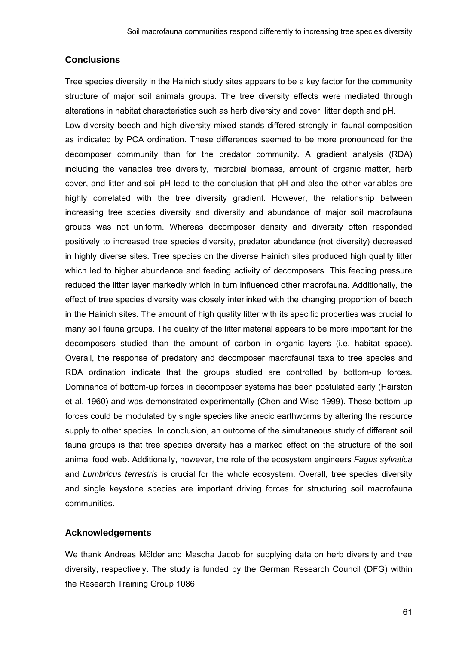## **Conclusions**

Tree species diversity in the Hainich study sites appears to be a key factor for the community structure of major soil animals groups. The tree diversity effects were mediated through alterations in habitat characteristics such as herb diversity and cover, litter depth and pH. Low-diversity beech and high-diversity mixed stands differed strongly in faunal composition as indicated by PCA ordination. These differences seemed to be more pronounced for the decomposer community than for the predator community. A gradient analysis (RDA) including the variables tree diversity, microbial biomass, amount of organic matter, herb cover, and litter and soil pH lead to the conclusion that pH and also the other variables are highly correlated with the tree diversity gradient. However, the relationship between increasing tree species diversity and diversity and abundance of major soil macrofauna groups was not uniform. Whereas decomposer density and diversity often responded positively to increased tree species diversity, predator abundance (not diversity) decreased in highly diverse sites. Tree species on the diverse Hainich sites produced high quality litter which led to higher abundance and feeding activity of decomposers. This feeding pressure reduced the litter layer markedly which in turn influenced other macrofauna. Additionally, the effect of tree species diversity was closely interlinked with the changing proportion of beech in the Hainich sites. The amount of high quality litter with its specific properties was crucial to many soil fauna groups. The quality of the litter material appears to be more important for the decomposers studied than the amount of carbon in organic layers (i.e. habitat space). Overall, the response of predatory and decomposer macrofaunal taxa to tree species and RDA ordination indicate that the groups studied are controlled by bottom-up forces. Dominance of bottom-up forces in decomposer systems has been postulated early (Hairston et al. 1960) and was demonstrated experimentally (Chen and Wise 1999). These bottom-up forces could be modulated by single species like anecic earthworms by altering the resource supply to other species. In conclusion, an outcome of the simultaneous study of different soil fauna groups is that tree species diversity has a marked effect on the structure of the soil animal food web. Additionally, however, the role of the ecosystem engineers *Fagus sylvatica* and *Lumbricus terrestris* is crucial for the whole ecosystem. Overall, tree species diversity and single keystone species are important driving forces for structuring soil macrofauna communities.

## **Acknowledgements**

We thank Andreas Mölder and Mascha Jacob for supplying data on herb diversity and tree diversity, respectively. The study is funded by the German Research Council (DFG) within the Research Training Group 1086.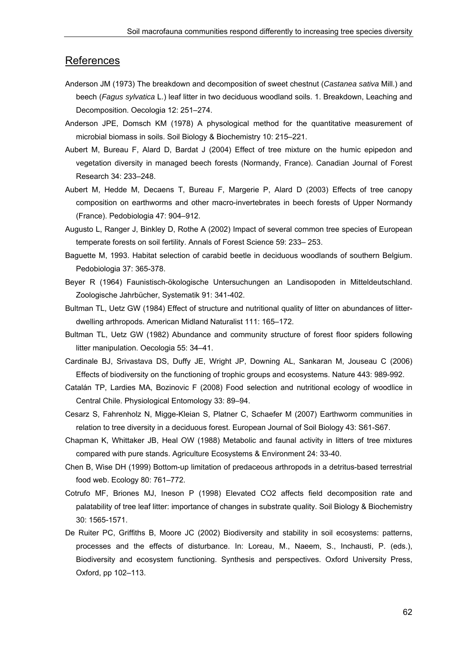#### References

- Anderson JM (1973) The breakdown and decomposition of sweet chestnut (*Castanea sativa* Mill.) and beech (*Fagus sylvatica* L.) leaf litter in two deciduous woodland soils. 1. Breakdown, Leaching and Decomposition. Oecologia 12: 251–274.
- Anderson JPE, Domsch KM (1978) A physological method for the quantitative measurement of microbial biomass in soils. Soil Biology & Biochemistry 10: 215–221.
- Aubert M, Bureau F, Alard D, Bardat J (2004) Effect of tree mixture on the humic epipedon and vegetation diversity in managed beech forests (Normandy, France). Canadian Journal of Forest Research 34: 233–248.
- Aubert M, Hedde M, Decaens T, Bureau F, Margerie P, Alard D (2003) Effects of tree canopy composition on earthworms and other macro-invertebrates in beech forests of Upper Normandy (France). Pedobiologia 47: 904–912.
- Augusto L, Ranger J, Binkley D, Rothe A (2002) Impact of several common tree species of European temperate forests on soil fertility. Annals of Forest Science 59: 233– 253.
- Baguette M, 1993. Habitat selection of carabid beetle in deciduous woodlands of southern Belgium. Pedobiologia 37: 365-378.
- Beyer R (1964) Faunistisch-ökologische Untersuchungen an Landisopoden in Mitteldeutschland. Zoologische Jahrbücher, Systematik 91: 341-402.
- Bultman TL, Uetz GW (1984) Effect of structure and nutritional quality of litter on abundances of litterdwelling arthropods. American Midland Naturalist 111: 165–172.
- Bultman TL, Uetz GW (1982) Abundance and community structure of forest floor spiders following litter manipulation. Oecologia 55: 34–41.
- Cardinale BJ, Srivastava DS, Duffy JE, Wright JP, Downing AL, Sankaran M, Jouseau C (2006) Effects of biodiversity on the functioning of trophic groups and ecosystems. Nature 443: 989-992.
- Catalán TP, Lardies MA, Bozinovic F (2008) Food selection and nutritional ecology of woodlice in Central Chile. Physiological Entomology 33: 89–94.
- Cesarz S, Fahrenholz N, Migge-Kleian S, Platner C, Schaefer M (2007) Earthworm communities in relation to tree diversity in a deciduous forest. European Journal of Soil Biology 43: S61-S67.
- Chapman K, Whittaker JB, Heal OW (1988) Metabolic and faunal activity in litters of tree mixtures compared with pure stands. Agriculture Ecosystems & Environment 24: 33-40.
- Chen B, Wise DH (1999) Bottom-up limitation of predaceous arthropods in a detritus-based terrestrial food web. Ecology 80: 761–772.
- Cotrufo MF, Briones MJ, Ineson P (1998) Elevated CO2 affects field decomposition rate and palatability of tree leaf litter: importance of changes in substrate quality. Soil Biology & Biochemistry 30: 1565-1571.
- De Ruiter PC, Griffiths B, Moore JC (2002) Biodiversity and stability in soil ecosystems: patterns, processes and the effects of disturbance. In: Loreau, M., Naeem, S., Inchausti, P. (eds.), Biodiversity and ecosystem functioning. Synthesis and perspectives. Oxford University Press, Oxford, pp 102–113.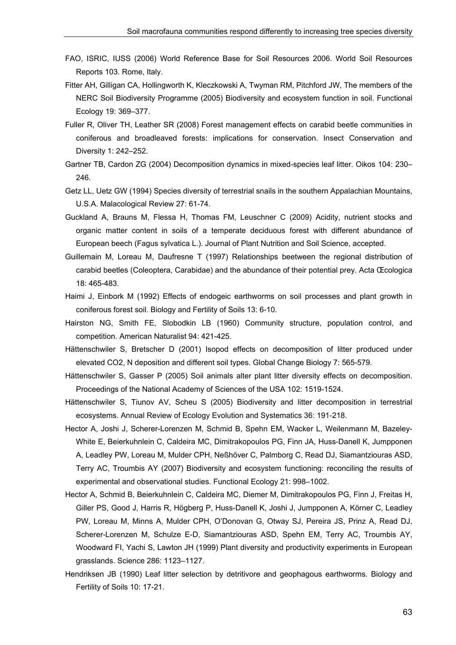- FAO, ISRIC, IUSS (2006) World Reference Base for Soil Resources 2006. World Soil Resources Reports 103. Rome, Italy.
- Fitter AH, Gilligan CA, Hollingworth K, Kleczkowski A, Twyman RM, Pitchford JW, The members of the NERC Soil Biodiversity Programme (2005) Biodiversity and ecosystem function in soil. Functional Ecology 19: 369–377.
- Fuller R, Oliver TH, Leather SR (2008) Forest management effects on carabid beetle communities in coniferous and broadleaved forests: implications for conservation. Insect Conservation and Diversity 1: 242–252.
- Gartner TB, Cardon ZG (2004) Decomposition dynamics in mixed-species leaf litter. Oikos 104: 230– 246.
- Getz LL, Uetz GW (1994) Species diversity of terrestrial snails in the southern Appalachian Mountains, U.S.A. Malacological Review 27: 61-74.
- Guckland A, Brauns M, Flessa H, Thomas FM, Leuschner C (2009) Acidity, nutrient stocks and organic matter content in soils of a temperate deciduous forest with different abundance of European beech (Fagus sylvatica L.). Journal of Plant Nutrition and Soil Science, accepted.
- Guillemain M, Loreau M, Daufresne T (1997) Relationships beetween the regional distribution of carabid beetles (Coleoptera, Carabidae) and the abundance of their potential prey. Acta Œcologica 18: 465-483.
- Haimi J, Einbork M (1992) Effects of endogeic earthworms on soil processes and plant growth in coniferous forest soil. Biology and Fertility of Soils 13: 6-10.
- Hairston NG, Smith FE, Slobodkin LB (1960) Community structure, population control, and competition. American Naturalist 94: 421-425.
- Hättenschwiler S, Bretscher D (2001) Isopod effects on decomposition of litter produced under elevated CO2, N deposition and different soil types. Global Change Biology 7: 565-579.
- Hättenschwiler S, Gasser P (2005) Soil animals alter plant litter diversity effects on decomposition. Proceedings of the National Academy of Sciences of the USA 102: 1519-1524.
- Hättenschwiler S, Tiunov AV, Scheu S (2005) Biodiversity and litter decomposition in terrestrial ecosystems. Annual Review of Ecology Evolution and Systematics 36: 191-218.
- Hector A, Joshi J, Scherer-Lorenzen M, Schmid B, Spehn EM, Wacker L, Weilenmann M, Bazeley-White E, Beierkuhnlein C, Caldeira MC, Dimitrakopoulos PG, Finn JA, Huss-Danell K, Jumpponen A, Leadley PW, Loreau M, Mulder CPH, Neßhöver C, Palmborg C, Read DJ, Siamantziouras ASD, Terry AC, Troumbis AY (2007) Biodiversity and ecosystem functioning: reconciling the results of experimental and observational studies. Functional Ecology 21: 998–1002.
- Hector A, Schmid B, Beierkuhnlein C, Caldeira MC, Diemer M, Dimitrakopoulos PG, Finn J, Freitas H, Giller PS, Good J, Harris R, Högberg P, Huss-Danell K, Joshi J, Jumpponen A, Körner C, Leadley PW, Loreau M, Minns A, Mulder CPH, O'Donovan G, Otway SJ, Pereira JS, Prinz A, Read DJ, Scherer-Lorenzen M, Schulze E-D, Siamantziouras ASD, Spehn EM, Terry AC, Troumbis AY, Woodward FI, Yachi S, Lawton JH (1999) Plant diversity and productivity experiments in European grasslands. Science 286: 1123–1127.
- Hendriksen JB (1990) Leaf litter selection by detritivore and geophagous earthworms. Biology and Fertility of Soils 10: 17-21.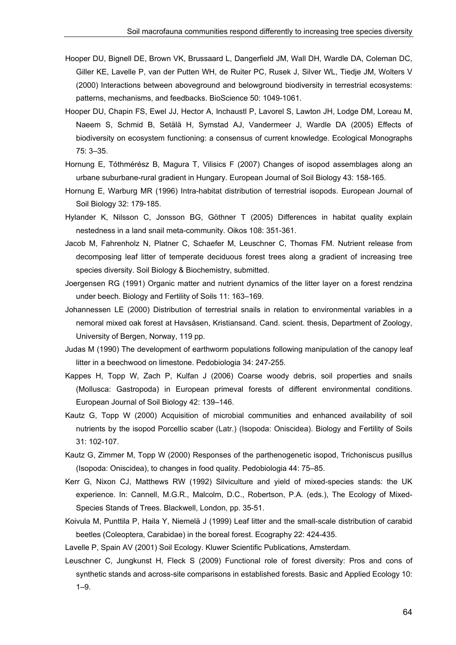- Hooper DU, Bignell DE, Brown VK, Brussaard L, Dangerfield JM, Wall DH, Wardle DA, Coleman DC, Giller KE, Lavelle P, van der Putten WH, de Ruiter PC, Rusek J, Silver WL, Tiedje JM, Wolters V (2000) Interactions between aboveground and belowground biodiversity in terrestrial ecosystems: patterns, mechanisms, and feedbacks. BioScience 50: 1049-1061.
- Hooper DU, Chapin FS, Ewel JJ, Hector A, Inchaustl P, Lavorel S, Lawton JH, Lodge DM, Loreau M, Naeem S, Schmid B, Setälä H, Symstad AJ, Vandermeer J, Wardle DA (2005) Effects of biodiversity on ecosystem functioning: a consensus of current knowledge. Ecological Monographs 75: 3–35.
- Hornung E, Tóthmérész B, Magura T, Vilisics F (2007) Changes of isopod assemblages along an urbane suburbane-rural gradient in Hungary. European Journal of Soil Biology 43: 158-165.
- Hornung E, Warburg MR (1996) Intra-habitat distribution of terrestrial isopods. European Journal of Soil Biology 32: 179-185.
- Hylander K, Nilsson C, Jonsson BG, Göthner T (2005) Differences in habitat quality explain nestedness in a land snail meta-community. Oikos 108: 351-361.
- Jacob M, Fahrenholz N, Platner C, Schaefer M, Leuschner C, Thomas FM. Nutrient release from decomposing leaf litter of temperate deciduous forest trees along a gradient of increasing tree species diversity. Soil Biology & Biochemistry, submitted.
- Joergensen RG (1991) Organic matter and nutrient dynamics of the litter layer on a forest rendzina under beech. Biology and Fertility of Soils 11: 163–169.
- Johannessen LE (2000) Distribution of terrestrial snails in relation to environmental variables in a nemoral mixed oak forest at Havsåsen, Kristiansand. Cand. scient. thesis, Department of Zoology, University of Bergen, Norway, 119 pp.
- Judas M (1990) The development of earthworm populations following manipulation of the canopy leaf litter in a beechwood on limestone. Pedobiologia 34: 247-255.
- Kappes H, Topp W, Zach P, Kulfan J (2006) Coarse woody debris, soil properties and snails (Mollusca: Gastropoda) in European primeval forests of different environmental conditions. European Journal of Soil Biology 42: 139–146.
- Kautz G, Topp W (2000) Acquisition of microbial communities and enhanced availability of soil nutrients by the isopod Porcellio scaber (Latr.) (Isopoda: Oniscidea). Biology and Fertility of Soils 31: 102-107.
- Kautz G, Zimmer M, Topp W (2000) Responses of the parthenogenetic isopod, Trichoniscus pusillus (Isopoda: Oniscidea), to changes in food quality. Pedobiologia 44: 75–85.
- Kerr G, Nixon CJ, Matthews RW (1992) Silviculture and yield of mixed-species stands: the UK experience. In: Cannell, M.G.R., Malcolm, D.C., Robertson, P.A. (eds.), The Ecology of Mixed-Species Stands of Trees. Blackwell, London, pp. 35-51.
- Koivula M, Punttila P, Haila Y, Niemelä J (1999) Leaf litter and the small-scale distribution of carabid beetles (Coleoptera, Carabidae) in the boreal forest. Ecography 22: 424-435.

Lavelle P, Spain AV (2001) Soil Ecology. Kluwer Scientific Publications, Amsterdam.

Leuschner C, Jungkunst H, Fleck S (2009) Functional role of forest diversity: Pros and cons of synthetic stands and across-site comparisons in established forests. Basic and Applied Ecology 10: 1–9.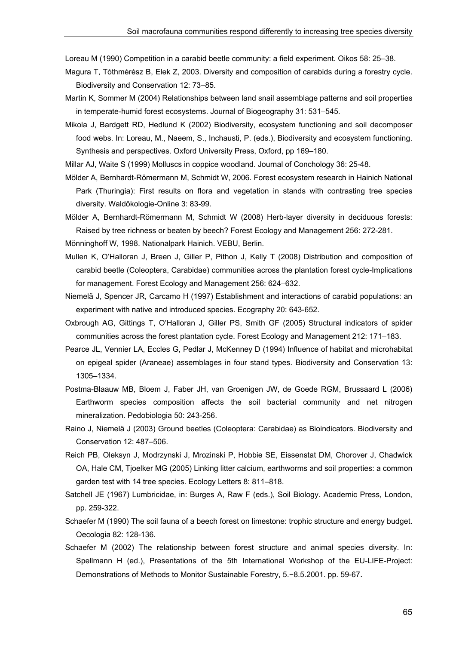Loreau M (1990) Competition in a carabid beetle community: a field experiment. Oikos 58: 25–38.

- Magura T, Tóthmérész B, Elek Z, 2003. Diversity and composition of carabids during a forestry cycle. Biodiversity and Conservation 12: 73–85.
- Martin K, Sommer M (2004) Relationships between land snail assemblage patterns and soil properties in temperate-humid forest ecosystems. Journal of Biogeography 31: 531–545.
- Mikola J, Bardgett RD, Hedlund K (2002) Biodiversity, ecosystem functioning and soil decomposer food webs. In: Loreau, M., Naeem, S., Inchausti, P. (eds.), Biodiversity and ecosystem functioning. Synthesis and perspectives. Oxford University Press, Oxford, pp 169–180.
- Millar AJ, Waite S (1999) Molluscs in coppice woodland. Journal of Conchology 36: 25-48.
- Mölder A, Bernhardt-Römermann M, Schmidt W, 2006. Forest ecosystem research in Hainich National Park (Thuringia): First results on flora and vegetation in stands with contrasting tree species diversity. Waldökologie-Online 3: 83-99.
- Mölder A, Bernhardt-Römermann M, Schmidt W (2008) Herb-layer diversity in deciduous forests: Raised by tree richness or beaten by beech? Forest Ecology and Management 256: 272-281.
- Mönninghoff W, 1998. Nationalpark Hainich. VEBU, Berlin.
- Mullen K, O'Halloran J, Breen J, Giller P, Pithon J, Kelly T (2008) Distribution and composition of carabid beetle (Coleoptera, Carabidae) communities across the plantation forest cycle-Implications for management. Forest Ecology and Management 256: 624–632.
- Niemelä J, Spencer JR, Carcamo H (1997) Establishment and interactions of carabid populations: an experiment with native and introduced species. Ecography 20: 643-652.
- Oxbrough AG, Gittings T, O'Halloran J, Giller PS, Smith GF (2005) Structural indicators of spider communities across the forest plantation cycle. Forest Ecology and Management 212: 171–183.
- Pearce JL, Vennier LA, Eccles G, Pedlar J, McKenney D (1994) Influence of habitat and microhabitat on epigeal spider (Araneae) assemblages in four stand types. Biodiversity and Conservation 13: 1305–1334.
- Postma-Blaauw MB, Bloem J, Faber JH, van Groenigen JW, de Goede RGM, Brussaard L (2006) Earthworm species composition affects the soil bacterial community and net nitrogen mineralization. Pedobiologia 50: 243-256.
- Raino J, Niemelä J (2003) Ground beetles (Coleoptera: Carabidae) as Bioindicators. Biodiversity and Conservation 12: 487–506.
- Reich PB, Oleksyn J, Modrzynski J, Mrozinski P, Hobbie SE, Eissenstat DM, Chorover J, Chadwick OA, Hale CM, Tjoelker MG (2005) Linking litter calcium, earthworms and soil properties: a common garden test with 14 tree species. Ecology Letters 8: 811–818.
- Satchell JE (1967) Lumbricidae, in: Burges A, Raw F (eds.), Soil Biology. Academic Press, London, pp. 259-322.
- Schaefer M (1990) The soil fauna of a beech forest on limestone: trophic structure and energy budget. Oecologia 82: 128-136.
- Schaefer M (2002) The relationship between forest structure and animal species diversity. In: Spellmann H (ed.), Presentations of the 5th International Workshop of the EU-LIFE-Project: Demonstrations of Methods to Monitor Sustainable Forestry, 5.−8.5.2001. pp. 59-67.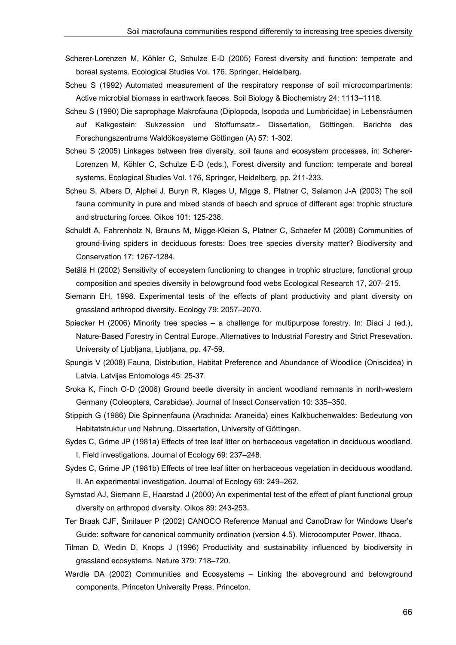- Scherer-Lorenzen M, Köhler C, Schulze E-D (2005) Forest diversity and function: temperate and boreal systems. Ecological Studies Vol. 176, Springer, Heidelberg.
- Scheu S (1992) Automated measurement of the respiratory response of soil microcompartments: Active microbial biomass in earthwork faeces. Soil Biology & Biochemistry 24: 1113–1118.
- Scheu S (1990) Die saprophage Makrofauna (Diplopoda, Isopoda und Lumbricidae) in Lebensräumen auf Kalkgestein: Sukzession und Stoffumsatz.- Dissertation, Göttingen. Berichte des Forschungszentrums Waldökosysteme Göttingen (A) 57: 1-302.
- Scheu S (2005) Linkages between tree diversity, soil fauna and ecosystem processes, in: Scherer-Lorenzen M, Köhler C, Schulze E-D (eds.), Forest diversity and function: temperate and boreal systems. Ecological Studies Vol. 176, Springer, Heidelberg, pp. 211-233.
- Scheu S, Albers D, Alphei J, Buryn R, Klages U, Migge S, Platner C, Salamon J-A (2003) The soil fauna community in pure and mixed stands of beech and spruce of different age: trophic structure and structuring forces. Oikos 101: 125-238.
- Schuldt A, Fahrenholz N, Brauns M, Migge-Kleian S, Platner C, Schaefer M (2008) Communities of ground-living spiders in deciduous forests: Does tree species diversity matter? Biodiversity and Conservation 17: 1267-1284.
- Setälä H (2002) Sensitivity of ecosystem functioning to changes in trophic structure, functional group composition and species diversity in belowground food webs Ecological Research 17, 207–215.
- Siemann EH, 1998. Experimental tests of the effects of plant productivity and plant diversity on grassland arthropod diversity. Ecology 79: 2057–2070.
- Spiecker H (2006) Minority tree species a challenge for multipurpose forestry. In: Diaci J (ed.), Nature-Based Forestry in Central Europe. Alternatives to Industrial Forestry and Strict Presevation. University of Ljubljana, Ljubljana, pp. 47-59.
- Spungis V (2008) Fauna, Distribution, Habitat Preference and Abundance of Woodlice (Oniscidea) in Latvia. Latvijas Entomologs 45: 25-37.
- Sroka K, Finch O-D (2006) Ground beetle diversity in ancient woodland remnants in north-western Germany (Coleoptera, Carabidae). Journal of Insect Conservation 10: 335–350.
- Stippich G (1986) Die Spinnenfauna (Arachnida: Araneida) eines Kalkbuchenwaldes: Bedeutung von Habitatstruktur und Nahrung. Dissertation, University of Göttingen.
- Sydes C, Grime JP (1981a) Effects of tree leaf litter on herbaceous vegetation in deciduous woodland. I. Field investigations. Journal of Ecology 69: 237–248.
- Sydes C, Grime JP (1981b) Effects of tree leaf litter on herbaceous vegetation in deciduous woodland. II. An experimental investigation. Journal of Ecology 69: 249–262.
- Symstad AJ, Siemann E, Haarstad J (2000) An experimental test of the effect of plant functional group diversity on arthropod diversity. Oikos 89: 243-253.
- Ter Braak CJF, Šmilauer P (2002) CANOCO Reference Manual and CanoDraw for Windows User's Guide: software for canonical community ordination (version 4.5). Microcomputer Power, Ithaca.
- Tilman D, Wedin D, Knops J (1996) Productivity and sustainability influenced by biodiversity in grassland ecosystems. Nature 379: 718–720.
- Wardle DA (2002) Communities and Ecosystems Linking the aboveground and belowground components, Princeton University Press, Princeton.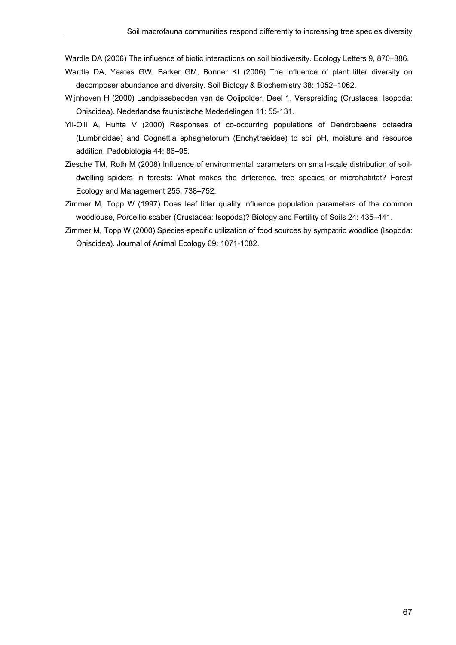Wardle DA (2006) The influence of biotic interactions on soil biodiversity. Ecology Letters 9, 870–886.

- Wardle DA, Yeates GW, Barker GM, Bonner KI (2006) The influence of plant litter diversity on decomposer abundance and diversity. Soil Biology & Biochemistry 38: 1052–1062.
- Wijnhoven H (2000) Landpissebedden van de Ooijpolder: Deel 1. Verspreiding (Crustacea: Isopoda: Oniscidea). Nederlandse faunistische Mededelingen 11: 55-131.
- Yli-Olli A, Huhta V (2000) Responses of co-occurring populations of Dendrobaena octaedra (Lumbricidae) and Cognettia sphagnetorum (Enchytraeidae) to soil pH, moisture and resource addition. Pedobiologia 44: 86–95.
- Ziesche TM, Roth M (2008) Influence of environmental parameters on small-scale distribution of soildwelling spiders in forests: What makes the difference, tree species or microhabitat? Forest Ecology and Management 255: 738–752.
- Zimmer M, Topp W (1997) Does leaf litter quality influence population parameters of the common woodlouse, Porcellio scaber (Crustacea: Isopoda)? Biology and Fertility of Soils 24: 435–441.
- Zimmer M, Topp W (2000) Species-specific utilization of food sources by sympatric woodlice (Isopoda: Oniscidea). Journal of Animal Ecology 69: 1071-1082.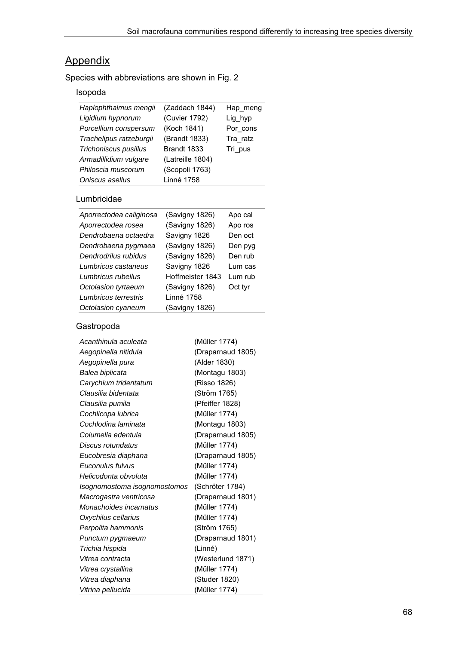## **Appendix**

Species with abbreviations are shown in Fig. 2

## Isopoda

| Haplophthalmus mengii   | (Zaddach 1844)    | Hap meng |
|-------------------------|-------------------|----------|
| Ligidium hypnorum       | (Cuvier 1792)     | Lig_hyp  |
| Porcellium conspersum   | (Koch 1841)       | Por cons |
| Trachelipus ratzeburgii | (Brandt 1833)     | Tra ratz |
| Trichoniscus pusillus   | Brandt 1833       | Tri pus  |
| Armadillidium vulgare   | (Latreille 1804)  |          |
| Philoscia muscorum      | (Scopoli 1763)    |          |
| Oniscus asellus         | <b>Linné 1758</b> |          |
|                         |                   |          |

#### Lumbricidae

| Aporrectodea caliginosa | (Savigny 1826)   | Apo cal  |
|-------------------------|------------------|----------|
| Aporrectodea rosea      | (Savigny 1826)   | Apo ros  |
| Dendrobaena octaedra    | Savigny 1826     | Den oct  |
| Dendrobaena pygmaea     | (Savigny 1826)   | Den pyg  |
| Dendrodrilus rubidus    | (Savigny 1826)   | Den rub  |
| Lumbricus castaneus     | Savigny 1826     | Lum cas  |
| Lumbricus rubellus      | Hoffmeister 1843 | I um rub |
| Octolasion tyrtaeum     | (Savigny 1826)   | Oct tyr  |
| Lumbricus terrestris    | Linné 1758       |          |
| Octolasion cyaneum      | (Savigny 1826)   |          |

## Gastropoda

| (Müller 1774)     |
|-------------------|
| (Draparnaud 1805) |
| (Alder 1830)      |
| (Montagu 1803)    |
| (Risso 1826)      |
| (Ström 1765)      |
| (Pfeiffer 1828)   |
| (Müller 1774)     |
| (Montagu 1803)    |
| (Draparnaud 1805) |
| (Müller 1774)     |
| (Draparnaud 1805) |
| (Müller 1774)     |
| (Müller 1774)     |
| (Schröter 1784)   |
| (Draparnaud 1801) |
| (Müller 1774)     |
| (Müller 1774)     |
| (Ström 1765)      |
| (Draparnaud 1801) |
| (Linné)           |
| (Westerlund 1871) |
| (Müller 1774)     |
| (Studer 1820)     |
| (Müller 1774)     |
|                   |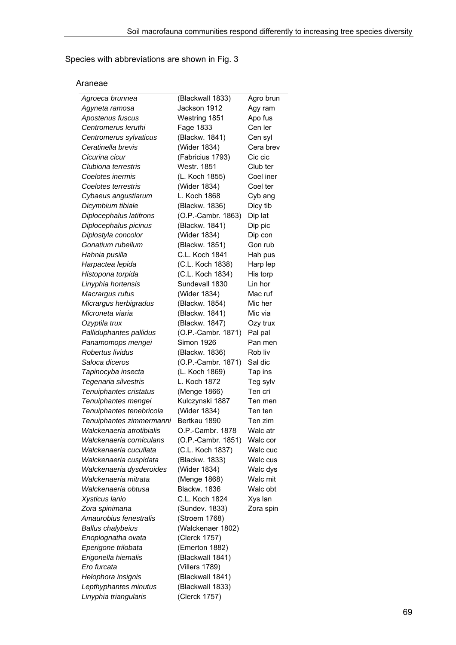Species with abbreviations are shown in Fig. 3

#### Araneae

| Agroeca brunnea           | (Blackwall 1833)    | Agro brun |
|---------------------------|---------------------|-----------|
| Agyneta ramosa            | Jackson 1912        | Agy ram   |
| Apostenus fuscus          | Westring 1851       | Apo fus   |
| Centromerus leruthi       | Fage 1833           | Cen ler   |
| Centromerus sylvaticus    | (Blackw. 1841)      | Cen syl   |
| Ceratinella brevis        | (Wider 1834)        | Cera brev |
| Cicurina cicur            | (Fabricius 1793)    | Cic cic   |
| Clubiona terrestris       | <b>Westr. 1851</b>  | Club ter  |
| Coelotes inermis          | (L. Koch 1855)      | Coel iner |
| Coelotes terrestris       | (Wider 1834)        | Coel ter  |
| Cybaeus angustiarum       | L. Koch 1868        | Cyb ang   |
| Dicymbium tibiale         | (Blackw. 1836)      | Dicy tib  |
| Diplocephalus latifrons   | (O.P.-Cambr. 1863)  | Dip lat   |
| Diplocephalus picinus     | (Blackw. 1841)      | Dip pic   |
| Diplostyla concolor       | (Wider 1834)        | Dip con   |
| Gonatium rubellum         | (Blackw. 1851)      | Gon rub   |
| Hahnia pusilla            | C.L. Koch 1841      | Hah pus   |
| Harpactea lepida          | (C.L. Koch 1838)    | Harp lep  |
| Histopona torpida         | (C.L. Koch 1834)    | His torp  |
| Linyphia hortensis        | Sundevall 1830      | Lin hor   |
| Macrargus rufus           | (Wider 1834)        | Mac ruf   |
| Micrargus herbigradus     | (Blackw. 1854)      | Mic her   |
| Microneta viaria          | (Blackw. 1841)      | Mic via   |
| Ozyptila trux             | (Blackw. 1847)      | Ozy trux  |
| Palliduphantes pallidus   | (O.P.-Cambr. 1871)  | Pal pal   |
| Panamomops mengei         | <b>Simon 1926</b>   | Pan men   |
| Robertus lividus          | (Blackw. 1836)      | Rob liv   |
| Saloca diceros            | (O.P.-Cambr. 1871)  | Sal dic   |
| Tapinocyba insecta        | (L. Koch 1869)      | Tap ins   |
| Tegenaria silvestris      | L. Koch 1872        | Teg sylv  |
| Tenuiphantes cristatus    | (Menge 1866)        | Ten cri   |
| Tenuiphantes mengei       | Kulczynski 1887     | Ten men   |
| Tenuiphantes tenebricola  | (Wider 1834)        | Ten ten   |
| Tenuiphantes zimmermanni  | Bertkau 1890        | Ten zim   |
| Walckenaeria atrotibialis | O.P.-Cambr. 1878    | Walc atr  |
| Walckenaeria corniculans  | (O.P.-Cambr. 1851)  | Walc cor  |
| Walckenaeria cucullata    | (C.L. Koch 1837)    | Walc cuc  |
| Walckenaeria cuspidata    | (Blackw. 1833)      | Walc cus  |
| Walckenaeria dysderoides  | (Wider 1834)        | Walc dys  |
| Walckenaeria mitrata      | (Menge 1868)        | Walc mit  |
| Walckenaeria obtusa       | <b>Blackw. 1836</b> | Walc obt  |
| Xysticus Ianio            | C.L. Koch 1824      | Xys lan   |
| Zora spinimana            | (Sundev. 1833)      | Zora spin |
| Amaurobius fenestralis    | (Stroem 1768)       |           |
| <b>Ballus chalybeius</b>  | (Walckenaer 1802)   |           |
| Enoplognatha ovata        | (Clerck 1757)       |           |
| Eperigone trilobata       | (Emerton 1882)      |           |
| Erigonella hiemalis       | (Blackwall 1841)    |           |
| Ero furcata               | (Villers 1789)      |           |
| Helophora insignis        | (Blackwall 1841)    |           |
| Lepthyphantes minutus     | (Blackwall 1833)    |           |
| Linyphia triangularis     | (Clerck 1757)       |           |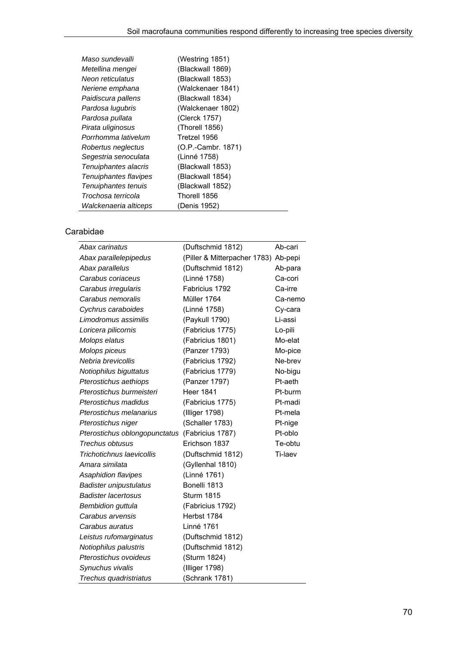| (Westring 1851)      |
|----------------------|
| (Blackwall 1869)     |
| (Blackwall 1853)     |
| (Walckenaer 1841)    |
| (Blackwall 1834)     |
| (Walckenaer 1802)    |
| (Clerck 1757)        |
| (Thorell 1856)       |
| Tretzel 1956         |
| $(O.P.-Cambr. 1871)$ |
| (Linné 1758)         |
| (Blackwall 1853)     |
| (Blackwall 1854)     |
| (Blackwall 1852)     |
| Thorell 1856         |
| (Denis 1952)         |
|                      |

# Carabidae

| Abax carinatus                | (Duftschmid 1812)                    | Ab-cari |
|-------------------------------|--------------------------------------|---------|
| Abax parallelepipedus         | (Piller & Mitterpacher 1783) Ab-pepi |         |
| Abax parallelus               | (Duftschmid 1812)                    | Ab-para |
| Carabus coriaceus             | (Linné 1758)                         | Ca-cori |
| Carabus irregularis           | Fabricius 1792                       | Ca-irre |
| Carabus nemoralis             | Müller 1764                          | Ca-nemo |
| Cychrus caraboides            | (Linné 1758)                         | Cy-cara |
| Limodromus assimilis          | (Paykull 1790)                       | Li-assi |
| Loricera pilicornis           | (Fabricius 1775)                     | Lo-pili |
| Molops elatus                 | (Fabricius 1801)                     | Mo-elat |
| Molops piceus                 | (Panzer 1793)                        | Mo-pice |
| Nebria brevicollis            | (Fabricius 1792)                     | Ne-brev |
| Notiophilus biguttatus        | (Fabricius 1779)                     | No-bigu |
| Pterostichus aethiops         | (Panzer 1797)                        | Pt-aeth |
| Pterostichus burmeisteri      | <b>Heer 1841</b>                     | Pt-burm |
| Pterostichus madidus          | (Fabricius 1775)                     | Pt-madi |
| Pterostichus melanarius       | (Illiger 1798)                       | Pt-mela |
| Pterostichus niger            | (Schaller 1783)                      | Pt-nige |
| Pterostichus oblongopunctatus | (Fabricius 1787)                     | Pt-oblo |
| Trechus obtusus               | Erichson 1837                        | Te-obtu |
| Trichotichnus laevicollis     | (Duftschmid 1812)                    | Ti-laev |
| Amara similata                | (Gyllenhal 1810)                     |         |
| Asaphidion flavipes           | (Linné 1761)                         |         |
| <b>Badister unipustulatus</b> | Bonelli 1813                         |         |
| <b>Badister lacertosus</b>    | <b>Sturm 1815</b>                    |         |
| <b>Bembidion guttula</b>      | (Fabricius 1792)                     |         |
| Carabus arvensis              | Herbst 1784                          |         |
| Carabus auratus               | Linné 1761                           |         |
| Leistus rufomarginatus        | (Duftschmid 1812)                    |         |
| Notiophilus palustris         | (Duftschmid 1812)                    |         |
| Pterostichus ovoideus         | (Sturm 1824)                         |         |
| Synuchus vivalis              | (Illiger 1798)                       |         |
| Trechus quadristriatus        | (Schrank 1781)                       |         |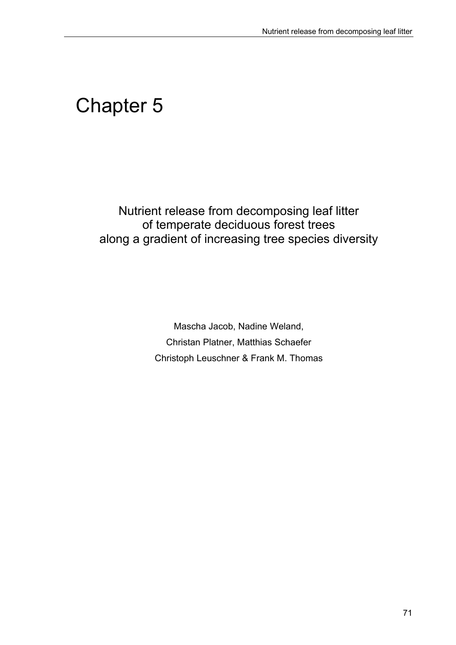# Chapter 5

Nutrient release from decomposing leaf litter of temperate deciduous forest trees along a gradient of increasing tree species diversity

> Mascha Jacob, Nadine Weland, Christan Platner, Matthias Schaefer Christoph Leuschner & Frank M. Thomas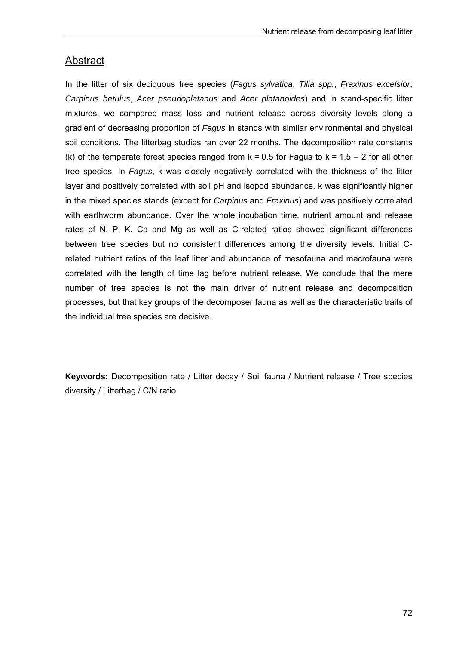# **Abstract**

In the litter of six deciduous tree species (*Fagus sylvatica*, *Tilia spp.*, *Fraxinus excelsior*, *Carpinus betulus*, *Acer pseudoplatanus* and *Acer platanoides*) and in stand-specific litter mixtures, we compared mass loss and nutrient release across diversity levels along a gradient of decreasing proportion of *Fagus* in stands with similar environmental and physical soil conditions. The litterbag studies ran over 22 months. The decomposition rate constants (k) of the temperate forest species ranged from  $k = 0.5$  for Fagus to  $k = 1.5 - 2$  for all other tree species. In *Fagus*, k was closely negatively correlated with the thickness of the litter layer and positively correlated with soil pH and isopod abundance. k was significantly higher in the mixed species stands (except for *Carpinus* and *Fraxinus*) and was positively correlated with earthworm abundance. Over the whole incubation time, nutrient amount and release rates of N, P, K, Ca and Mg as well as C-related ratios showed significant differences between tree species but no consistent differences among the diversity levels. Initial Crelated nutrient ratios of the leaf litter and abundance of mesofauna and macrofauna were correlated with the length of time lag before nutrient release. We conclude that the mere number of tree species is not the main driver of nutrient release and decomposition processes, but that key groups of the decomposer fauna as well as the characteristic traits of the individual tree species are decisive.

**Keywords:** Decomposition rate / Litter decay / Soil fauna / Nutrient release / Tree species diversity / Litterbag / C/N ratio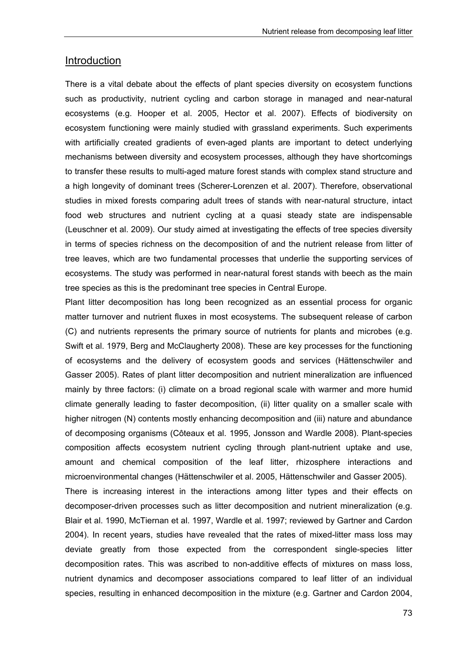# Introduction

There is a vital debate about the effects of plant species diversity on ecosystem functions such as productivity, nutrient cycling and carbon storage in managed and near-natural ecosystems (e.g. Hooper et al. 2005, Hector et al. 2007). Effects of biodiversity on ecosystem functioning were mainly studied with grassland experiments. Such experiments with artificially created gradients of even-aged plants are important to detect underlying mechanisms between diversity and ecosystem processes, although they have shortcomings to transfer these results to multi-aged mature forest stands with complex stand structure and a high longevity of dominant trees (Scherer-Lorenzen et al. 2007). Therefore, observational studies in mixed forests comparing adult trees of stands with near-natural structure, intact food web structures and nutrient cycling at a quasi steady state are indispensable (Leuschner et al. 2009). Our study aimed at investigating the effects of tree species diversity in terms of species richness on the decomposition of and the nutrient release from litter of tree leaves, which are two fundamental processes that underlie the supporting services of ecosystems. The study was performed in near-natural forest stands with beech as the main tree species as this is the predominant tree species in Central Europe.

Plant litter decomposition has long been recognized as an essential process for organic matter turnover and nutrient fluxes in most ecosystems. The subsequent release of carbon (C) and nutrients represents the primary source of nutrients for plants and microbes (e.g. Swift et al. 1979, Berg and McClaugherty 2008). These are key processes for the functioning of ecosystems and the delivery of ecosystem goods and services (Hättenschwiler and Gasser 2005). Rates of plant litter decomposition and nutrient mineralization are influenced mainly by three factors: (i) climate on a broad regional scale with warmer and more humid climate generally leading to faster decomposition, (ii) litter quality on a smaller scale with higher nitrogen (N) contents mostly enhancing decomposition and (iii) nature and abundance of decomposing organisms (Côteaux et al. 1995, Jonsson and Wardle 2008). Plant-species composition affects ecosystem nutrient cycling through plant-nutrient uptake and use, amount and chemical composition of the leaf litter, rhizosphere interactions and microenvironmental changes (Hättenschwiler et al. 2005, Hättenschwiler and Gasser 2005). There is increasing interest in the interactions among litter types and their effects on decomposer-driven processes such as litter decomposition and nutrient mineralization (e.g. Blair et al. 1990, McTiernan et al. 1997, Wardle et al. 1997; reviewed by Gartner and Cardon 2004). In recent years, studies have revealed that the rates of mixed-litter mass loss may deviate greatly from those expected from the correspondent single-species litter decomposition rates. This was ascribed to non-additive effects of mixtures on mass loss,

nutrient dynamics and decomposer associations compared to leaf litter of an individual species, resulting in enhanced decomposition in the mixture (e.g. Gartner and Cardon 2004,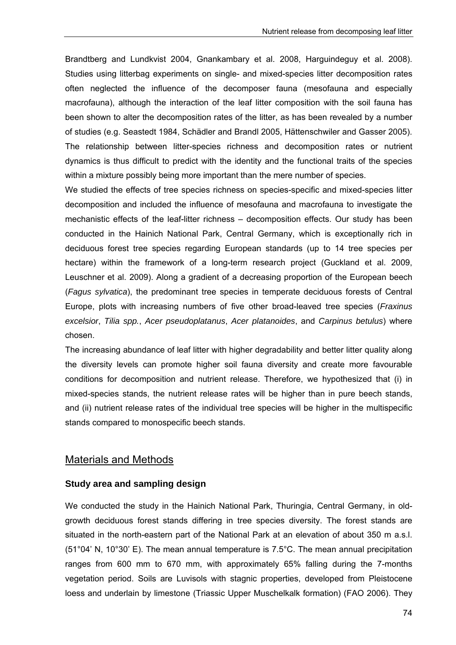Brandtberg and Lundkvist 2004, Gnankambary et al. 2008, Harguindeguy et al. 2008). Studies using litterbag experiments on single- and mixed-species litter decomposition rates often neglected the influence of the decomposer fauna (mesofauna and especially macrofauna), although the interaction of the leaf litter composition with the soil fauna has been shown to alter the decomposition rates of the litter, as has been revealed by a number of studies (e.g. Seastedt 1984, Schädler and Brandl 2005, Hättenschwiler and Gasser 2005). The relationship between litter-species richness and decomposition rates or nutrient dynamics is thus difficult to predict with the identity and the functional traits of the species within a mixture possibly being more important than the mere number of species.

We studied the effects of tree species richness on species-specific and mixed-species litter decomposition and included the influence of mesofauna and macrofauna to investigate the mechanistic effects of the leaf-litter richness – decomposition effects. Our study has been conducted in the Hainich National Park, Central Germany, which is exceptionally rich in deciduous forest tree species regarding European standards (up to 14 tree species per hectare) within the framework of a long-term research project (Guckland et al. 2009, Leuschner et al. 2009). Along a gradient of a decreasing proportion of the European beech (*Fagus sylvatica*), the predominant tree species in temperate deciduous forests of Central Europe, plots with increasing numbers of five other broad-leaved tree species (*Fraxinus excelsior*, *Tilia spp.*, *Acer pseudoplatanus*, *Acer platanoides*, and *Carpinus betulus*) where chosen.

The increasing abundance of leaf litter with higher degradability and better litter quality along the diversity levels can promote higher soil fauna diversity and create more favourable conditions for decomposition and nutrient release. Therefore, we hypothesized that (i) in mixed-species stands, the nutrient release rates will be higher than in pure beech stands, and (ii) nutrient release rates of the individual tree species will be higher in the multispecific stands compared to monospecific beech stands.

# Materials and Methods

## **Study area and sampling design**

We conducted the study in the Hainich National Park, Thuringia, Central Germany, in oldgrowth deciduous forest stands differing in tree species diversity. The forest stands are situated in the north-eastern part of the National Park at an elevation of about 350 m a.s.l. (51°04' N, 10°30' E). The mean annual temperature is 7.5°C. The mean annual precipitation ranges from 600 mm to 670 mm, with approximately 65% falling during the 7-months vegetation period. Soils are Luvisols with stagnic properties, developed from Pleistocene loess and underlain by limestone (Triassic Upper Muschelkalk formation) (FAO 2006). They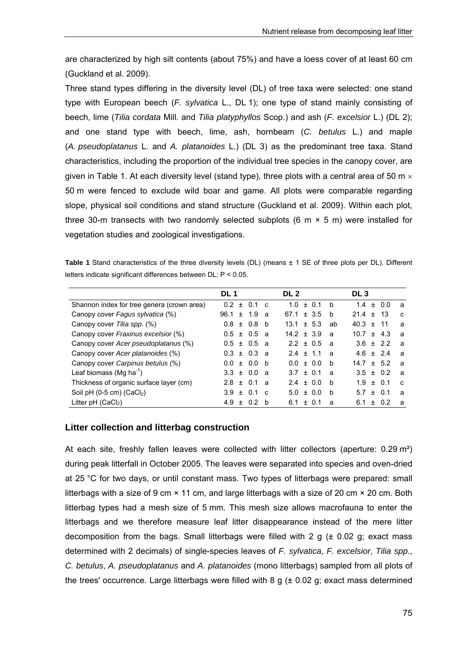are characterized by high silt contents (about 75%) and have a loess cover of at least 60 cm (Guckland et al. 2009).

Three stand types differing in the diversity level (DL) of tree taxa were selected: one stand type with European beech (*F. sylvatica* L., DL 1); one type of stand mainly consisting of beech, lime (*Tilia cordata* Mill. and *Tilia platyphyllos* Scop.) and ash (*F. excelsior* L.) (DL 2); and one stand type with beech, lime, ash, hornbeam (*C. betulus* L.) and maple (*A. pseudoplatanus* L. and *A. platanoides* L.) (DL 3) as the predominant tree taxa. Stand characteristics, including the proportion of the individual tree species in the canopy cover, are given in Table 1. At each diversity level (stand type), three plots with a central area of 50 m  $\times$ 50 m were fenced to exclude wild boar and game. All plots were comparable regarding slope, physical soil conditions and stand structure (Guckland et al. 2009). Within each plot, three 30-m transects with two randomly selected subplots (6 m  $\times$  5 m) were installed for vegetation studies and zoological investigations.

**Table 1** Stand characteristics of the three diversity levels (DL) (means ± 1 SE of three plots per DL). Different letters indicate significant differences between DL; P < 0.05.

|                                            | DL 1              |              | DL 2             | DL <sub>3</sub>                            |
|--------------------------------------------|-------------------|--------------|------------------|--------------------------------------------|
| Shannon index for tree genera (crown area) | 0.2<br>0.1<br>$+$ | C            | 1.0<br>± 0.1     | $\pm 0.0$<br>b<br>1.4<br>a                 |
| Canopy cover Fagus sylvatica (%)           | $96.1 \pm 1.9$    | <b>a</b>     | ± 3.5<br>67.1    | 21.4<br>-13<br>h<br>$+$<br>$\mathbf{c}$    |
| Canopy cover Tilia spp. (%)                | $0.8 \pm 0.8$     | b            | ± 5.3<br>13.1    | 40.3<br>-11<br>ab<br>$+$<br>a              |
| Canopy cover Fraxinus excelsior (%)        | $0.5 \pm 0.5$ a   |              | $14.2 \pm 3.9$   | 10.7<br>$\pm$ 4.3<br>a<br>a                |
| Canopy cover Acer pseudoplatanus (%)       | $0.5 \pm 0.5$ a   |              | ± 0.5<br>2.2     | $+22$<br>3.6<br>$\overline{a}$<br><b>a</b> |
| Canopy cover Acer platanoides (%)          | $0.3 \pm 0.3$ a   |              | $+ 1.1$<br>2.4   | 4.6<br>$+24$<br>$\overline{a}$<br><b>a</b> |
| Canopy cover Carpinus betulus (%)          | $0.0 \pm 0.0$     | b            | $\pm$ 0.0<br>0.0 | h<br>$+ 5.2$<br>14.7<br>$\mathbf{a}$       |
| Leaf biomass (Mg ha <sup>-1</sup> )        | $3.3 \pm 0.0$ a   |              | $3.7 \pm 0.1$    | $3.5 \pm 0.2$<br>a<br>a                    |
| Thickness of organic surface layer (cm)    | $2.8 \pm 0.1$     | - a          | ± 0.0<br>2.4     | $±$ 0.1<br>b<br>1.9<br>C                   |
| Soil pH $(0-5$ cm $)$ $(CaCl2)$            | $3.9 \pm 0.1$     | $\mathbf{C}$ | ± 0.0<br>5.0     | $\pm$ 0.1<br>b<br>5.7<br>a                 |
| Litter $pH$ (CaCl <sub>2</sub> )           | 4.9 $\pm$<br>0.2  | <sub>b</sub> | 6.1<br>$+$       | 0.2<br>6.1<br>$+$<br>a<br>a                |

#### **Litter collection and litterbag construction**

At each site, freshly fallen leaves were collected with litter collectors (aperture: 0.29 m<sup>2</sup>) during peak litterfall in October 2005. The leaves were separated into species and oven-dried at 25 °C for two days, or until constant mass. Two types of litterbags were prepared: small litterbags with a size of 9 cm × 11 cm, and large litterbags with a size of 20 cm × 20 cm. Both litterbag types had a mesh size of 5 mm. This mesh size allows macrofauna to enter the litterbags and we therefore measure leaf litter disappearance instead of the mere litter decomposition from the bags. Small litterbags were filled with 2  $q$  ( $\pm$  0.02 g; exact mass determined with 2 decimals) of single-species leaves of *F. sylvatica*, *F. excelsior*, *Tilia spp*., *C. betulus*, *A. pseudoplatanus* and *A. platanoides* (mono litterbags) sampled from all plots of the trees' occurrence. Large litterbags were filled with  $8 \text{ g } (\pm 0.02 \text{ g})$ ; exact mass determined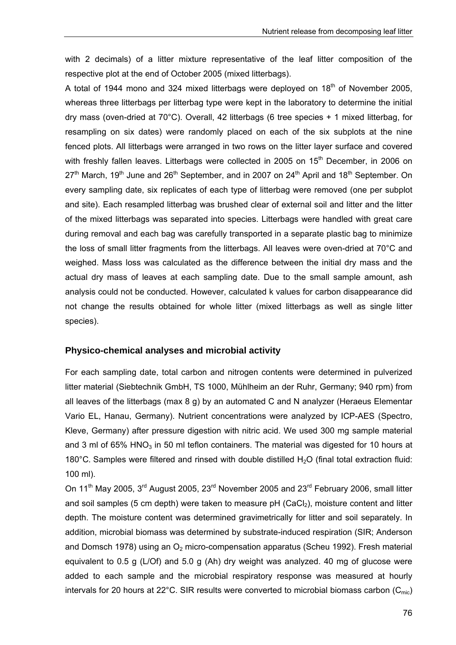with 2 decimals) of a litter mixture representative of the leaf litter composition of the respective plot at the end of October 2005 (mixed litterbags).

A total of 1944 mono and 324 mixed litterbags were deploved on  $18<sup>th</sup>$  of November 2005. whereas three litterbags per litterbag type were kept in the laboratory to determine the initial dry mass (oven-dried at 70°C). Overall, 42 litterbags (6 tree species + 1 mixed litterbag, for resampling on six dates) were randomly placed on each of the six subplots at the nine fenced plots. All litterbags were arranged in two rows on the litter layer surface and covered with freshly fallen leaves. Litterbags were collected in 2005 on 15<sup>th</sup> December, in 2006 on  $27<sup>th</sup>$  March, 19<sup>th</sup> June and 26<sup>th</sup> September, and in 2007 on 24<sup>th</sup> April and 18<sup>th</sup> September. On every sampling date, six replicates of each type of litterbag were removed (one per subplot and site). Each resampled litterbag was brushed clear of external soil and litter and the litter of the mixed litterbags was separated into species. Litterbags were handled with great care during removal and each bag was carefully transported in a separate plastic bag to minimize the loss of small litter fragments from the litterbags. All leaves were oven-dried at 70°C and weighed. Mass loss was calculated as the difference between the initial dry mass and the actual dry mass of leaves at each sampling date. Due to the small sample amount, ash analysis could not be conducted. However, calculated k values for carbon disappearance did not change the results obtained for whole litter (mixed litterbags as well as single litter species).

#### **Physico-chemical analyses and microbial activity**

For each sampling date, total carbon and nitrogen contents were determined in pulverized litter material (Siebtechnik GmbH, TS 1000, Mühlheim an der Ruhr, Germany; 940 rpm) from all leaves of the litterbags (max 8 g) by an automated C and N analyzer (Heraeus Elementar Vario EL, Hanau, Germany). Nutrient concentrations were analyzed by ICP-AES (Spectro, Kleve, Germany) after pressure digestion with nitric acid. We used 300 mg sample material and 3 ml of 65% HNO<sub>3</sub> in 50 ml teflon containers. The material was digested for 10 hours at 180 $^{\circ}$ C. Samples were filtered and rinsed with double distilled H<sub>2</sub>O (final total extraction fluid: 100 ml).

On 11<sup>th</sup> May 2005, 3<sup>rd</sup> August 2005, 23<sup>rd</sup> November 2005 and 23<sup>rd</sup> February 2006, small litter and soil samples (5 cm depth) were taken to measure  $pH$  (CaCl<sub>2</sub>), moisture content and litter depth. The moisture content was determined gravimetrically for litter and soil separately. In addition, microbial biomass was determined by substrate-induced respiration (SIR; Anderson and Domsch 1978) using an  $O<sub>2</sub>$  micro-compensation apparatus (Scheu 1992). Fresh material equivalent to 0.5 g (L/Of) and 5.0 g (Ah) dry weight was analyzed. 40 mg of glucose were added to each sample and the microbial respiratory response was measured at hourly intervals for 20 hours at 22°C. SIR results were converted to microbial biomass carbon ( $C_{\text{mic}}$ )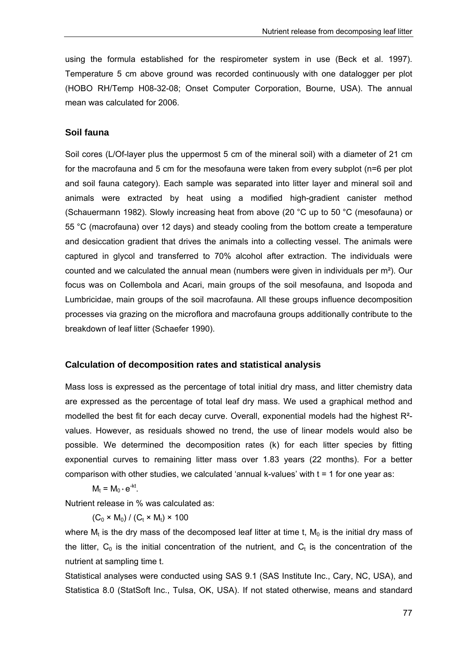using the formula established for the respirometer system in use (Beck et al. 1997). Temperature 5 cm above ground was recorded continuously with one datalogger per plot (HOBO RH/Temp H08-32-08; Onset Computer Corporation, Bourne, USA). The annual mean was calculated for 2006.

# **Soil fauna**

Soil cores (L/Of-layer plus the uppermost 5 cm of the mineral soil) with a diameter of 21 cm for the macrofauna and 5 cm for the mesofauna were taken from every subplot (n=6 per plot and soil fauna category). Each sample was separated into litter layer and mineral soil and animals were extracted by heat using a modified high-gradient canister method (Schauermann 1982). Slowly increasing heat from above (20 °C up to 50 °C (mesofauna) or 55 °C (macrofauna) over 12 days) and steady cooling from the bottom create a temperature and desiccation gradient that drives the animals into a collecting vessel. The animals were captured in glycol and transferred to 70% alcohol after extraction. The individuals were counted and we calculated the annual mean (numbers were given in individuals per  $m<sup>2</sup>$ ). Our focus was on Collembola and Acari, main groups of the soil mesofauna, and Isopoda and Lumbricidae, main groups of the soil macrofauna. All these groups influence decomposition processes via grazing on the microflora and macrofauna groups additionally contribute to the breakdown of leaf litter (Schaefer 1990).

## **Calculation of decomposition rates and statistical analysis**

Mass loss is expressed as the percentage of total initial dry mass, and litter chemistry data are expressed as the percentage of total leaf dry mass. We used a graphical method and modelled the best fit for each decay curve. Overall, exponential models had the highest R² values. However, as residuals showed no trend, the use of linear models would also be possible. We determined the decomposition rates (k) for each litter species by fitting exponential curves to remaining litter mass over 1.83 years (22 months). For a better comparison with other studies, we calculated 'annual k-values' with  $t = 1$  for one year as:

$$
M_t = M_0 \cdot e^{-kt}.
$$

Nutrient release in % was calculated as:

 $(C_0 \times M_0) / (C_t \times M_t) \times 100$ 

where  $M_t$  is the dry mass of the decomposed leaf litter at time t,  $M_0$  is the initial dry mass of the litter,  $C_0$  is the initial concentration of the nutrient, and  $C_t$  is the concentration of the nutrient at sampling time t.

Statistical analyses were conducted using SAS 9.1 (SAS Institute Inc., Cary, NC, USA), and Statistica 8.0 (StatSoft Inc., Tulsa, OK, USA). If not stated otherwise, means and standard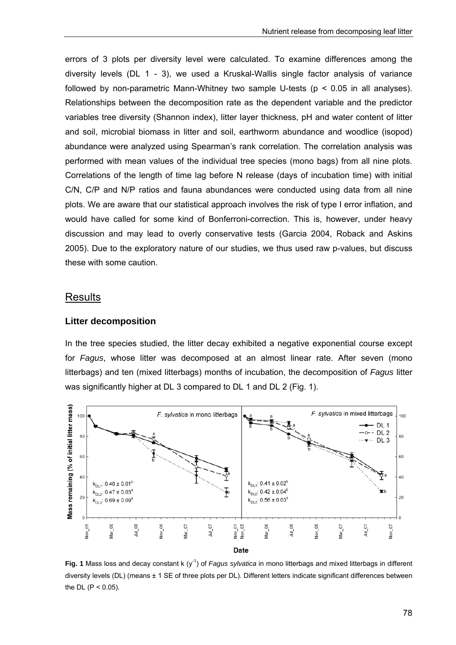errors of 3 plots per diversity level were calculated. To examine differences among the diversity levels (DL 1 - 3), we used a Kruskal-Wallis single factor analysis of variance followed by non-parametric Mann-Whitney two sample U-tests ( $p < 0.05$  in all analyses). Relationships between the decomposition rate as the dependent variable and the predictor variables tree diversity (Shannon index), litter layer thickness, pH and water content of litter and soil, microbial biomass in litter and soil, earthworm abundance and woodlice (isopod) abundance were analyzed using Spearman's rank correlation. The correlation analysis was performed with mean values of the individual tree species (mono bags) from all nine plots. Correlations of the length of time lag before N release (days of incubation time) with initial C/N, C/P and N/P ratios and fauna abundances were conducted using data from all nine plots. We are aware that our statistical approach involves the risk of type I error inflation, and would have called for some kind of Bonferroni-correction. This is, however, under heavy discussion and may lead to overly conservative tests (Garcia 2004, Roback and Askins 2005). Due to the exploratory nature of our studies, we thus used raw p-values, but discuss these with some caution.

### **Results**

#### **Litter decomposition**

In the tree species studied, the litter decay exhibited a negative exponential course except for *Fagus*, whose litter was decomposed at an almost linear rate. After seven (mono litterbags) and ten (mixed litterbags) months of incubation, the decomposition of *Fagus* litter was significantly higher at DL 3 compared to DL 1 and DL 2 (Fig. 1).



**Fig. 1** Mass loss and decay constant k (y<sup>-1</sup>) of *Fagus sylvatica* in mono litterbags and mixed litterbags in different diversity levels (DL) (means ± 1 SE of three plots per DL). Different letters indicate significant differences between the DL  $(P < 0.05)$ .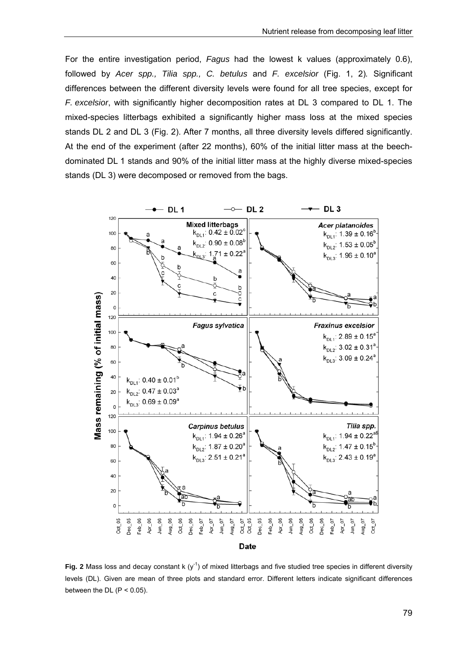For the entire investigation period, *Fagus* had the lowest k values (approximately 0.6), followed by *Acer spp., Tilia spp., C. betulus* and *F. excelsior* (Fig. 1, 2)*.* Significant differences between the different diversity levels were found for all tree species, except for *F. excelsior*, with significantly higher decomposition rates at DL 3 compared to DL 1. The mixed-species litterbags exhibited a significantly higher mass loss at the mixed species stands DL 2 and DL 3 (Fig. 2). After 7 months, all three diversity levels differed significantly. At the end of the experiment (after 22 months), 60% of the initial litter mass at the beechdominated DL 1 stands and 90% of the initial litter mass at the highly diverse mixed-species stands (DL 3) were decomposed or removed from the bags.



**Fig. 2** Mass loss and decay constant k  $(y<sup>-1</sup>)$  of mixed litterbags and five studied tree species in different diversity levels (DL). Given are mean of three plots and standard error. Different letters indicate significant differences between the DL  $(P < 0.05)$ .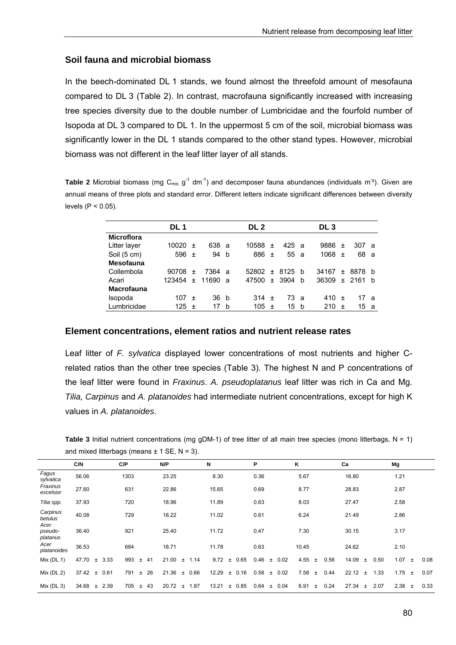# **Soil fauna and microbial biomass**

In the beech-dominated DL 1 stands, we found almost the threefold amount of mesofauna compared to DL 3 (Table 2). In contrast, macrofauna significantly increased with increasing tree species diversity due to the double number of Lumbricidae and the fourfold number of Isopoda at DL 3 compared to DL 1. In the uppermost 5 cm of the soil, microbial biomass was significantly lower in the DL 1 stands compared to the other stand types. However, microbial biomass was not different in the leaf litter layer of all stands.

Table 2 Microbial biomass (mg C<sub>mic g</sub><sup>-1</sup> dm<sup>-1</sup>) and decomposer fauna abundances (individuals m<sup>-2</sup>). Given are annual means of three plots and standard error. Different letters indicate significant differences between diversity levels  $(P < 0.05)$ .

|                   | DL 1   |           |       |    | DL 2      |           |      |              | DL 3  |           |          |     |
|-------------------|--------|-----------|-------|----|-----------|-----------|------|--------------|-------|-----------|----------|-----|
| <b>Microflora</b> |        |           |       |    |           |           |      |              |       |           |          |     |
| Litter layer      | 10020  | $\pm$     | 638 a |    | 10588     | $\ddot{}$ | 425  | - a          | 9886  | $\pm$     | 307 a    |     |
| Soil (5 cm)       | 596    | $\pm$     | 94    | b  | 886       | $\ddot{}$ | 55   | - a          | 1068  | $^{+}$    | 68       | a,  |
| <b>Mesofauna</b>  |        |           |       |    |           |           |      |              |       |           |          |     |
| Collembola        | 90708  | $\ddot{}$ | 7364  | -a | 52802     | $\ddot{}$ | 8125 | <sub>b</sub> | 34167 | $\ddot{}$ | 8878     | - b |
| Acari             | 123454 | $\pm$     | 11690 | a  | 47500     | $+$       | 3904 | h            | 36309 |           | + 2161 h |     |
| <b>Macrofauna</b> |        |           |       |    |           |           |      |              |       |           |          |     |
| Isopoda           | 107    | $\pm$     | 36    | b  | 314 $\pm$ |           | 73 a |              | 410   | $\pm$     | 17       | -a  |
| Lumbricidae       | 125    | $^{+}$    | 17    | b  | 105       | $\ddot{}$ | 15   | b            | 210   | $\ddot{}$ | 15       | a   |

# **Element concentrations, element ratios and nutrient release rates**

Leaf litter of *F. sylvatica* displayed lower concentrations of most nutrients and higher Crelated ratios than the other tree species (Table 3). The highest N and P concentrations of the leaf litter were found in *Fraxinus*. *A. pseudoplatanus* leaf litter was rich in Ca and Mg. *Tilia, Carpinus* and *A. platanoides* had intermediate nutrient concentrations, except for high K values in *A. platanoides*.

**Table 3** Initial nutrient concentrations (mg gDM-1) of tree litter of all main tree species (mono litterbags, N = 1) and mixed litterbags (means  $\pm$  1 SE, N = 3).

|                             | C/N                 | C/P  | N/P                  | N                      | P                     | K                     | Ca                     | Mg                             |      |
|-----------------------------|---------------------|------|----------------------|------------------------|-----------------------|-----------------------|------------------------|--------------------------------|------|
| Fagus<br>sylvatica          | 56.06               | 1303 | 23.25                | 8.30                   | 0.36                  | 5.67                  | 16.80                  | 1.21                           |      |
| Fraxinus<br>excelsior       | 27.60               | 631  | 22.86                | 15.65                  | 0.69                  | 8.77                  | 28.83                  | 2.87                           |      |
| Tilia spp.                  | 37.93               | 720  | 18.96                | 11.89                  | 0.63                  | 8.03                  | 27.47                  | 2.58                           |      |
| Carpinus<br>betulus         | 40.08               | 729  | 18.22                | 11.02                  | 0.61                  | 6.24                  | 21.49                  | 2.86                           |      |
| Acer<br>pseudo-<br>platanus | 36.40               | 921  | 25.40                | 11.72                  | 0.47                  | 7.30                  | 30.15                  | 3.17                           |      |
| Acer<br>platanoides         | 36.53               | 684  | 18.71                | 11.78                  | 0.63                  | 10.45                 | 24.62                  | 2.10                           |      |
| Mix ( $DL$ 1)               | 47.70<br>± 3.33     | 993  | 21.00<br>41<br>$\pm$ | 9.72<br>$±$ 1.14       | 0.65<br>0.46<br>$\pm$ | $\pm$ 0.02<br>4.55    | 14.09<br>0.56<br>$\pm$ | 0.50<br>1.07<br>$\pm$<br>$\pm$ | 0.08 |
| Mix (DL 2)                  | 37.42<br>± 0.61     | 791  | 26<br>21.36<br>$\pm$ | 0.66<br>12.29<br>$\pm$ | 0.16<br>0.58<br>$\pm$ | 0.02<br>7.58<br>$\pm$ | 22.12<br>0.44<br>$\pm$ | 1.33<br>1.75<br>$\pm$<br>$\pm$ | 0.07 |
| Mix $(DL 3)$                | 34.68<br>$\pm$ 2.39 | 705  | 43<br>20.72<br>$\pm$ | 1.87<br>13.21<br>$\pm$ | 0.85<br>0.64<br>$\pm$ | 6.91<br>0.04<br>$\pm$ | 0.24<br>27.34<br>$\pm$ | 2.07<br>2.38<br>$\pm$<br>$\pm$ | 0.33 |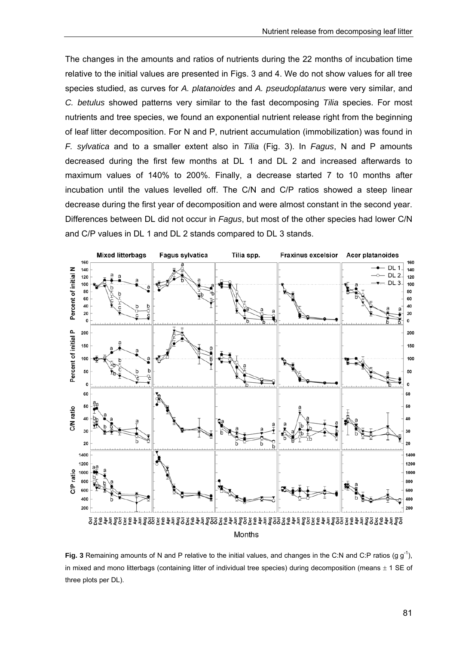The changes in the amounts and ratios of nutrients during the 22 months of incubation time relative to the initial values are presented in Figs. 3 and 4. We do not show values for all tree species studied, as curves for *A. platanoides* and *A. pseudoplatanus* were very similar, and *C. betulus* showed patterns very similar to the fast decomposing *Tilia* species. For most nutrients and tree species, we found an exponential nutrient release right from the beginning of leaf litter decomposition. For N and P, nutrient accumulation (immobilization) was found in *F. sylvatica* and to a smaller extent also in *Tilia* (Fig. 3). In *Fagus*, N and P amounts decreased during the first few months at DL 1 and DL 2 and increased afterwards to maximum values of 140% to 200%. Finally, a decrease started 7 to 10 months after incubation until the values levelled off. The C/N and C/P ratios showed a steep linear decrease during the first year of decomposition and were almost constant in the second year. Differences between DL did not occur in *Fagus*, but most of the other species had lower C/N and C/P values in DL 1 and DL 2 stands compared to DL 3 stands.



**Fig. 3** Remaining amounts of N and P relative to the initial values, and changes in the C:N and C:P ratios (g  $g^{-1}$ ), in mixed and mono litterbags (containing litter of individual tree species) during decomposition (means  $\pm$  1 SE of three plots per DL).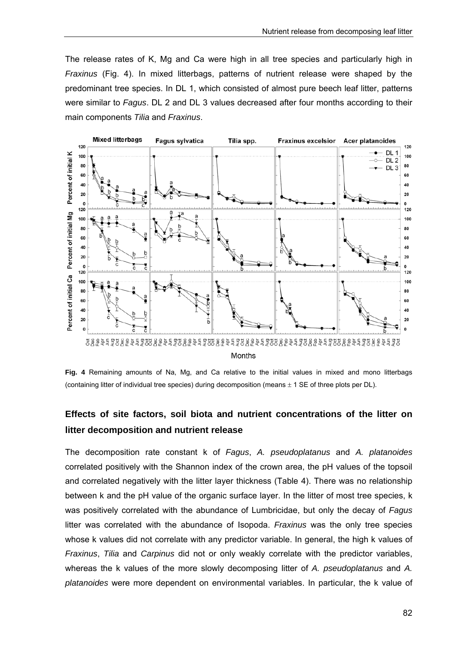The release rates of K, Mg and Ca were high in all tree species and particularly high in *Fraxinus* (Fig. 4). In mixed litterbags, patterns of nutrient release were shaped by the predominant tree species. In DL 1, which consisted of almost pure beech leaf litter, patterns were similar to *Fagus*. DL 2 and DL 3 values decreased after four months according to their main components *Tilia* and *Fraxinus*.



**Fig. 4** Remaining amounts of Na, Mg, and Ca relative to the initial values in mixed and mono litterbags (containing litter of individual tree species) during decomposition (means  $\pm$  1 SE of three plots per DL).

# **Effects of site factors, soil biota and nutrient concentrations of the litter on litter decomposition and nutrient release**

The decomposition rate constant k of *Fagus*, *A. pseudoplatanus* and *A. platanoides* correlated positively with the Shannon index of the crown area, the pH values of the topsoil and correlated negatively with the litter layer thickness (Table 4). There was no relationship between k and the pH value of the organic surface layer. In the litter of most tree species, k was positively correlated with the abundance of Lumbricidae, but only the decay of *Fagus* litter was correlated with the abundance of Isopoda. *Fraxinus* was the only tree species whose k values did not correlate with any predictor variable. In general, the high k values of *Fraxinus*, *Tilia* and *Carpinus* did not or only weakly correlate with the predictor variables, whereas the k values of the more slowly decomposing litter of *A. pseudoplatanus* and *A. platanoides* were more dependent on environmental variables. In particular, the k value of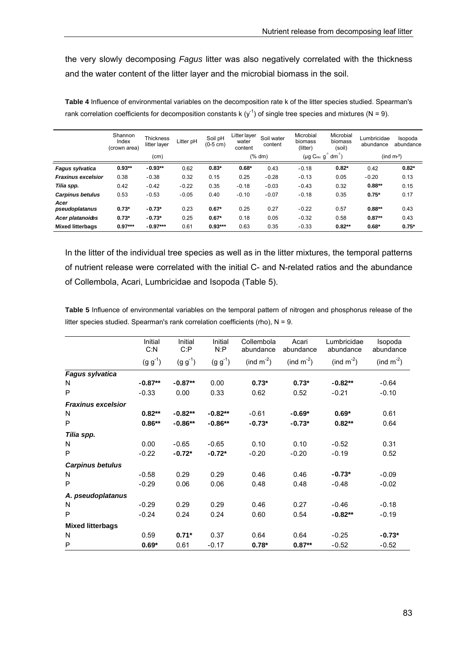the very slowly decomposing *Fagus* litter was also negatively correlated with the thickness and the water content of the litter layer and the microbial biomass in the soil.

|                           | Shannon<br>Index<br>(crown area) | <b>Thickness</b><br>litter layer | Litter pH | Soil pH<br>$(0-5$ cm) | Litter layer<br>water<br>content | Soil water<br>content | Microbial<br>biomass<br>(litter) | Microbial<br>biomass<br>(soil) | Lumbricidae<br>abundance | Isopoda<br>abundance |
|---------------------------|----------------------------------|----------------------------------|-----------|-----------------------|----------------------------------|-----------------------|----------------------------------|--------------------------------|--------------------------|----------------------|
|                           |                                  | (cm)                             |           |                       |                                  | (% dm)                | $(\mu g C_{\text{mic}} g^{-1})$  | $dm^{-1}$ )                    |                          | (ind $m2$ )          |
| Fagus sylvatica           | $0.93**$                         | $-0.93**$                        | 0.62      | $0.83*$               | $0.68*$                          | 0.43                  | $-0.18$                          | $0.82*$                        | 0.42                     | $0.82*$              |
| <b>Fraxinus excelsior</b> | 0.38                             | $-0.38$                          | 0.32      | 0.15                  | 0.25                             | $-0.28$               | $-0.13$                          | 0.05                           | $-0.20$                  | 0.13                 |
| Tilia spp.                | 0.42                             | $-0.42$                          | $-0.22$   | 0.35                  | $-0.18$                          | $-0.03$               | $-0.43$                          | 0.32                           | $0.88**$                 | 0.15                 |
| <b>Carpinus betulus</b>   | 0.53                             | $-0.53$                          | $-0.05$   | 0.40                  | $-0.10$                          | $-0.07$               | $-0.18$                          | 0.35                           | $0.75*$                  | 0.17                 |
| Acer<br>pseudoplatanus    | $0.73*$                          | $-0.73*$                         | 0.23      | $0.67*$               | 0.25                             | 0.27                  | $-0.22$                          | 0.57                           | $0.88**$                 | 0.43                 |
| Acer platanoides          | $0.73*$                          | $-0.73*$                         | 0.25      | $0.67*$               | 0.18                             | 0.05                  | $-0.32$                          | 0.58                           | $0.87**$                 | 0.43                 |
| <b>Mixed litterbags</b>   | $0.97***$                        | $-0.97***$                       | 0.61      | $0.93***$             | 0.63                             | 0.35                  | $-0.33$                          | $0.82**$                       | $0.68*$                  | $0.75*$              |

**Table 4** Influence of environmental variables on the decomposition rate k of the litter species studied. Spearman's rank correlation coefficients for decomposition constants k ( $y^{-1}$ ) of single tree species and mixtures (N = 9).

In the litter of the individual tree species as well as in the litter mixtures, the temporal patterns of nutrient release were correlated with the initial C- and N-related ratios and the abundance of Collembola, Acari, Lumbricidae and Isopoda (Table 5).

**Table 5** Influence of environmental variables on the temporal pattern of nitrogen and phosphorus release of the litter species studied. Spearman's rank correlation coefficients (rho), N = 9.

|                           | Initial<br>C: N | Initial<br>C: P | Initial<br>N: P | Collembola<br>abundance | Acari<br>abundance | Lumbricidae<br>abundance | Isopoda<br>abundance |
|---------------------------|-----------------|-----------------|-----------------|-------------------------|--------------------|--------------------------|----------------------|
|                           | $(g g^{-1})$    | $(g g^{-1})$    | $(g g^{-1})$    | (ind $m^{-2}$ )         | (ind $m^{-2}$ )    | (ind $m^{-2}$ )          | (ind $m^{-2}$ )      |
| Fagus sylvatica           |                 |                 |                 |                         |                    |                          |                      |
| N                         | $-0.87**$       | $-0.87**$       | 0.00            | $0.73*$                 | $0.73*$            | $-0.82**$                | $-0.64$              |
| P                         | $-0.33$         | 0.00            | 0.33            | 0.62                    | 0.52               | $-0.21$                  | $-0.10$              |
| <b>Fraxinus excelsior</b> |                 |                 |                 |                         |                    |                          |                      |
| N                         | $0.82**$        | $-0.82**$       | $-0.82**$       | $-0.61$                 | $-0.69*$           | $0.69*$                  | 0.61                 |
| P                         | $0.86**$        | $-0.86**$       | $-0.86**$       | $-0.73*$                | $-0.73*$           | $0.82**$                 | 0.64                 |
| Tilia spp.                |                 |                 |                 |                         |                    |                          |                      |
| N                         | 0.00            | $-0.65$         | $-0.65$         | 0.10                    | 0.10               | $-0.52$                  | 0.31                 |
| P                         | $-0.22$         | $-0.72*$        | $-0.72*$        | $-0.20$                 | $-0.20$            | $-0.19$                  | 0.52                 |
| <b>Carpinus betulus</b>   |                 |                 |                 |                         |                    |                          |                      |
| N                         | $-0.58$         | 0.29            | 0.29            | 0.46                    | 0.46               | $-0.73*$                 | $-0.09$              |
| P                         | $-0.29$         | 0.06            | 0.06            | 0.48                    | 0.48               | $-0.48$                  | $-0.02$              |
| A. pseudoplatanus         |                 |                 |                 |                         |                    |                          |                      |
| N                         | $-0.29$         | 0.29            | 0.29            | 0.46                    | 0.27               | $-0.46$                  | $-0.18$              |
| P                         | $-0.24$         | 0.24            | 0.24            | 0.60                    | 0.54               | $-0.82**$                | $-0.19$              |
| <b>Mixed litterbags</b>   |                 |                 |                 |                         |                    |                          |                      |
| N                         | 0.59            | $0.71*$         | 0.37            | 0.64                    | 0.64               | $-0.25$                  | $-0.73*$             |
| P                         | $0.69*$         | 0.61            | $-0.17$         | $0.78*$                 | $0.87**$           | $-0.52$                  | $-0.52$              |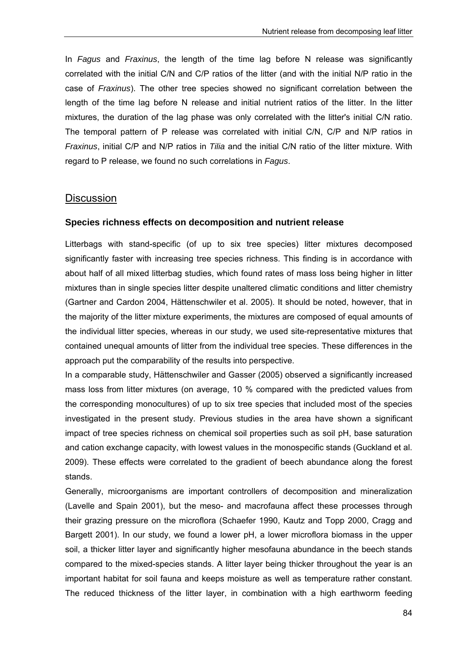In *Fagus* and *Fraxinus*, the length of the time lag before N release was significantly correlated with the initial C/N and C/P ratios of the litter (and with the initial N/P ratio in the case of *Fraxinus*). The other tree species showed no significant correlation between the length of the time lag before N release and initial nutrient ratios of the litter. In the litter mixtures, the duration of the lag phase was only correlated with the litter's initial C/N ratio. The temporal pattern of P release was correlated with initial C/N, C/P and N/P ratios in *Fraxinus*, initial C/P and N/P ratios in *Tilia* and the initial C/N ratio of the litter mixture. With regard to P release, we found no such correlations in *Fagus*.

# **Discussion**

## **Species richness effects on decomposition and nutrient release**

Litterbags with stand-specific (of up to six tree species) litter mixtures decomposed significantly faster with increasing tree species richness. This finding is in accordance with about half of all mixed litterbag studies, which found rates of mass loss being higher in litter mixtures than in single species litter despite unaltered climatic conditions and litter chemistry (Gartner and Cardon 2004, Hättenschwiler et al. 2005). It should be noted, however, that in the majority of the litter mixture experiments, the mixtures are composed of equal amounts of the individual litter species, whereas in our study, we used site-representative mixtures that contained unequal amounts of litter from the individual tree species. These differences in the approach put the comparability of the results into perspective.

In a comparable study, Hättenschwiler and Gasser (2005) observed a significantly increased mass loss from litter mixtures (on average, 10 % compared with the predicted values from the corresponding monocultures) of up to six tree species that included most of the species investigated in the present study. Previous studies in the area have shown a significant impact of tree species richness on chemical soil properties such as soil pH, base saturation and cation exchange capacity, with lowest values in the monospecific stands (Guckland et al. 2009). These effects were correlated to the gradient of beech abundance along the forest stands.

Generally, microorganisms are important controllers of decomposition and mineralization (Lavelle and Spain 2001), but the meso- and macrofauna affect these processes through their grazing pressure on the microflora (Schaefer 1990, Kautz and Topp 2000, Cragg and Bargett 2001). In our study, we found a lower pH, a lower microflora biomass in the upper soil, a thicker litter layer and significantly higher mesofauna abundance in the beech stands compared to the mixed-species stands. A litter layer being thicker throughout the year is an important habitat for soil fauna and keeps moisture as well as temperature rather constant. The reduced thickness of the litter layer, in combination with a high earthworm feeding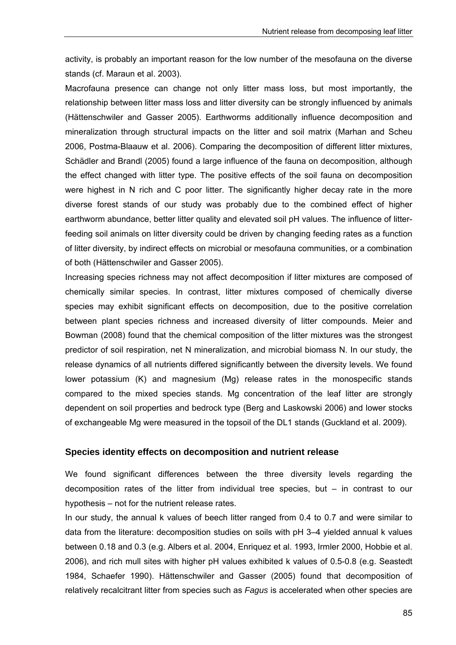activity, is probably an important reason for the low number of the mesofauna on the diverse stands (cf. Maraun et al. 2003).

Macrofauna presence can change not only litter mass loss, but most importantly, the relationship between litter mass loss and litter diversity can be strongly influenced by animals (Hättenschwiler and Gasser 2005). Earthworms additionally influence decomposition and mineralization through structural impacts on the litter and soil matrix (Marhan and Scheu 2006, Postma-Blaauw et al. 2006). Comparing the decomposition of different litter mixtures, Schädler and Brandl (2005) found a large influence of the fauna on decomposition, although the effect changed with litter type. The positive effects of the soil fauna on decomposition were highest in N rich and C poor litter. The significantly higher decay rate in the more diverse forest stands of our study was probably due to the combined effect of higher earthworm abundance, better litter quality and elevated soil pH values. The influence of litterfeeding soil animals on litter diversity could be driven by changing feeding rates as a function of litter diversity, by indirect effects on microbial or mesofauna communities, or a combination of both (Hättenschwiler and Gasser 2005).

Increasing species richness may not affect decomposition if litter mixtures are composed of chemically similar species. In contrast, litter mixtures composed of chemically diverse species may exhibit significant effects on decomposition, due to the positive correlation between plant species richness and increased diversity of litter compounds. Meier and Bowman (2008) found that the chemical composition of the litter mixtures was the strongest predictor of soil respiration, net N mineralization, and microbial biomass N. In our study, the release dynamics of all nutrients differed significantly between the diversity levels. We found lower potassium (K) and magnesium (Mg) release rates in the monospecific stands compared to the mixed species stands. Mg concentration of the leaf litter are strongly dependent on soil properties and bedrock type (Berg and Laskowski 2006) and lower stocks of exchangeable Mg were measured in the topsoil of the DL1 stands (Guckland et al. 2009).

# **Species identity effects on decomposition and nutrient release**

We found significant differences between the three diversity levels regarding the decomposition rates of the litter from individual tree species, but – in contrast to our hypothesis – not for the nutrient release rates.

In our study, the annual k values of beech litter ranged from 0.4 to 0.7 and were similar to data from the literature: decomposition studies on soils with pH 3–4 yielded annual k values between 0.18 and 0.3 (e.g. Albers et al. 2004, Enriquez et al. 1993, Irmler 2000, Hobbie et al. 2006), and rich mull sites with higher pH values exhibited k values of 0.5-0.8 (e.g. Seastedt 1984, Schaefer 1990). Hättenschwiler and Gasser (2005) found that decomposition of relatively recalcitrant litter from species such as *Fagus* is accelerated when other species are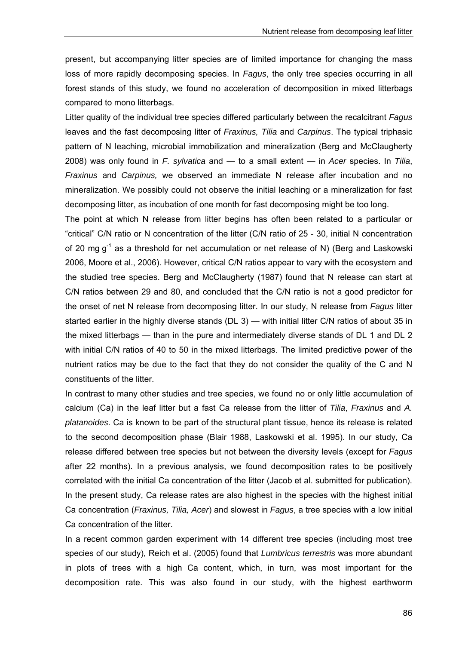present, but accompanying litter species are of limited importance for changing the mass loss of more rapidly decomposing species. In *Fagus*, the only tree species occurring in all forest stands of this study, we found no acceleration of decomposition in mixed litterbags compared to mono litterbags.

Litter quality of the individual tree species differed particularly between the recalcitrant *Fagus* leaves and the fast decomposing litter of *Fraxinus, Tilia* and *Carpinus*. The typical triphasic pattern of N leaching, microbial immobilization and mineralization (Berg and McClaugherty 2008) was only found in *F. sylvatica* and — to a small extent — in *Acer* species. In *Tilia*, *Fraxinus* and *Carpinus,* we observed an immediate N release after incubation and no mineralization. We possibly could not observe the initial leaching or a mineralization for fast decomposing litter, as incubation of one month for fast decomposing might be too long.

The point at which N release from litter begins has often been related to a particular or "critical" C/N ratio or N concentration of the litter (C/N ratio of 25 - 30, initial N concentration of 20 mg  $g^{-1}$  as a threshold for net accumulation or net release of N) (Berg and Laskowski 2006, Moore et al., 2006). However, critical C/N ratios appear to vary with the ecosystem and the studied tree species. Berg and McClaugherty (1987) found that N release can start at C/N ratios between 29 and 80, and concluded that the C/N ratio is not a good predictor for the onset of net N release from decomposing litter. In our study, N release from *Fagus* litter started earlier in the highly diverse stands (DL 3) — with initial litter C/N ratios of about 35 in the mixed litterbags — than in the pure and intermediately diverse stands of DL 1 and DL 2 with initial C/N ratios of 40 to 50 in the mixed litterbags. The limited predictive power of the nutrient ratios may be due to the fact that they do not consider the quality of the C and N constituents of the litter.

In contrast to many other studies and tree species, we found no or only little accumulation of calcium (Ca) in the leaf litter but a fast Ca release from the litter of *Tilia*, *Fraxinus* and *A. platanoides*. Ca is known to be part of the structural plant tissue, hence its release is related to the second decomposition phase (Blair 1988, Laskowski et al. 1995). In our study, Ca release differed between tree species but not between the diversity levels (except for *Fagus* after 22 months). In a previous analysis, we found decomposition rates to be positively correlated with the initial Ca concentration of the litter (Jacob et al. submitted for publication). In the present study, Ca release rates are also highest in the species with the highest initial Ca concentration (*Fraxinus, Tilia, Acer*) and slowest in *Fagus*, a tree species with a low initial Ca concentration of the litter.

In a recent common garden experiment with 14 different tree species (including most tree species of our study), Reich et al. (2005) found that *Lumbricus terrestris* was more abundant in plots of trees with a high Ca content, which, in turn, was most important for the decomposition rate. This was also found in our study, with the highest earthworm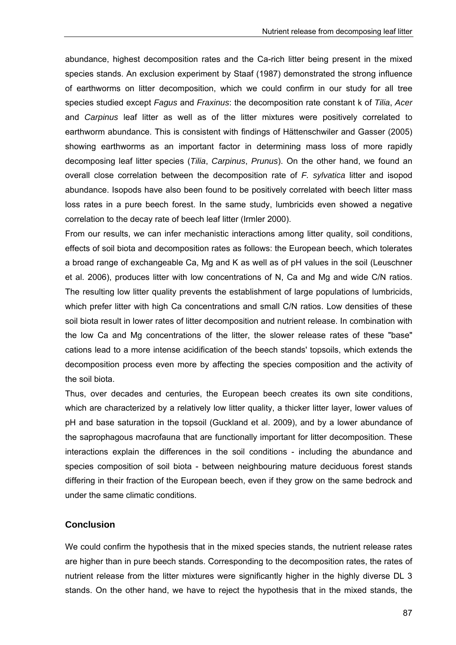abundance, highest decomposition rates and the Ca-rich litter being present in the mixed species stands. An exclusion experiment by Staaf (1987) demonstrated the strong influence of earthworms on litter decomposition, which we could confirm in our study for all tree species studied except *Fagus* and *Fraxinus*: the decomposition rate constant k of *Tilia*, *Acer* and *Carpinus* leaf litter as well as of the litter mixtures were positively correlated to earthworm abundance. This is consistent with findings of Hättenschwiler and Gasser (2005) showing earthworms as an important factor in determining mass loss of more rapidly decomposing leaf litter species (*Tilia*, *Carpinus*, *Prunus*). On the other hand, we found an overall close correlation between the decomposition rate of *F. sylvatica* litter and isopod abundance. Isopods have also been found to be positively correlated with beech litter mass loss rates in a pure beech forest. In the same study, lumbricids even showed a negative correlation to the decay rate of beech leaf litter (Irmler 2000).

From our results, we can infer mechanistic interactions among litter quality, soil conditions, effects of soil biota and decomposition rates as follows: the European beech, which tolerates a broad range of exchangeable Ca, Mg and K as well as of pH values in the soil (Leuschner et al. 2006), produces litter with low concentrations of N, Ca and Mg and wide C/N ratios. The resulting low litter quality prevents the establishment of large populations of lumbricids, which prefer litter with high Ca concentrations and small C/N ratios. Low densities of these soil biota result in lower rates of litter decomposition and nutrient release. In combination with the low Ca and Mg concentrations of the litter, the slower release rates of these "base" cations lead to a more intense acidification of the beech stands' topsoils, which extends the decomposition process even more by affecting the species composition and the activity of the soil biota.

Thus, over decades and centuries, the European beech creates its own site conditions, which are characterized by a relatively low litter quality, a thicker litter layer, lower values of pH and base saturation in the topsoil (Guckland et al. 2009), and by a lower abundance of the saprophagous macrofauna that are functionally important for litter decomposition. These interactions explain the differences in the soil conditions - including the abundance and species composition of soil biota - between neighbouring mature deciduous forest stands differing in their fraction of the European beech, even if they grow on the same bedrock and under the same climatic conditions.

# **Conclusion**

We could confirm the hypothesis that in the mixed species stands, the nutrient release rates are higher than in pure beech stands. Corresponding to the decomposition rates, the rates of nutrient release from the litter mixtures were significantly higher in the highly diverse DL 3 stands. On the other hand, we have to reject the hypothesis that in the mixed stands, the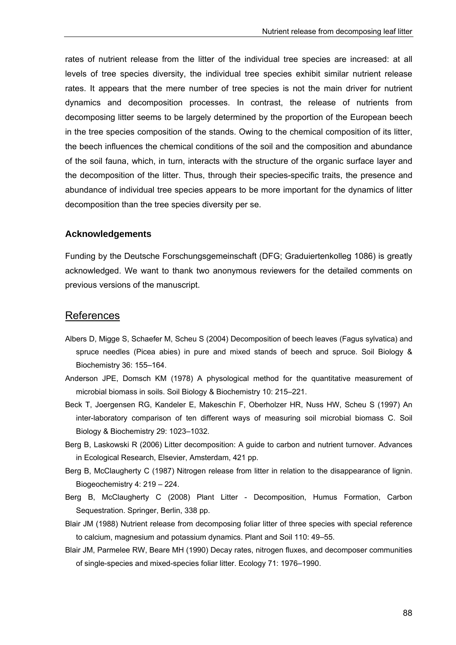rates of nutrient release from the litter of the individual tree species are increased: at all levels of tree species diversity, the individual tree species exhibit similar nutrient release rates. It appears that the mere number of tree species is not the main driver for nutrient dynamics and decomposition processes. In contrast, the release of nutrients from decomposing litter seems to be largely determined by the proportion of the European beech in the tree species composition of the stands. Owing to the chemical composition of its litter, the beech influences the chemical conditions of the soil and the composition and abundance of the soil fauna, which, in turn, interacts with the structure of the organic surface layer and the decomposition of the litter. Thus, through their species-specific traits, the presence and abundance of individual tree species appears to be more important for the dynamics of litter decomposition than the tree species diversity per se.

#### **Acknowledgements**

Funding by the Deutsche Forschungsgemeinschaft (DFG; Graduiertenkolleg 1086) is greatly acknowledged. We want to thank two anonymous reviewers for the detailed comments on previous versions of the manuscript.

# **References**

- Albers D, Migge S, Schaefer M, Scheu S (2004) Decomposition of beech leaves (Fagus sylvatica) and spruce needles (Picea abies) in pure and mixed stands of beech and spruce. Soil Biology & Biochemistry 36: 155–164.
- Anderson JPE, Domsch KM (1978) A physological method for the quantitative measurement of microbial biomass in soils. Soil Biology & Biochemistry 10: 215–221.
- Beck T, Joergensen RG, Kandeler E, Makeschin F, Oberholzer HR, Nuss HW, Scheu S (1997) An inter-laboratory comparison of ten different ways of measuring soil microbial biomass C. Soil Biology & Biochemistry 29: 1023–1032.
- Berg B, Laskowski R (2006) Litter decomposition: A guide to carbon and nutrient turnover. Advances in Ecological Research, Elsevier, Amsterdam, 421 pp.
- Berg B, McClaugherty C (1987) Nitrogen release from litter in relation to the disappearance of lignin. Biogeochemistry 4: 219 – 224.
- Berg B, McClaugherty C (2008) Plant Litter Decomposition, Humus Formation, Carbon Sequestration. Springer, Berlin, 338 pp.
- Blair JM (1988) Nutrient release from decomposing foliar litter of three species with special reference to calcium, magnesium and potassium dynamics. Plant and Soil 110: 49–55.
- Blair JM, Parmelee RW, Beare MH (1990) Decay rates, nitrogen fluxes, and decomposer communities of single-species and mixed-species foliar litter. Ecology 71: 1976–1990.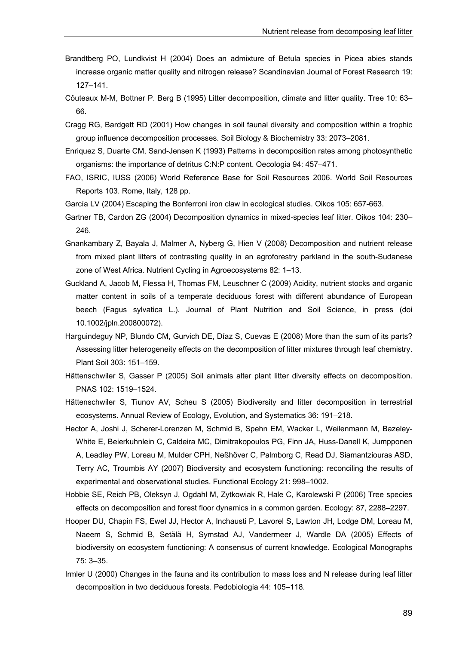- Brandtberg PO, Lundkvist H (2004) Does an admixture of Betula species in Picea abies stands increase organic matter quality and nitrogen release? Scandinavian Journal of Forest Research 19: 127–141.
- Côuteaux M-M, Bottner P. Berg B (1995) Litter decomposition, climate and litter quality. Tree 10: 63– 66.
- Cragg RG, Bardgett RD (2001) How changes in soil faunal diversity and composition within a trophic group influence decomposition processes. Soil Biology & Biochemistry 33: 2073–2081.
- Enriquez S, Duarte CM, Sand-Jensen K (1993) Patterns in decomposition rates among photosynthetic organisms: the importance of detritus C:N:P content. Oecologia 94: 457–471.
- FAO, ISRIC, IUSS (2006) World Reference Base for Soil Resources 2006. World Soil Resources Reports 103. Rome, Italy, 128 pp.
- García LV (2004) Escaping the Bonferroni iron claw in ecological studies. Oikos 105: 657-663.
- Gartner TB, Cardon ZG (2004) Decomposition dynamics in mixed-species leaf litter. Oikos 104: 230– 246.
- Gnankambary Z, Bayala J, Malmer A, Nyberg G, Hien V (2008) Decomposition and nutrient release from mixed plant litters of contrasting quality in an agroforestry parkland in the south-Sudanese zone of West Africa. Nutrient Cycling in Agroecosystems 82: 1–13.
- Guckland A, Jacob M, Flessa H, Thomas FM, Leuschner C (2009) Acidity, nutrient stocks and organic matter content in soils of a temperate deciduous forest with different abundance of European beech (Fagus sylvatica L.). Journal of Plant Nutrition and Soil Science, in press (doi 10.1002/jpln.200800072).
- Harguindeguy NP, Blundo CM, Gurvich DE, Díaz S, Cuevas E (2008) More than the sum of its parts? Assessing litter heterogeneity effects on the decomposition of litter mixtures through leaf chemistry. Plant Soil 303: 151–159.
- Hättenschwiler S, Gasser P (2005) Soil animals alter plant litter diversity effects on decomposition. PNAS 102: 1519–1524.
- Hättenschwiler S, Tiunov AV, Scheu S (2005) Biodiversity and litter decomposition in terrestrial ecosystems. Annual Review of Ecology, Evolution, and Systematics 36: 191–218.
- Hector A, Joshi J, Scherer-Lorenzen M, Schmid B, Spehn EM, Wacker L, Weilenmann M, Bazeley-White E, Beierkuhnlein C, Caldeira MC, Dimitrakopoulos PG, Finn JA, Huss-Danell K, Jumpponen A, Leadley PW, Loreau M, Mulder CPH, Neßhöver C, Palmborg C, Read DJ, Siamantziouras ASD, Terry AC, Troumbis AY (2007) Biodiversity and ecosystem functioning: reconciling the results of experimental and observational studies. Functional Ecology 21: 998–1002.
- Hobbie SE, Reich PB, Oleksyn J, Ogdahl M, Zytkowiak R, Hale C, Karolewski P (2006) Tree species effects on decomposition and forest floor dynamics in a common garden. Ecology: 87, 2288–2297.
- Hooper DU, Chapin FS, Ewel JJ, Hector A, Inchausti P, Lavorel S, Lawton JH, Lodge DM, Loreau M, Naeem S, Schmid B, Setälä H, Symstad AJ, Vandermeer J, Wardle DA (2005) Effects of biodiversity on ecosystem functioning: A consensus of current knowledge. Ecological Monographs 75: 3–35.
- Irmler U (2000) Changes in the fauna and its contribution to mass loss and N release during leaf litter decomposition in two deciduous forests. Pedobiologia 44: 105–118.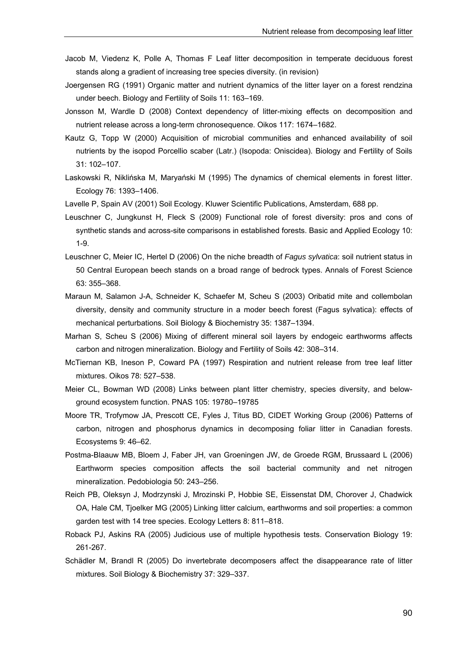- Jacob M, Viedenz K, Polle A, Thomas F Leaf litter decomposition in temperate deciduous forest stands along a gradient of increasing tree species diversity. (in revision)
- Joergensen RG (1991) Organic matter and nutrient dynamics of the litter layer on a forest rendzina under beech. Biology and Fertility of Soils 11: 163–169.
- Jonsson M, Wardle D (2008) Context dependency of litter-mixing effects on decomposition and nutrient release across a long-term chronosequence. Oikos 117: 1674–1682.
- Kautz G, Topp W (2000) Acquisition of microbial communities and enhanced availability of soil nutrients by the isopod Porcellio scaber (Latr.) (Isopoda: Oniscidea). Biology and Fertility of Soils 31: 102–107.
- Laskowski R, Niklińska M, Maryański M (1995) The dynamics of chemical elements in forest litter. Ecology 76: 1393–1406.
- Lavelle P, Spain AV (2001) Soil Ecology. Kluwer Scientific Publications, Amsterdam, 688 pp.
- Leuschner C, Jungkunst H, Fleck S (2009) Functional role of forest diversity: pros and cons of synthetic stands and across-site comparisons in established forests. Basic and Applied Ecology 10: 1-9.
- Leuschner C, Meier IC, Hertel D (2006) On the niche breadth of *Fagus sylvatica*: soil nutrient status in 50 Central European beech stands on a broad range of bedrock types. Annals of Forest Science 63: 355–368.
- Maraun M, Salamon J-A, Schneider K, Schaefer M, Scheu S (2003) Oribatid mite and collembolan diversity, density and community structure in a moder beech forest (Fagus sylvatica): effects of mechanical perturbations. Soil Biology & Biochemistry 35: 1387–1394.
- Marhan S, Scheu S (2006) Mixing of different mineral soil layers by endogeic earthworms affects carbon and nitrogen mineralization. Biology and Fertility of Soils 42: 308–314.
- McTiernan KB, Ineson P, Coward PA (1997) Respiration and nutrient release from tree leaf litter mixtures. Oikos 78: 527–538.
- Meier CL, Bowman WD (2008) Links between plant litter chemistry, species diversity, and belowground ecosystem function. PNAS 105: 19780–19785
- Moore TR, Trofymow JA, Prescott CE, Fyles J, Titus BD, CIDET Working Group (2006) Patterns of carbon, nitrogen and phosphorus dynamics in decomposing foliar litter in Canadian forests. Ecosystems 9: 46–62.
- Postma-Blaauw MB, Bloem J, Faber JH, van Groeningen JW, de Groede RGM, Brussaard L (2006) Earthworm species composition affects the soil bacterial community and net nitrogen mineralization. Pedobiologia 50: 243–256.
- Reich PB, Oleksyn J, Modrzynski J, Mrozinski P, Hobbie SE, Eissenstat DM, Chorover J, Chadwick OA, Hale CM, Tjoelker MG (2005) Linking litter calcium, earthworms and soil properties: a common garden test with 14 tree species. Ecology Letters 8: 811–818.
- Roback PJ, Askins RA (2005) Judicious use of multiple hypothesis tests. Conservation Biology 19: 261-267.
- Schädler M, Brandl R (2005) Do invertebrate decomposers affect the disappearance rate of litter mixtures. Soil Biology & Biochemistry 37: 329–337.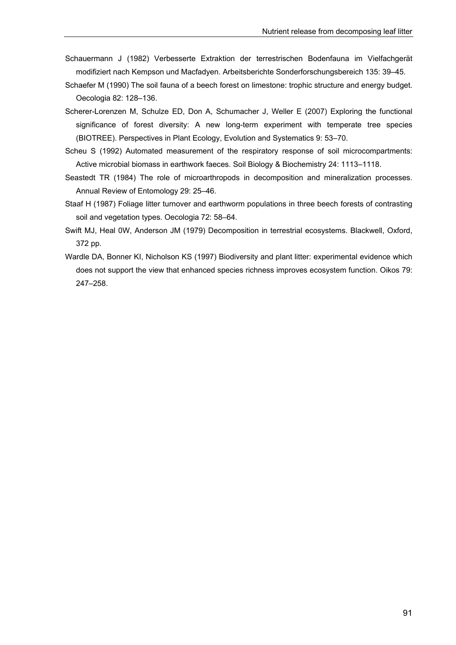- Schauermann J (1982) Verbesserte Extraktion der terrestrischen Bodenfauna im Vielfachgerät modifiziert nach Kempson und Macfadyen. Arbeitsberichte Sonderforschungsbereich 135: 39–45.
- Schaefer M (1990) The soil fauna of a beech forest on limestone: trophic structure and energy budget. Oecologia 82: 128–136.
- Scherer-Lorenzen M, Schulze ED, Don A, Schumacher J, Weller E (2007) Exploring the functional significance of forest diversity: A new long-term experiment with temperate tree species (BIOTREE). Perspectives in Plant Ecology, Evolution and Systematics 9: 53–70.
- Scheu S (1992) Automated measurement of the respiratory response of soil microcompartments: Active microbial biomass in earthwork faeces. Soil Biology & Biochemistry 24: 1113–1118.
- Seastedt TR (1984) The role of microarthropods in decomposition and mineralization processes. Annual Review of Entomology 29: 25–46.
- Staaf H (1987) Foliage litter turnover and earthworm populations in three beech forests of contrasting soil and vegetation types. Oecologia 72: 58–64.
- Swift MJ, Heal 0W, Anderson JM (1979) Decomposition in terrestrial ecosystems. Blackwell, Oxford, 372 pp.
- Wardle DA, Bonner KI, Nicholson KS (1997) Biodiversity and plant litter: experimental evidence which does not support the view that enhanced species richness improves ecosystem function. Oikos 79: 247–258.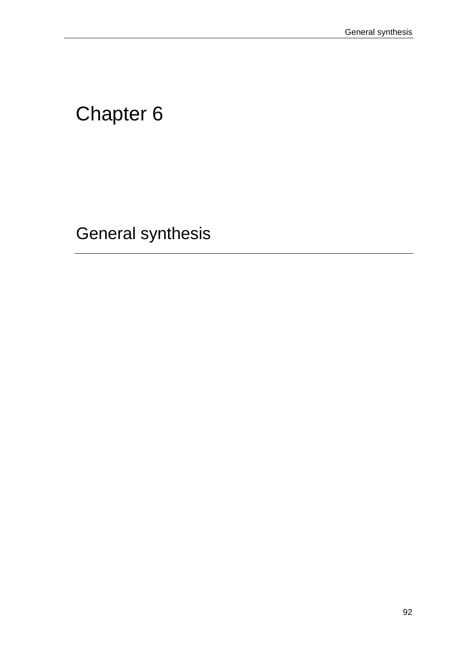# Chapter 6

General synthesis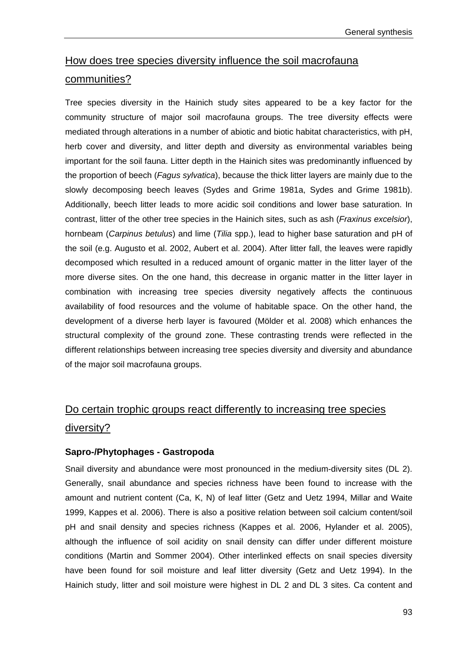# How does tree species diversity influence the soil macrofauna communities?

Tree species diversity in the Hainich study sites appeared to be a key factor for the community structure of major soil macrofauna groups. The tree diversity effects were mediated through alterations in a number of abiotic and biotic habitat characteristics, with pH, herb cover and diversity, and litter depth and diversity as environmental variables being important for the soil fauna. Litter depth in the Hainich sites was predominantly influenced by the proportion of beech (*Fagus sylvatica*), because the thick litter layers are mainly due to the slowly decomposing beech leaves (Sydes and Grime 1981a, Sydes and Grime 1981b). Additionally, beech litter leads to more acidic soil conditions and lower base saturation. In contrast, litter of the other tree species in the Hainich sites, such as ash (*Fraxinus excelsior*), hornbeam (*Carpinus betulus*) and lime (*Tilia* spp.), lead to higher base saturation and pH of the soil (e.g. Augusto et al. 2002, Aubert et al. 2004). After litter fall, the leaves were rapidly decomposed which resulted in a reduced amount of organic matter in the litter layer of the more diverse sites. On the one hand, this decrease in organic matter in the litter layer in combination with increasing tree species diversity negatively affects the continuous availability of food resources and the volume of habitable space. On the other hand, the development of a diverse herb layer is favoured (Mölder et al. 2008) which enhances the structural complexity of the ground zone. These contrasting trends were reflected in the different relationships between increasing tree species diversity and diversity and abundance of the major soil macrofauna groups.

# Do certain trophic groups react differently to increasing tree species diversity?

# **Sapro-/Phytophages - Gastropoda**

Snail diversity and abundance were most pronounced in the medium-diversity sites (DL 2). Generally, snail abundance and species richness have been found to increase with the amount and nutrient content (Ca, K, N) of leaf litter (Getz and Uetz 1994, Millar and Waite 1999, Kappes et al. 2006). There is also a positive relation between soil calcium content/soil pH and snail density and species richness (Kappes et al. 2006, Hylander et al. 2005), although the influence of soil acidity on snail density can differ under different moisture conditions (Martin and Sommer 2004). Other interlinked effects on snail species diversity have been found for soil moisture and leaf litter diversity (Getz and Uetz 1994). In the Hainich study, litter and soil moisture were highest in DL 2 and DL 3 sites. Ca content and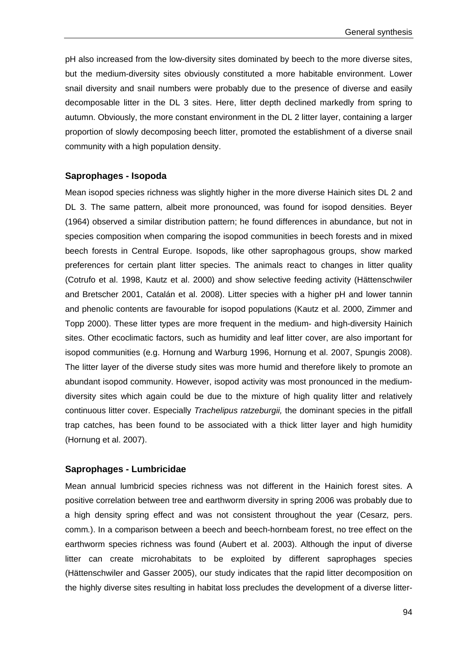pH also increased from the low-diversity sites dominated by beech to the more diverse sites, but the medium-diversity sites obviously constituted a more habitable environment. Lower snail diversity and snail numbers were probably due to the presence of diverse and easily decomposable litter in the DL 3 sites. Here, litter depth declined markedly from spring to autumn. Obviously, the more constant environment in the DL 2 litter layer, containing a larger proportion of slowly decomposing beech litter, promoted the establishment of a diverse snail community with a high population density.

#### **Saprophages - Isopoda**

Mean isopod species richness was slightly higher in the more diverse Hainich sites DL 2 and DL 3. The same pattern, albeit more pronounced, was found for isopod densities. Beyer (1964) observed a similar distribution pattern; he found differences in abundance, but not in species composition when comparing the isopod communities in beech forests and in mixed beech forests in Central Europe. Isopods, like other saprophagous groups, show marked preferences for certain plant litter species. The animals react to changes in litter quality (Cotrufo et al. 1998, Kautz et al. 2000) and show selective feeding activity (Hättenschwiler and Bretscher 2001, Catalán et al. 2008). Litter species with a higher pH and lower tannin and phenolic contents are favourable for isopod populations (Kautz et al. 2000, Zimmer and Topp 2000). These litter types are more frequent in the medium- and high-diversity Hainich sites. Other ecoclimatic factors, such as humidity and leaf litter cover, are also important for isopod communities (e.g. Hornung and Warburg 1996, Hornung et al. 2007, Spungis 2008). The litter layer of the diverse study sites was more humid and therefore likely to promote an abundant isopod community. However, isopod activity was most pronounced in the mediumdiversity sites which again could be due to the mixture of high quality litter and relatively continuous litter cover. Especially *Trachelipus ratzeburgii,* the dominant species in the pitfall trap catches, has been found to be associated with a thick litter layer and high humidity (Hornung et al. 2007).

#### **Saprophages - Lumbricidae**

Mean annual lumbricid species richness was not different in the Hainich forest sites. A positive correlation between tree and earthworm diversity in spring 2006 was probably due to a high density spring effect and was not consistent throughout the year (Cesarz*,* pers. comm*.*). In a comparison between a beech and beech-hornbeam forest, no tree effect on the earthworm species richness was found (Aubert et al. 2003). Although the input of diverse litter can create microhabitats to be exploited by different saprophages species (Hättenschwiler and Gasser 2005), our study indicates that the rapid litter decomposition on the highly diverse sites resulting in habitat loss precludes the development of a diverse litter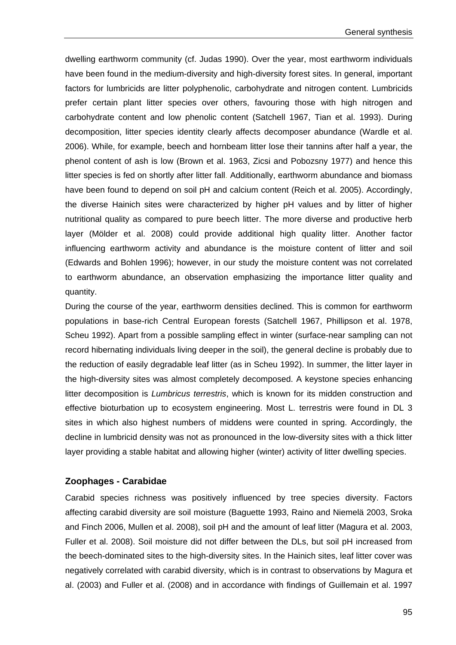dwelling earthworm community (cf. Judas 1990). Over the year, most earthworm individuals have been found in the medium-diversity and high-diversity forest sites. In general, important factors for lumbricids are litter polyphenolic, carbohydrate and nitrogen content. Lumbricids prefer certain plant litter species over others, favouring those with high nitrogen and carbohydrate content and low phenolic content (Satchell 1967, Tian et al. 1993). During decomposition, litter species identity clearly affects decomposer abundance (Wardle et al. 2006). While, for example, beech and hornbeam litter lose their tannins after half a year, the phenol content of ash is low (Brown et al. 1963, Zicsi and Pobozsny 1977) and hence this litter species is fed on shortly after litter fall. Additionally, earthworm abundance and biomass have been found to depend on soil pH and calcium content (Reich et al. 2005). Accordingly, the diverse Hainich sites were characterized by higher pH values and by litter of higher nutritional quality as compared to pure beech litter. The more diverse and productive herb layer (Mölder et al. 2008) could provide additional high quality litter. Another factor influencing earthworm activity and abundance is the moisture content of litter and soil (Edwards and Bohlen 1996); however, in our study the moisture content was not correlated to earthworm abundance, an observation emphasizing the importance litter quality and quantity.

During the course of the year, earthworm densities declined. This is common for earthworm populations in base-rich Central European forests (Satchell 1967, Phillipson et al. 1978, Scheu 1992). Apart from a possible sampling effect in winter (surface-near sampling can not record hibernating individuals living deeper in the soil), the general decline is probably due to the reduction of easily degradable leaf litter (as in Scheu 1992). In summer, the litter layer in the high-diversity sites was almost completely decomposed. A keystone species enhancing litter decomposition is *Lumbricus terrestris*, which is known for its midden construction and effective bioturbation up to ecosystem engineering. Most L. terrestris were found in DL 3 sites in which also highest numbers of middens were counted in spring. Accordingly, the decline in lumbricid density was not as pronounced in the low-diversity sites with a thick litter layer providing a stable habitat and allowing higher (winter) activity of litter dwelling species.

## **Zoophages - Carabidae**

Carabid species richness was positively influenced by tree species diversity. Factors affecting carabid diversity are soil moisture (Baguette 1993, Raino and Niemelä 2003, Sroka and Finch 2006, Mullen et al. 2008), soil pH and the amount of leaf litter (Magura et al. 2003, Fuller et al. 2008). Soil moisture did not differ between the DLs, but soil pH increased from the beech-dominated sites to the high-diversity sites. In the Hainich sites, leaf litter cover was negatively correlated with carabid diversity, which is in contrast to observations by Magura et al. (2003) and Fuller et al. (2008) and in accordance with findings of Guillemain et al. 1997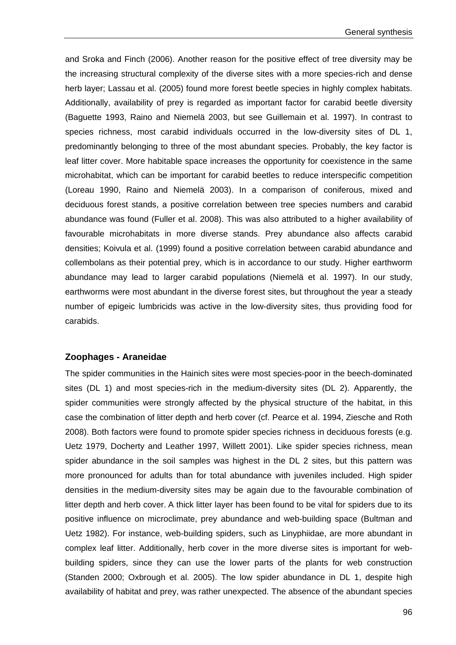and Sroka and Finch (2006). Another reason for the positive effect of tree diversity may be the increasing structural complexity of the diverse sites with a more species-rich and dense herb layer; Lassau et al. (2005) found more forest beetle species in highly complex habitats. Additionally, availability of prey is regarded as important factor for carabid beetle diversity (Baguette 1993, Raino and Niemelä 2003, but see Guillemain et al. 1997). In contrast to species richness, most carabid individuals occurred in the low-diversity sites of DL 1, predominantly belonging to three of the most abundant species. Probably, the key factor is leaf litter cover. More habitable space increases the opportunity for coexistence in the same microhabitat, which can be important for carabid beetles to reduce interspecific competition (Loreau 1990, Raino and Niemelä 2003). In a comparison of coniferous, mixed and deciduous forest stands, a positive correlation between tree species numbers and carabid abundance was found (Fuller et al. 2008). This was also attributed to a higher availability of favourable microhabitats in more diverse stands. Prey abundance also affects carabid densities; Koivula et al. (1999) found a positive correlation between carabid abundance and collembolans as their potential prey, which is in accordance to our study. Higher earthworm abundance may lead to larger carabid populations (Niemelä et al. 1997). In our study, earthworms were most abundant in the diverse forest sites, but throughout the year a steady number of epigeic lumbricids was active in the low-diversity sites, thus providing food for carabids.

#### **Zoophages - Araneidae**

The spider communities in the Hainich sites were most species-poor in the beech-dominated sites (DL 1) and most species-rich in the medium-diversity sites (DL 2). Apparently, the spider communities were strongly affected by the physical structure of the habitat, in this case the combination of litter depth and herb cover (cf. Pearce et al. 1994, Ziesche and Roth 2008). Both factors were found to promote spider species richness in deciduous forests (e.g. Uetz 1979, Docherty and Leather 1997, Willett 2001). Like spider species richness, mean spider abundance in the soil samples was highest in the DL 2 sites, but this pattern was more pronounced for adults than for total abundance with juveniles included. High spider densities in the medium-diversity sites may be again due to the favourable combination of litter depth and herb cover. A thick litter layer has been found to be vital for spiders due to its positive influence on microclimate, prey abundance and web-building space (Bultman and Uetz 1982). For instance, web-building spiders, such as Linyphiidae, are more abundant in complex leaf litter. Additionally, herb cover in the more diverse sites is important for webbuilding spiders, since they can use the lower parts of the plants for web construction (Standen 2000; Oxbrough et al. 2005). The low spider abundance in DL 1, despite high availability of habitat and prey, was rather unexpected. The absence of the abundant species

96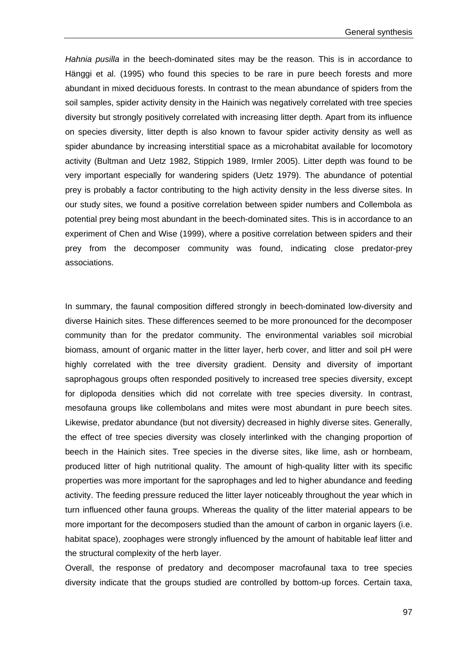*Hahnia pusilla* in the beech-dominated sites may be the reason. This is in accordance to Hänggi et al. (1995) who found this species to be rare in pure beech forests and more abundant in mixed deciduous forests. In contrast to the mean abundance of spiders from the soil samples, spider activity density in the Hainich was negatively correlated with tree species diversity but strongly positively correlated with increasing litter depth. Apart from its influence on species diversity, litter depth is also known to favour spider activity density as well as spider abundance by increasing interstitial space as a microhabitat available for locomotory activity (Bultman and Uetz 1982, Stippich 1989, Irmler 2005). Litter depth was found to be very important especially for wandering spiders (Uetz 1979). The abundance of potential prey is probably a factor contributing to the high activity density in the less diverse sites. In our study sites, we found a positive correlation between spider numbers and Collembola as potential prey being most abundant in the beech-dominated sites. This is in accordance to an experiment of Chen and Wise (1999), where a positive correlation between spiders and their prey from the decomposer community was found, indicating close predator-prey associations.

In summary, the faunal composition differed strongly in beech-dominated low-diversity and diverse Hainich sites. These differences seemed to be more pronounced for the decomposer community than for the predator community. The environmental variables soil microbial biomass, amount of organic matter in the litter layer, herb cover, and litter and soil pH were highly correlated with the tree diversity gradient. Density and diversity of important saprophagous groups often responded positively to increased tree species diversity, except for diplopoda densities which did not correlate with tree species diversity. In contrast, mesofauna groups like collembolans and mites were most abundant in pure beech sites. Likewise, predator abundance (but not diversity) decreased in highly diverse sites. Generally, the effect of tree species diversity was closely interlinked with the changing proportion of beech in the Hainich sites. Tree species in the diverse sites, like lime, ash or hornbeam, produced litter of high nutritional quality. The amount of high-quality litter with its specific properties was more important for the saprophages and led to higher abundance and feeding activity. The feeding pressure reduced the litter layer noticeably throughout the year which in turn influenced other fauna groups. Whereas the quality of the litter material appears to be more important for the decomposers studied than the amount of carbon in organic layers (i.e. habitat space), zoophages were strongly influenced by the amount of habitable leaf litter and the structural complexity of the herb layer.

Overall, the response of predatory and decomposer macrofaunal taxa to tree species diversity indicate that the groups studied are controlled by bottom-up forces. Certain taxa,

97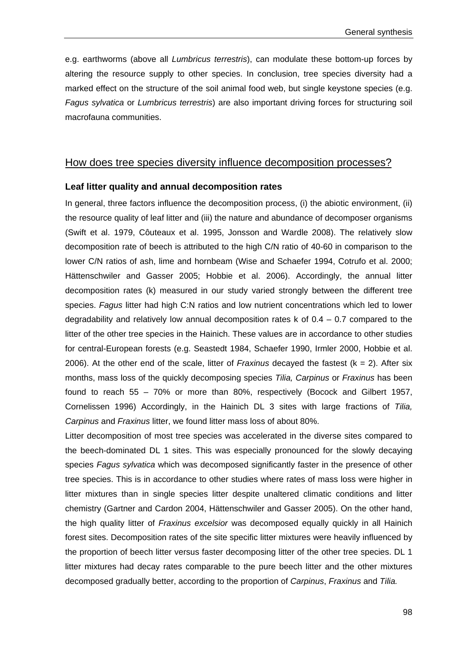e.g. earthworms (above all *Lumbricus terrestris*), can modulate these bottom-up forces by altering the resource supply to other species. In conclusion, tree species diversity had a marked effect on the structure of the soil animal food web, but single keystone species (e.g. *Fagus sylvatica* or *Lumbricus terrestris*) are also important driving forces for structuring soil macrofauna communities.

# How does tree species diversity influence decomposition processes?

#### **Leaf litter quality and annual decomposition rates**

In general, three factors influence the decomposition process, (i) the abiotic environment, (ii) the resource quality of leaf litter and (iii) the nature and abundance of decomposer organisms (Swift et al. 1979, Côuteaux et al. 1995, Jonsson and Wardle 2008). The relatively slow decomposition rate of beech is attributed to the high C/N ratio of 40-60 in comparison to the lower C/N ratios of ash, lime and hornbeam (Wise and Schaefer 1994, Cotrufo et al. 2000; Hättenschwiler and Gasser 2005; Hobbie et al. 2006). Accordingly, the annual litter decomposition rates (k) measured in our study varied strongly between the different tree species. *Fagus* litter had high C:N ratios and low nutrient concentrations which led to lower degradability and relatively low annual decomposition rates k of 0.4 – 0.7 compared to the litter of the other tree species in the Hainich. These values are in accordance to other studies for central-European forests (e.g. Seastedt 1984, Schaefer 1990, Irmler 2000, Hobbie et al. 2006). At the other end of the scale, litter of *Fraxinus* decayed the fastest (k = 2). After six months, mass loss of the quickly decomposing species *Tilia, Carpinus* or *Fraxinus* has been found to reach 55 – 70% or more than 80%, respectively (Bocock and Gilbert 1957, Cornelissen 1996) Accordingly, in the Hainich DL 3 sites with large fractions of *Tilia, Carpinus* and *Fraxinus* litter, we found litter mass loss of about 80%.

Litter decomposition of most tree species was accelerated in the diverse sites compared to the beech-dominated DL 1 sites. This was especially pronounced for the slowly decaying species *Fagus sylvatica* which was decomposed significantly faster in the presence of other tree species. This is in accordance to other studies where rates of mass loss were higher in litter mixtures than in single species litter despite unaltered climatic conditions and litter chemistry (Gartner and Cardon 2004, Hättenschwiler and Gasser 2005). On the other hand, the high quality litter of *Fraxinus excelsior* was decomposed equally quickly in all Hainich forest sites. Decomposition rates of the site specific litter mixtures were heavily influenced by the proportion of beech litter versus faster decomposing litter of the other tree species. DL 1 litter mixtures had decay rates comparable to the pure beech litter and the other mixtures decomposed gradually better, according to the proportion of *Carpinus*, *Fraxinus* and *Tilia.*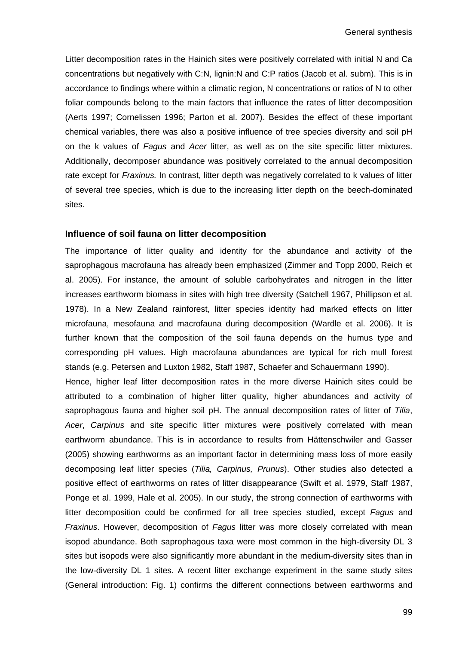Litter decomposition rates in the Hainich sites were positively correlated with initial N and Ca concentrations but negatively with C:N, lignin:N and C:P ratios (Jacob et al. subm). This is in accordance to findings where within a climatic region, N concentrations or ratios of N to other foliar compounds belong to the main factors that influence the rates of litter decomposition (Aerts 1997; Cornelissen 1996; Parton et al. 2007). Besides the effect of these important chemical variables, there was also a positive influence of tree species diversity and soil pH on the k values of *Fagus* and *Acer* litter, as well as on the site specific litter mixtures. Additionally, decomposer abundance was positively correlated to the annual decomposition rate except for *Fraxinus.* In contrast, litter depth was negatively correlated to k values of litter of several tree species, which is due to the increasing litter depth on the beech-dominated sites.

#### **Influence of soil fauna on litter decomposition**

The importance of litter quality and identity for the abundance and activity of the saprophagous macrofauna has already been emphasized (Zimmer and Topp 2000, Reich et al. 2005). For instance, the amount of soluble carbohydrates and nitrogen in the litter increases earthworm biomass in sites with high tree diversity (Satchell 1967, Phillipson et al. 1978). In a New Zealand rainforest, litter species identity had marked effects on litter microfauna, mesofauna and macrofauna during decomposition (Wardle et al. 2006). It is further known that the composition of the soil fauna depends on the humus type and corresponding pH values. High macrofauna abundances are typical for rich mull forest stands (e.g. Petersen and Luxton 1982, Staff 1987, Schaefer and Schauermann 1990).

Hence, higher leaf litter decomposition rates in the more diverse Hainich sites could be attributed to a combination of higher litter quality, higher abundances and activity of saprophagous fauna and higher soil pH. The annual decomposition rates of litter of *Tilia*, *Acer*, *Carpinus* and site specific litter mixtures were positively correlated with mean earthworm abundance. This is in accordance to results from Hättenschwiler and Gasser (2005) showing earthworms as an important factor in determining mass loss of more easily decomposing leaf litter species (*Tilia, Carpinus, Prunus*). Other studies also detected a positive effect of earthworms on rates of litter disappearance (Swift et al. 1979, Staff 1987, Ponge et al. 1999, Hale et al. 2005). In our study, the strong connection of earthworms with litter decomposition could be confirmed for all tree species studied, except *Fagus* and *Fraxinus*. However, decomposition of *Fagus* litter was more closely correlated with mean isopod abundance. Both saprophagous taxa were most common in the high-diversity DL 3 sites but isopods were also significantly more abundant in the medium-diversity sites than in the low-diversity DL 1 sites. A recent litter exchange experiment in the same study sites (General introduction: Fig. 1) confirms the different connections between earthworms and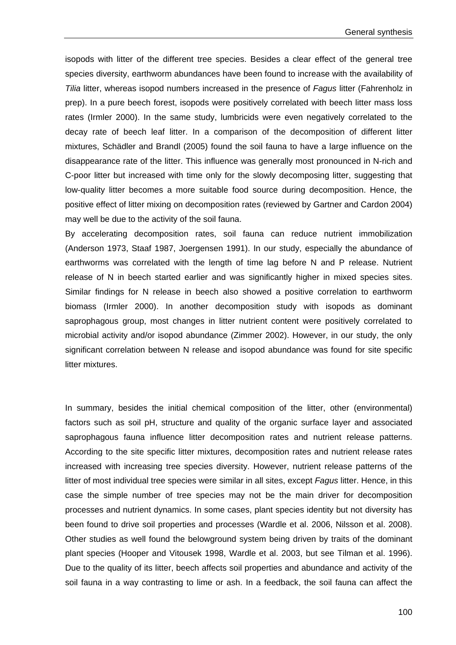isopods with litter of the different tree species. Besides a clear effect of the general tree species diversity, earthworm abundances have been found to increase with the availability of *Tilia* litter, whereas isopod numbers increased in the presence of *Fagus* litter (Fahrenholz in prep). In a pure beech forest, isopods were positively correlated with beech litter mass loss rates (Irmler 2000). In the same study, lumbricids were even negatively correlated to the decay rate of beech leaf litter. In a comparison of the decomposition of different litter mixtures, Schädler and Brandl (2005) found the soil fauna to have a large influence on the disappearance rate of the litter. This influence was generally most pronounced in N-rich and C-poor litter but increased with time only for the slowly decomposing litter, suggesting that low-quality litter becomes a more suitable food source during decomposition. Hence, the positive effect of litter mixing on decomposition rates (reviewed by Gartner and Cardon 2004) may well be due to the activity of the soil fauna.

By accelerating decomposition rates, soil fauna can reduce nutrient immobilization (Anderson 1973, Staaf 1987, Joergensen 1991). In our study, especially the abundance of earthworms was correlated with the length of time lag before N and P release. Nutrient release of N in beech started earlier and was significantly higher in mixed species sites. Similar findings for N release in beech also showed a positive correlation to earthworm biomass (Irmler 2000). In another decomposition study with isopods as dominant saprophagous group, most changes in litter nutrient content were positively correlated to microbial activity and/or isopod abundance (Zimmer 2002). However, in our study, the only significant correlation between N release and isopod abundance was found for site specific litter mixtures.

In summary, besides the initial chemical composition of the litter, other (environmental) factors such as soil pH, structure and quality of the organic surface layer and associated saprophagous fauna influence litter decomposition rates and nutrient release patterns. According to the site specific litter mixtures, decomposition rates and nutrient release rates increased with increasing tree species diversity. However, nutrient release patterns of the litter of most individual tree species were similar in all sites, except *Fagus* litter. Hence, in this case the simple number of tree species may not be the main driver for decomposition processes and nutrient dynamics. In some cases, plant species identity but not diversity has been found to drive soil properties and processes (Wardle et al. 2006, Nilsson et al. 2008). Other studies as well found the belowground system being driven by traits of the dominant plant species (Hooper and Vitousek 1998, Wardle et al. 2003, but see Tilman et al. 1996). Due to the quality of its litter, beech affects soil properties and abundance and activity of the soil fauna in a way contrasting to lime or ash. In a feedback, the soil fauna can affect the

100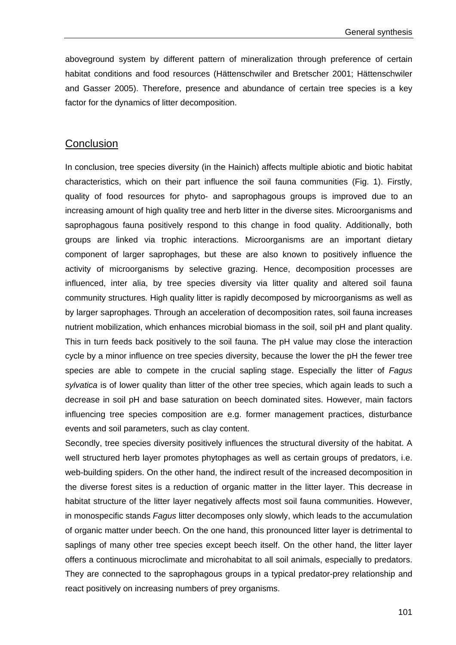aboveground system by different pattern of mineralization through preference of certain habitat conditions and food resources (Hättenschwiler and Bretscher 2001; Hättenschwiler and Gasser 2005). Therefore, presence and abundance of certain tree species is a key factor for the dynamics of litter decomposition.

# **Conclusion**

In conclusion, tree species diversity (in the Hainich) affects multiple abiotic and biotic habitat characteristics, which on their part influence the soil fauna communities (Fig. 1). Firstly, quality of food resources for phyto- and saprophagous groups is improved due to an increasing amount of high quality tree and herb litter in the diverse sites. Microorganisms and saprophagous fauna positively respond to this change in food quality. Additionally, both groups are linked via trophic interactions. Microorganisms are an important dietary component of larger saprophages, but these are also known to positively influence the activity of microorganisms by selective grazing. Hence, decomposition processes are influenced, inter alia, by tree species diversity via litter quality and altered soil fauna community structures*.* High quality litter is rapidly decomposed by microorganisms as well as by larger saprophages. Through an acceleration of decomposition rates, soil fauna increases nutrient mobilization, which enhances microbial biomass in the soil, soil pH and plant quality. This in turn feeds back positively to the soil fauna. The pH value may close the interaction cycle by a minor influence on tree species diversity, because the lower the pH the fewer tree species are able to compete in the crucial sapling stage. Especially the litter of *Fagus sylvatica* is of lower quality than litter of the other tree species, which again leads to such a decrease in soil pH and base saturation on beech dominated sites. However, main factors influencing tree species composition are e.g. former management practices, disturbance events and soil parameters, such as clay content.

Secondly, tree species diversity positively influences the structural diversity of the habitat. A well structured herb layer promotes phytophages as well as certain groups of predators, i.e. web-building spiders. On the other hand, the indirect result of the increased decomposition in the diverse forest sites is a reduction of organic matter in the litter layer. This decrease in habitat structure of the litter layer negatively affects most soil fauna communities. However, in monospecific stands *Fagus* litter decomposes only slowly, which leads to the accumulation of organic matter under beech. On the one hand, this pronounced litter layer is detrimental to saplings of many other tree species except beech itself. On the other hand, the litter layer offers a continuous microclimate and microhabitat to all soil animals, especially to predators. They are connected to the saprophagous groups in a typical predator-prey relationship and react positively on increasing numbers of prey organisms.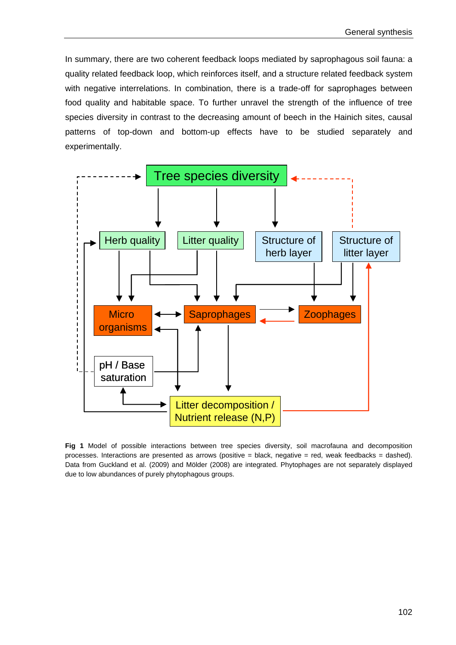In summary, there are two coherent feedback loops mediated by saprophagous soil fauna: a quality related feedback loop, which reinforces itself, and a structure related feedback system with negative interrelations. In combination, there is a trade-off for saprophages between food quality and habitable space. To further unravel the strength of the influence of tree species diversity in contrast to the decreasing amount of beech in the Hainich sites, causal patterns of top-down and bottom-up effects have to be studied separately and experimentally.



**Fig 1** Model of possible interactions between tree species diversity, soil macrofauna and decomposition processes. Interactions are presented as arrows (positive = black, negative = red, weak feedbacks = dashed). Data from Guckland et al. (2009) and Mölder (2008) are integrated. Phytophages are not separately displayed due to low abundances of purely phytophagous groups.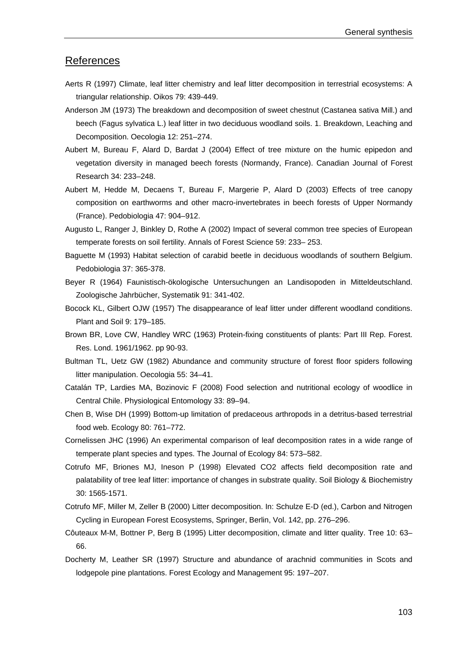# References

- Aerts R (1997) Climate, leaf litter chemistry and leaf litter decomposition in terrestrial ecosystems: A triangular relationship. Oikos 79: 439-449.
- Anderson JM (1973) The breakdown and decomposition of sweet chestnut (Castanea sativa Mill.) and beech (Fagus sylvatica L.) leaf litter in two deciduous woodland soils. 1. Breakdown, Leaching and Decomposition. Oecologia 12: 251–274.
- Aubert M, Bureau F, Alard D, Bardat J (2004) Effect of tree mixture on the humic epipedon and vegetation diversity in managed beech forests (Normandy, France). Canadian Journal of Forest Research 34: 233–248.
- Aubert M, Hedde M, Decaens T, Bureau F, Margerie P, Alard D (2003) Effects of tree canopy composition on earthworms and other macro-invertebrates in beech forests of Upper Normandy (France). Pedobiologia 47: 904–912.
- Augusto L, Ranger J, Binkley D, Rothe A (2002) Impact of several common tree species of European temperate forests on soil fertility. Annals of Forest Science 59: 233– 253.
- Baguette M (1993) Habitat selection of carabid beetle in deciduous woodlands of southern Belgium. Pedobiologia 37: 365-378.
- Beyer R (1964) Faunistisch-ökologische Untersuchungen an Landisopoden in Mitteldeutschland. Zoologische Jahrbücher, Systematik 91: 341-402.
- Bocock KL, Gilbert OJW (1957) The disappearance of leaf litter under different woodland conditions. Plant and Soil 9: 179–185.
- Brown BR, Love CW, Handley WRC (1963) Protein-fixing constituents of plants: Part III Rep. Forest. Res. Lond. 1961/1962. pp 90-93.
- Bultman TL, Uetz GW (1982) Abundance and community structure of forest floor spiders following litter manipulation. Oecologia 55: 34–41.
- Catalán TP, Lardies MA, Bozinovic F (2008) Food selection and nutritional ecology of woodlice in Central Chile. Physiological Entomology 33: 89–94.
- Chen B, Wise DH (1999) Bottom-up limitation of predaceous arthropods in a detritus-based terrestrial food web. Ecology 80: 761–772.
- Cornelissen JHC (1996) An experimental comparison of leaf decomposition rates in a wide range of temperate plant species and types. The Journal of Ecology 84: 573–582.
- Cotrufo MF, Briones MJ, Ineson P (1998) Elevated CO2 affects field decomposition rate and palatability of tree leaf litter: importance of changes in substrate quality. Soil Biology & Biochemistry 30: 1565-1571.
- Cotrufo MF, Miller M, Zeller B (2000) Litter decomposition. In: Schulze E-D (ed.), Carbon and Nitrogen Cycling in European Forest Ecosystems, Springer, Berlin, Vol. 142, pp. 276–296.
- Côuteaux M-M, Bottner P, Berg B (1995) Litter decomposition, climate and litter quality. Tree 10: 63– 66.
- Docherty M, Leather SR (1997) Structure and abundance of arachnid communities in Scots and lodgepole pine plantations. Forest Ecology and Management 95: 197–207.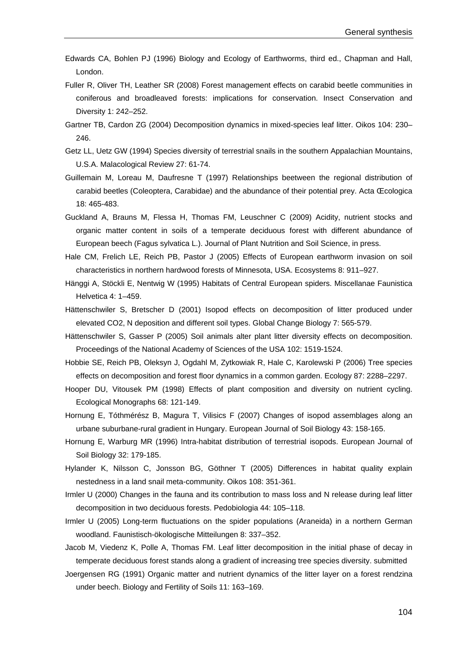- Edwards CA, Bohlen PJ (1996) Biology and Ecology of Earthworms, third ed., Chapman and Hall, London.
- Fuller R, Oliver TH, Leather SR (2008) Forest management effects on carabid beetle communities in coniferous and broadleaved forests: implications for conservation. Insect Conservation and Diversity 1: 242–252.
- Gartner TB, Cardon ZG (2004) Decomposition dynamics in mixed-species leaf litter. Oikos 104: 230– 246.
- Getz LL, Uetz GW (1994) Species diversity of terrestrial snails in the southern Appalachian Mountains, U.S.A. Malacological Review 27: 61-74.
- Guillemain M, Loreau M, Daufresne T (1997) Relationships beetween the regional distribution of carabid beetles (Coleoptera, Carabidae) and the abundance of their potential prey. Acta Œcologica 18: 465-483.
- Guckland A, Brauns M, Flessa H, Thomas FM, Leuschner C (2009) Acidity, nutrient stocks and organic matter content in soils of a temperate deciduous forest with different abundance of European beech (Fagus sylvatica L.). Journal of Plant Nutrition and Soil Science, in press.
- Hale CM, Frelich LE, Reich PB, Pastor J (2005) Effects of European earthworm invasion on soil characteristics in northern hardwood forests of Minnesota, USA. Ecosystems 8: 911–927.
- Hänggi A, Stöckli E, Nentwig W (1995) Habitats of Central European spiders. Miscellanae Faunistica Helvetica 4: 1–459.
- Hättenschwiler S, Bretscher D (2001) Isopod effects on decomposition of litter produced under elevated CO2, N deposition and different soil types. Global Change Biology 7: 565-579.
- Hättenschwiler S, Gasser P (2005) Soil animals alter plant litter diversity effects on decomposition. Proceedings of the National Academy of Sciences of the USA 102: 1519-1524.
- Hobbie SE, Reich PB, Oleksyn J, Ogdahl M, Zytkowiak R, Hale C, Karolewski P (2006) Tree species effects on decomposition and forest floor dynamics in a common garden. Ecology 87: 2288–2297.
- Hooper DU, Vitousek PM (1998) Effects of plant composition and diversity on nutrient cycling. Ecological Monographs 68: 121-149.
- Hornung E, Tóthmérész B, Magura T, Vilisics F (2007) Changes of isopod assemblages along an urbane suburbane-rural gradient in Hungary. European Journal of Soil Biology 43: 158-165.
- Hornung E, Warburg MR (1996) Intra-habitat distribution of terrestrial isopods. European Journal of Soil Biology 32: 179-185.
- Hylander K, Nilsson C, Jonsson BG, Göthner T (2005) Differences in habitat quality explain nestedness in a land snail meta-community. Oikos 108: 351-361.
- Irmler U (2000) Changes in the fauna and its contribution to mass loss and N release during leaf litter decomposition in two deciduous forests. Pedobiologia 44: 105–118.
- Irmler U (2005) Long-term fluctuations on the spider populations (Araneida) in a northern German woodland. Faunistisch-ökologische Mitteilungen 8: 337–352.
- Jacob M, Viedenz K, Polle A, Thomas FM. Leaf litter decomposition in the initial phase of decay in temperate deciduous forest stands along a gradient of increasing tree species diversity. submitted
- Joergensen RG (1991) Organic matter and nutrient dynamics of the litter layer on a forest rendzina under beech. Biology and Fertility of Soils 11: 163–169.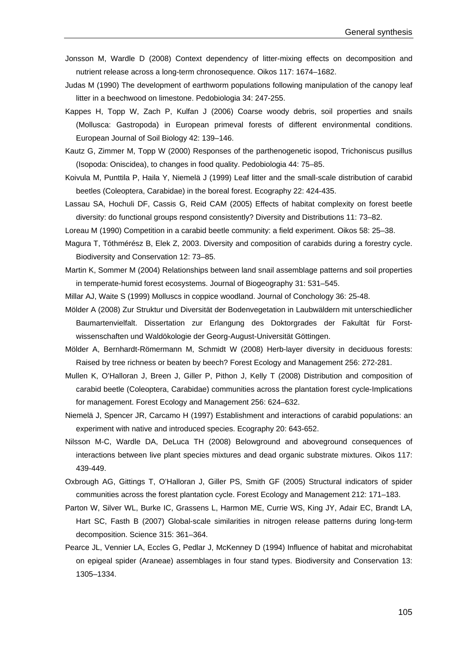- Jonsson M, Wardle D (2008) Context dependency of litter-mixing effects on decomposition and nutrient release across a long-term chronosequence. Oikos 117: 1674–1682.
- Judas M (1990) The development of earthworm populations following manipulation of the canopy leaf litter in a beechwood on limestone. Pedobiologia 34: 247-255.
- Kappes H, Topp W, Zach P, Kulfan J (2006) Coarse woody debris, soil properties and snails (Mollusca: Gastropoda) in European primeval forests of different environmental conditions. European Journal of Soil Biology 42: 139–146.
- Kautz G, Zimmer M, Topp W (2000) Responses of the parthenogenetic isopod, Trichoniscus pusillus (Isopoda: Oniscidea), to changes in food quality. Pedobiologia 44: 75–85.
- Koivula M, Punttila P, Haila Y, Niemelä J (1999) Leaf litter and the small-scale distribution of carabid beetles (Coleoptera, Carabidae) in the boreal forest. Ecography 22: 424-435.
- Lassau SA, Hochuli DF, Cassis G, Reid CAM (2005) Effects of habitat complexity on forest beetle diversity: do functional groups respond consistently? Diversity and Distributions 11: 73–82.
- Loreau M (1990) Competition in a carabid beetle community: a field experiment. Oikos 58: 25–38.
- Magura T, Tóthmérész B, Elek Z, 2003. Diversity and composition of carabids during a forestry cycle. Biodiversity and Conservation 12: 73–85.
- Martin K, Sommer M (2004) Relationships between land snail assemblage patterns and soil properties in temperate-humid forest ecosystems. Journal of Biogeography 31: 531–545.
- Millar AJ, Waite S (1999) Molluscs in coppice woodland. Journal of Conchology 36: 25-48.
- Mölder A (2008) Zur Struktur und Diversität der Bodenvegetation in Laubwäldern mit unterschiedlicher Baumartenvielfalt. Dissertation zur Erlangung des Doktorgrades der Fakultät für Forstwissenschaften und Waldökologie der Georg-August-Universität Göttingen.
- Mölder A, Bernhardt-Römermann M, Schmidt W (2008) Herb-layer diversity in deciduous forests: Raised by tree richness or beaten by beech? Forest Ecology and Management 256: 272-281.
- Mullen K, O'Halloran J, Breen J, Giller P, Pithon J, Kelly T (2008) Distribution and composition of carabid beetle (Coleoptera, Carabidae) communities across the plantation forest cycle-Implications for management. Forest Ecology and Management 256: 624–632.
- Niemelä J, Spencer JR, Carcamo H (1997) Establishment and interactions of carabid populations: an experiment with native and introduced species. Ecography 20: 643-652.
- Nilsson M-C, Wardle DA, DeLuca TH (2008) Belowground and aboveground consequences of interactions between live plant species mixtures and dead organic substrate mixtures. Oikos 117: 439-449.
- Oxbrough AG, Gittings T, O'Halloran J, Giller PS, Smith GF (2005) Structural indicators of spider communities across the forest plantation cycle. Forest Ecology and Management 212: 171–183.
- Parton W, Silver WL, Burke IC, Grassens L, Harmon ME, Currie WS, King JY, Adair EC, Brandt LA, Hart SC, Fasth B (2007) Global-scale similarities in nitrogen release patterns during long-term decomposition. Science 315: 361–364.
- Pearce JL, Vennier LA, Eccles G, Pedlar J, McKenney D (1994) Influence of habitat and microhabitat on epigeal spider (Araneae) assemblages in four stand types. Biodiversity and Conservation 13: 1305–1334.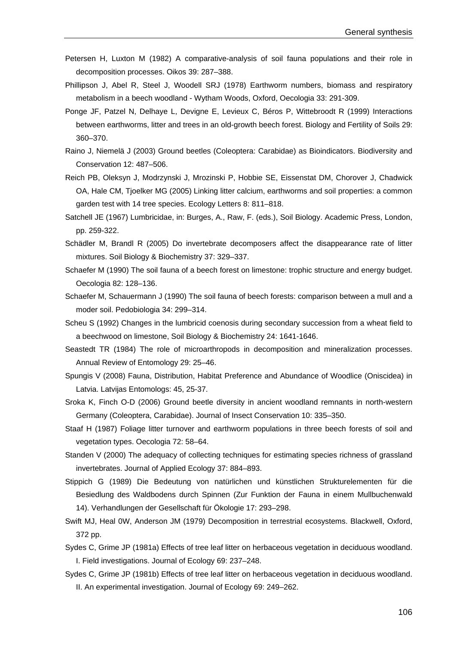- Petersen H, Luxton M (1982) A comparative-analysis of soil fauna populations and their role in decomposition processes. Oikos 39: 287–388.
- Phillipson J, Abel R, Steel J, Woodell SRJ (1978) Earthworm numbers, biomass and respiratory metabolism in a beech woodland - Wytham Woods, Oxford, Oecologia 33: 291-309.
- Ponge JF, Patzel N, Delhaye L, Devigne E, Levieux C, Béros P, Wittebroodt R (1999) Interactions between earthworms, litter and trees in an old-growth beech forest. Biology and Fertility of Soils 29: 360–370.
- Raino J, Niemelä J (2003) Ground beetles (Coleoptera: Carabidae) as Bioindicators. Biodiversity and Conservation 12: 487–506.
- Reich PB, Oleksyn J, Modrzynski J, Mrozinski P, Hobbie SE, Eissenstat DM, Chorover J, Chadwick OA, Hale CM, Tjoelker MG (2005) Linking litter calcium, earthworms and soil properties: a common garden test with 14 tree species. Ecology Letters 8: 811–818.
- Satchell JE (1967) Lumbricidae, in: Burges, A., Raw, F. (eds.), Soil Biology. Academic Press, London, pp. 259-322.
- Schädler M, Brandl R (2005) Do invertebrate decomposers affect the disappearance rate of litter mixtures. Soil Biology & Biochemistry 37: 329–337.
- Schaefer M (1990) The soil fauna of a beech forest on limestone: trophic structure and energy budget. Oecologia 82: 128–136.
- Schaefer M, Schauermann J (1990) The soil fauna of beech forests: comparison between a mull and a moder soil. Pedobiologia 34: 299–314.
- Scheu S (1992) Changes in the lumbricid coenosis during secondary succession from a wheat field to a beechwood on limestone, Soil Biology & Biochemistry 24: 1641-1646.
- Seastedt TR (1984) The role of microarthropods in decomposition and mineralization processes. Annual Review of Entomology 29: 25–46.
- Spungis V (2008) Fauna, Distribution, Habitat Preference and Abundance of Woodlice (Oniscidea) in Latvia. Latvijas Entomologs: 45, 25-37.

Sroka K, Finch O-D (2006) Ground beetle diversity in ancient woodland remnants in north-western Germany (Coleoptera, Carabidae). Journal of Insect Conservation 10: 335–350.

- Staaf H (1987) Foliage litter turnover and earthworm populations in three beech forests of soil and vegetation types. Oecologia 72: 58–64.
- Standen V (2000) The adequacy of collecting techniques for estimating species richness of grassland invertebrates. Journal of Applied Ecology 37: 884–893.
- Stippich G (1989) Die Bedeutung von natürlichen und künstlichen Strukturelementen für die Besiedlung des Waldbodens durch Spinnen (Zur Funktion der Fauna in einem Mullbuchenwald 14). Verhandlungen der Gesellschaft für Ökologie 17: 293–298.
- Swift MJ, Heal 0W, Anderson JM (1979) Decomposition in terrestrial ecosystems. Blackwell, Oxford, 372 pp.
- Sydes C, Grime JP (1981a) Effects of tree leaf litter on herbaceous vegetation in deciduous woodland. I. Field investigations. Journal of Ecology 69: 237–248.
- Sydes C, Grime JP (1981b) Effects of tree leaf litter on herbaceous vegetation in deciduous woodland. II. An experimental investigation. Journal of Ecology 69: 249–262.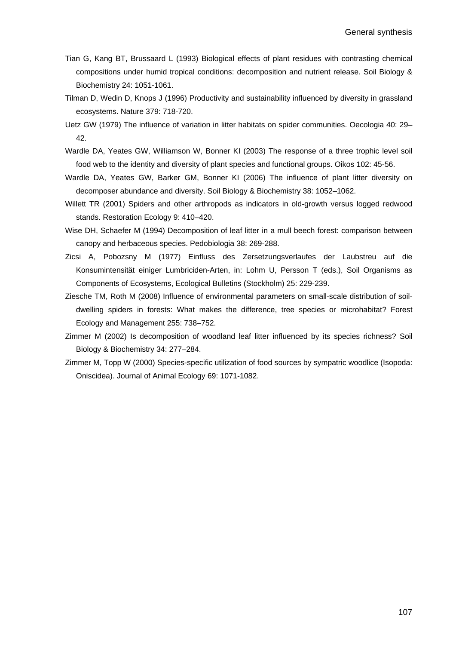- Tian G, Kang BT, Brussaard L (1993) Biological effects of plant residues with contrasting chemical compositions under humid tropical conditions: decomposition and nutrient release. Soil Biology & Biochemistry 24: 1051-1061.
- Tilman D, Wedin D, Knops J (1996) Productivity and sustainability influenced by diversity in grassland ecosystems. Nature 379: 718-720.
- Uetz GW (1979) The influence of variation in litter habitats on spider communities. Oecologia 40: 29– 42.
- Wardle DA, Yeates GW, Williamson W, Bonner KI (2003) The response of a three trophic level soil food web to the identity and diversity of plant species and functional groups. Oikos 102: 45-56.
- Wardle DA, Yeates GW, Barker GM, Bonner KI (2006) The influence of plant litter diversity on decomposer abundance and diversity. Soil Biology & Biochemistry 38: 1052–1062.
- Willett TR (2001) Spiders and other arthropods as indicators in old-growth versus logged redwood stands. Restoration Ecology 9: 410–420.
- Wise DH, Schaefer M (1994) Decomposition of leaf litter in a mull beech forest: comparison between canopy and herbaceous species. Pedobiologia 38: 269-288.
- Zicsi A, Pobozsny M (1977) Einfluss des Zersetzungsverlaufes der Laubstreu auf die Konsumintensität einiger Lumbriciden-Arten, in: Lohm U, Persson T (eds.), Soil Organisms as Components of Ecosystems, Ecological Bulletins (Stockholm) 25: 229-239.
- Ziesche TM, Roth M (2008) Influence of environmental parameters on small-scale distribution of soildwelling spiders in forests: What makes the difference, tree species or microhabitat? Forest Ecology and Management 255: 738–752.
- Zimmer M (2002) Is decomposition of woodland leaf litter influenced by its species richness? Soil Biology & Biochemistry 34: 277–284.
- Zimmer M, Topp W (2000) Species-specific utilization of food sources by sympatric woodlice (Isopoda: Oniscidea). Journal of Animal Ecology 69: 1071-1082.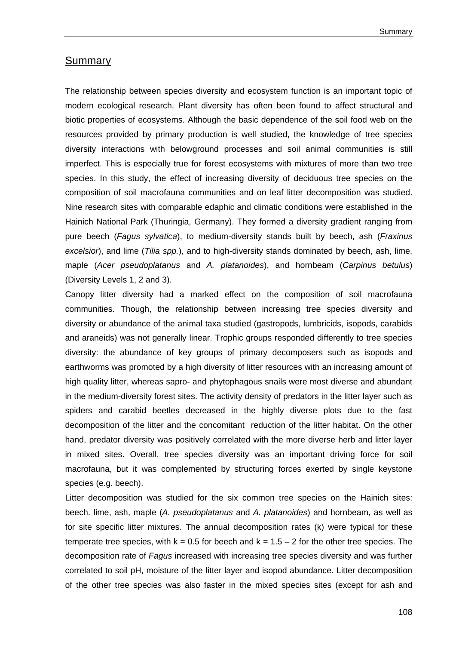#### Summary

The relationship between species diversity and ecosystem function is an important topic of modern ecological research. Plant diversity has often been found to affect structural and biotic properties of ecosystems. Although the basic dependence of the soil food web on the resources provided by primary production is well studied, the knowledge of tree species diversity interactions with belowground processes and soil animal communities is still imperfect. This is especially true for forest ecosystems with mixtures of more than two tree species. In this study, the effect of increasing diversity of deciduous tree species on the composition of soil macrofauna communities and on leaf litter decomposition was studied. Nine research sites with comparable edaphic and climatic conditions were established in the Hainich National Park (Thuringia, Germany). They formed a diversity gradient ranging from pure beech (*Fagus sylvatica*), to medium-diversity stands built by beech, ash (*Fraxinus excelsior*), and lime (*Tilia spp.*), and to high-diversity stands dominated by beech, ash, lime, maple (*Acer pseudoplatanus* and *A. platanoides*), and hornbeam (*Carpinus betulus*) (Diversity Levels 1, 2 and 3).

Canopy litter diversity had a marked effect on the composition of soil macrofauna communities. Though, the relationship between increasing tree species diversity and diversity or abundance of the animal taxa studied (gastropods, lumbricids, isopods, carabids and araneids) was not generally linear. Trophic groups responded differently to tree species diversity: the abundance of key groups of primary decomposers such as isopods and earthworms was promoted by a high diversity of litter resources with an increasing amount of high quality litter, whereas sapro- and phytophagous snails were most diverse and abundant in the medium-diversity forest sites. The activity density of predators in the litter layer such as spiders and carabid beetles decreased in the highly diverse plots due to the fast decomposition of the litter and the concomitant reduction of the litter habitat. On the other hand, predator diversity was positively correlated with the more diverse herb and litter layer in mixed sites. Overall, tree species diversity was an important driving force for soil macrofauna, but it was complemented by structuring forces exerted by single keystone species (e.g. beech).

Litter decomposition was studied for the six common tree species on the Hainich sites: beech. lime, ash, maple (*A. pseudoplatanus* and *A. platanoides*) and hornbeam, as well as for site specific litter mixtures. The annual decomposition rates (k) were typical for these temperate tree species, with  $k = 0.5$  for beech and  $k = 1.5 - 2$  for the other tree species. The decomposition rate of *Fagus* increased with increasing tree species diversity and was further correlated to soil pH, moisture of the litter layer and isopod abundance. Litter decomposition of the other tree species was also faster in the mixed species sites (except for ash and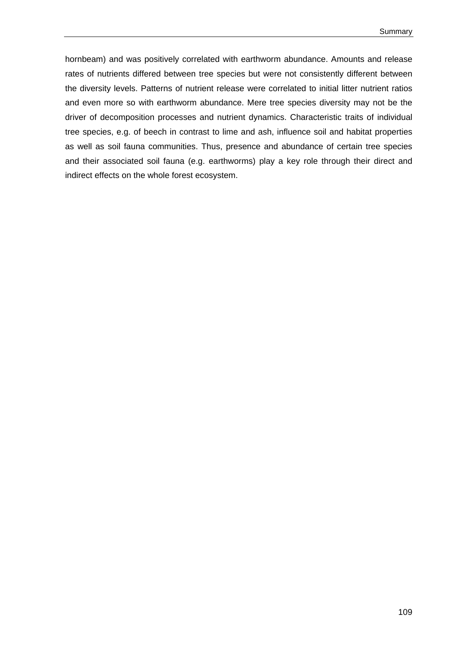hornbeam) and was positively correlated with earthworm abundance. Amounts and release rates of nutrients differed between tree species but were not consistently different between the diversity levels. Patterns of nutrient release were correlated to initial litter nutrient ratios and even more so with earthworm abundance. Mere tree species diversity may not be the driver of decomposition processes and nutrient dynamics. Characteristic traits of individual tree species, e.g. of beech in contrast to lime and ash, influence soil and habitat properties as well as soil fauna communities. Thus, presence and abundance of certain tree species and their associated soil fauna (e.g. earthworms) play a key role through their direct and indirect effects on the whole forest ecosystem.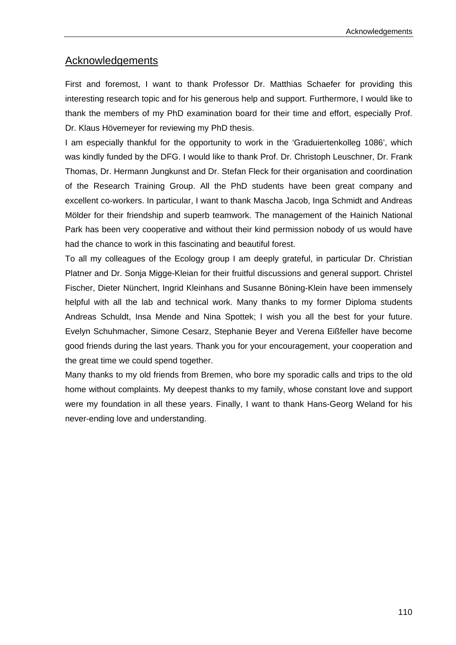### Acknowledgements

First and foremost, I want to thank Professor Dr. Matthias Schaefer for providing this interesting research topic and for his generous help and support. Furthermore, I would like to thank the members of my PhD examination board for their time and effort, especially Prof. Dr. Klaus Hövemeyer for reviewing my PhD thesis.

I am especially thankful for the opportunity to work in the 'Graduiertenkolleg 1086', which was kindly funded by the DFG. I would like to thank Prof. Dr. Christoph Leuschner, Dr. Frank Thomas, Dr. Hermann Jungkunst and Dr. Stefan Fleck for their organisation and coordination of the Research Training Group. All the PhD students have been great company and excellent co-workers. In particular, I want to thank Mascha Jacob, Inga Schmidt and Andreas Mölder for their friendship and superb teamwork. The management of the Hainich National Park has been very cooperative and without their kind permission nobody of us would have had the chance to work in this fascinating and beautiful forest.

To all my colleagues of the Ecology group I am deeply grateful, in particular Dr. Christian Platner and Dr. Sonja Migge-Kleian for their fruitful discussions and general support. Christel Fischer, Dieter Nünchert, Ingrid Kleinhans and Susanne Böning-Klein have been immensely helpful with all the lab and technical work. Many thanks to my former Diploma students Andreas Schuldt, Insa Mende and Nina Spottek; I wish you all the best for your future. Evelyn Schuhmacher, Simone Cesarz, Stephanie Beyer and Verena Eißfeller have become good friends during the last years. Thank you for your encouragement, your cooperation and the great time we could spend together.

Many thanks to my old friends from Bremen, who bore my sporadic calls and trips to the old home without complaints. My deepest thanks to my family, whose constant love and support were my foundation in all these years. Finally, I want to thank Hans-Georg Weland for his never-ending love and understanding.